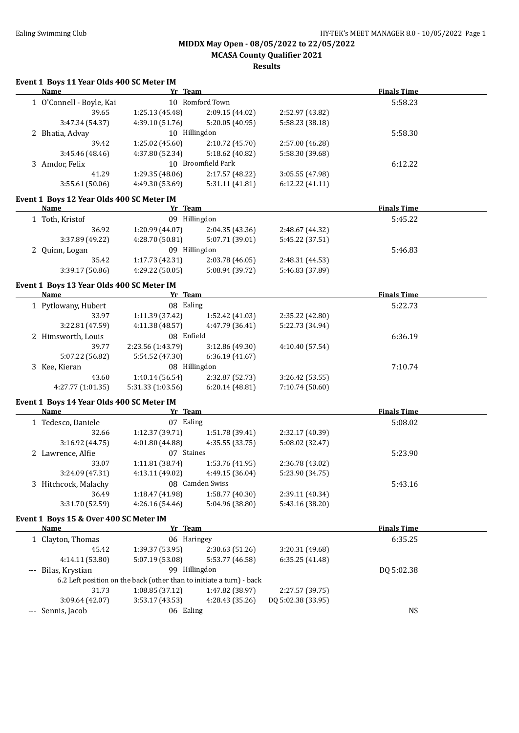**MCASA County Qualifier 2021**

|          | Event 1 Boys 11 Year Olds 400 SC Meter IM<br>Name | Yr Team                                                              |                    |                    | <b>Finals Time</b> |  |
|----------|---------------------------------------------------|----------------------------------------------------------------------|--------------------|--------------------|--------------------|--|
|          | 1 O'Connell - Boyle, Kai                          |                                                                      | 10 Romford Town    |                    | 5:58.23            |  |
|          | 39.65                                             | 1:25.13 (45.48)                                                      | 2:09.15 (44.02)    | 2:52.97 (43.82)    |                    |  |
|          | 3:47.34 (54.37)                                   | 4:39.10 (51.76)                                                      | 5:20.05 (40.95)    | 5:58.23 (38.18)    |                    |  |
|          | 2 Bhatia, Advay                                   | 10 Hillingdon                                                        |                    |                    | 5:58.30            |  |
|          | 39.42                                             | 1:25.02 (45.60)                                                      | 2:10.72 (45.70)    | 2:57.00 (46.28)    |                    |  |
|          | 3:45.46 (48.46)                                   | 4:37.80 (52.34)                                                      | 5:18.62 (40.82)    | 5:58.30 (39.68)    |                    |  |
|          | 3 Amdor, Felix                                    |                                                                      | 10 Broomfield Park |                    | 6:12.22            |  |
|          | 41.29                                             | 1:29.35 (48.06)                                                      | 2:17.57 (48.22)    | 3:05.55 (47.98)    |                    |  |
|          | 3:55.61(50.06)                                    | 4:49.30 (53.69)                                                      | 5:31.11 (41.81)    | 6:12.22 (41.11)    |                    |  |
|          | Event 1 Boys 12 Year Olds 400 SC Meter IM         |                                                                      |                    |                    |                    |  |
|          | <b>Name</b>                                       | Yr Team                                                              |                    |                    | <b>Finals Time</b> |  |
|          | 1 Toth, Kristof                                   | 09 Hillingdon                                                        |                    |                    | 5:45.22            |  |
|          | 36.92                                             | 1:20.99 (44.07)                                                      | 2:04.35 (43.36)    | 2:48.67 (44.32)    |                    |  |
|          | 3:37.89 (49.22)                                   | 4:28.70 (50.81)                                                      | 5:07.71 (39.01)    | 5:45.22 (37.51)    |                    |  |
|          | 2 Quinn, Logan                                    | 09 Hillingdon                                                        |                    |                    | 5:46.83            |  |
|          | 35.42                                             | 1:17.73 (42.31)                                                      | 2:03.78 (46.05)    | 2:48.31 (44.53)    |                    |  |
|          | 3:39.17 (50.86)                                   | 4:29.22 (50.05)                                                      | 5:08.94 (39.72)    | 5:46.83 (37.89)    |                    |  |
|          |                                                   |                                                                      |                    |                    |                    |  |
|          | Event 1 Boys 13 Year Olds 400 SC Meter IM<br>Name | Yr Team                                                              |                    |                    | <b>Finals Time</b> |  |
|          | 1 Pytlowany, Hubert                               | 08 Ealing                                                            |                    |                    |                    |  |
|          | 33.97                                             |                                                                      |                    | 2:35.22 (42.80)    | 5:22.73            |  |
|          |                                                   | 1:11.39 (37.42)<br>4:11.38(48.57)                                    | 1:52.42 (41.03)    | 5:22.73 (34.94)    |                    |  |
|          | 3:22.81 (47.59)                                   | 08 Enfield                                                           | 4:47.79 (36.41)    |                    |                    |  |
|          | 2 Himsworth, Louis                                |                                                                      |                    |                    | 6:36.19            |  |
|          | 39.77                                             | 2:23.56 (1:43.79)                                                    | 3:12.86 (49.30)    | 4:10.40 (57.54)    |                    |  |
|          | 5:07.22 (56.82)                                   | 5:54.52 (47.30)<br>08 Hillingdon                                     | 6:36.19 (41.67)    |                    |                    |  |
|          | 3 Kee, Kieran<br>43.60                            |                                                                      |                    |                    | 7:10.74            |  |
|          |                                                   | 1:40.14 (56.54)                                                      | 2:32.87 (52.73)    | 3:26.42 (53.55)    |                    |  |
|          | 4:27.77 (1:01.35)                                 | 5:31.33 (1:03.56)                                                    | 6:20.14(48.81)     | 7:10.74 (50.60)    |                    |  |
|          | Event 1 Boys 14 Year Olds 400 SC Meter IM         |                                                                      |                    |                    |                    |  |
|          | Name                                              | Yr Team                                                              |                    |                    | <b>Finals Time</b> |  |
|          | 1 Tedesco, Daniele                                | 07 Ealing                                                            |                    |                    | 5:08.02            |  |
|          | 32.66                                             | 1:12.37 (39.71)                                                      | 1:51.78 (39.41)    | 2:32.17 (40.39)    |                    |  |
|          | 3:16.92 (44.75)                                   | 4:01.80 (44.88)                                                      | 4:35.55(33.75)     | 5:08.02 (32.47)    |                    |  |
|          | 2 Lawrence, Alfie                                 | 07 Staines                                                           |                    |                    | 5:23.90            |  |
|          | 33.07                                             | 1:11.81 (38.74)                                                      | 1:53.76 (41.95)    | 2:36.78 (43.02)    |                    |  |
|          | 3:24.09 (47.31)                                   | 4:13.11 (49.02)                                                      | 4:49.15 (36.04)    | 5:23.90 (34.75)    |                    |  |
|          | 3 Hitchcock, Malachy                              |                                                                      | 08 Camden Swiss    |                    | 5:43.16            |  |
|          | 36.49                                             | 1:18.47 (41.98)                                                      | 1:58.77 (40.30)    | 2:39.11 (40.34)    |                    |  |
|          | 3:31.70 (52.59)                                   | 4:26.16 (54.46)                                                      | 5:04.96 (38.80)    | 5:43.16 (38.20)    |                    |  |
|          | Event 1 Boys 15 & Over 400 SC Meter IM            |                                                                      |                    |                    |                    |  |
|          | <b>Name</b>                                       | Yr Team                                                              |                    |                    | <b>Finals Time</b> |  |
|          | 1 Clayton, Thomas                                 | 06 Haringey                                                          |                    |                    | 6:35.25            |  |
|          | 45.42                                             | 1:39.37 (53.95)                                                      | 2:30.63 (51.26)    | 3:20.31 (49.68)    |                    |  |
|          | 4:14.11 (53.80)                                   | 5:07.19 (53.08)                                                      | 5:53.77 (46.58)    | 6:35.25(41.48)     |                    |  |
| $\cdots$ | Bilas, Krystian                                   | 99 Hillingdon                                                        |                    |                    | DQ 5:02.38         |  |
|          |                                                   | 6.2 Left position on the back (other than to initiate a turn) - back |                    |                    |                    |  |
|          | 31.73                                             | 1:08.85 (37.12)                                                      | 1:47.82 (38.97)    | 2:27.57 (39.75)    |                    |  |
|          | 3:09.64 (42.07)                                   | 3:53.17 (43.53)                                                      | 4:28.43 (35.26)    | DQ 5:02.38 (33.95) |                    |  |
|          | --- Sennis, Jacob                                 | 06 Ealing                                                            |                    |                    | <b>NS</b>          |  |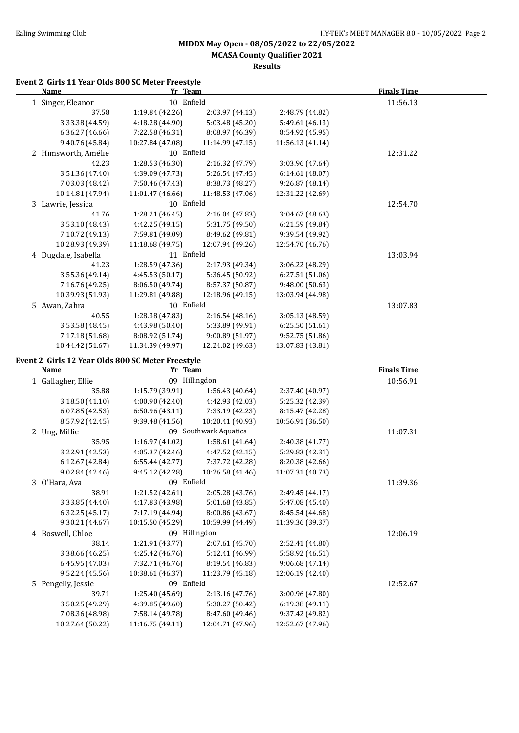**MCASA County Qualifier 2021**

**Results**

#### **Event 2 Girls 11 Year Olds 800 SC Meter Freestyle**

| Name                                              | Yr Team          |                  |                  | <b>Finals Time</b> |  |
|---------------------------------------------------|------------------|------------------|------------------|--------------------|--|
| 1 Singer, Eleanor                                 | 10 Enfield       |                  |                  | 11:56.13           |  |
| 37.58                                             | 1:19.84 (42.26)  | 2:03.97 (44.13)  | 2:48.79 (44.82)  |                    |  |
| 3:33.38 (44.59)                                   | 4:18.28 (44.90)  | 5:03.48 (45.20)  | 5:49.61 (46.13)  |                    |  |
| 6:36.27(46.66)                                    | 7:22.58 (46.31)  | 8:08.97 (46.39)  | 8:54.92 (45.95)  |                    |  |
| 9:40.76 (45.84)                                   | 10:27.84 (47.08) | 11:14.99 (47.15) | 11:56.13 (41.14) |                    |  |
| 2 Himsworth, Amélie                               | 10 Enfield       |                  |                  | 12:31.22           |  |
| 42.23                                             | 1:28.53 (46.30)  | 2:16.32 (47.79)  | 3:03.96 (47.64)  |                    |  |
| 3:51.36 (47.40)                                   | 4:39.09 (47.73)  | 5:26.54 (47.45)  | 6:14.61(48.07)   |                    |  |
| 7:03.03 (48.42)                                   | 7:50.46 (47.43)  | 8:38.73 (48.27)  | 9:26.87 (48.14)  |                    |  |
| 10:14.81 (47.94)                                  | 11:01.47 (46.66) | 11:48.53 (47.06) | 12:31.22 (42.69) |                    |  |
| 3 Lawrie, Jessica                                 | 10 Enfield       |                  |                  | 12:54.70           |  |
| 41.76                                             | 1:28.21 (46.45)  | 2:16.04 (47.83)  | 3:04.67 (48.63)  |                    |  |
| 3:53.10 (48.43)                                   | 4:42.25 (49.15)  | 5:31.75 (49.50)  | 6:21.59 (49.84)  |                    |  |
| 7:10.72 (49.13)                                   | 7:59.81 (49.09)  | 8:49.62 (49.81)  | 9:39.54 (49.92)  |                    |  |
| 10:28.93 (49.39)                                  | 11:18.68 (49.75) | 12:07.94 (49.26) | 12:54.70 (46.76) |                    |  |
| 4 Dugdale, Isabella                               | 11 Enfield       |                  |                  | 13:03.94           |  |
| 41.23                                             | 1:28.59 (47.36)  | 2:17.93 (49.34)  | 3:06.22 (48.29)  |                    |  |
| 3:55.36 (49.14)                                   | 4:45.53 (50.17)  | 5:36.45 (50.92)  | 6:27.51(51.06)   |                    |  |
| 7:16.76 (49.25)                                   | 8:06.50 (49.74)  | 8:57.37 (50.87)  | 9:48.00 (50.63)  |                    |  |
| 10:39.93 (51.93)                                  | 11:29.81 (49.88) | 12:18.96 (49.15) | 13:03.94 (44.98) |                    |  |
| 5 Awan, Zahra                                     | 10 Enfield       |                  |                  | 13:07.83           |  |
| 40.55                                             | 1:28.38 (47.83)  | 2:16.54(48.16)   | 3:05.13 (48.59)  |                    |  |
| 3:53.58(48.45)                                    | 4:43.98 (50.40)  | 5:33.89 (49.91)  | 6:25.50 (51.61)  |                    |  |
| 7:17.18 (51.68)                                   | 8:08.92 (51.74)  | 9:00.89 (51.97)  | 9:52.75 (51.86)  |                    |  |
| 10:44.42 (51.67)                                  | 11:34.39 (49.97) | 12:24.02 (49.63) | 13:07.83 (43.81) |                    |  |
| Event 2 Girls 12 Year Olds 800 SC Meter Freestyle |                  |                  |                  |                    |  |
|                                                   |                  |                  |                  |                    |  |

| Name               | Yr Team          |                       |                  | <b>Finals Time</b> |  |
|--------------------|------------------|-----------------------|------------------|--------------------|--|
| 1 Gallagher, Ellie |                  | 09 Hillingdon         |                  | 10:56.91           |  |
| 35.88              | 1:15.79 (39.91)  | 1:56.43(40.64)        | 2:37.40 (40.97)  |                    |  |
| 3:18.50(41.10)     | 4:00.90 (42.40)  | 4:42.93 (42.03)       | 5:25.32 (42.39)  |                    |  |
| 6:07.85(42.53)     | 6:50.96 (43.11)  | 7:33.19 (42.23)       | 8:15.47 (42.28)  |                    |  |
| 8:57.92 (42.45)    | 9:39.48 (41.56)  | 10:20.41 (40.93)      | 10:56.91 (36.50) |                    |  |
| 2 Ung, Millie      |                  | 09 Southwark Aquatics |                  | 11:07.31           |  |
| 35.95              | 1:16.97 (41.02)  | 1:58.61 (41.64)       | 2:40.38 (41.77)  |                    |  |
| 3:22.91 (42.53)    | 4:05.37 (42.46)  | 4:47.52 (42.15)       | 5:29.83 (42.31)  |                    |  |
| 6:12.67 (42.84)    | 6:55.44 (42.77)  | 7:37.72 (42.28)       | 8:20.38 (42.66)  |                    |  |
| 9:02.84(42.46)     | 9:45.12 (42.28)  | 10:26.58 (41.46)      | 11:07.31 (40.73) |                    |  |
| 3 O'Hara, Ava      | 09 Enfield       |                       |                  | 11:39.36           |  |
| 38.91              | 1:21.52 (42.61)  | 2:05.28 (43.76)       | 2:49.45 (44.17)  |                    |  |
| 3:33.85 (44.40)    | 4:17.83 (43.98)  | 5:01.68 (43.85)       | 5:47.08 (45.40)  |                    |  |
| 6:32.25 (45.17)    | 7:17.19 (44.94)  | 8:00.86 (43.67)       | 8:45.54 (44.68)  |                    |  |
| 9:30.21 (44.67)    | 10:15.50 (45.29) | 10:59.99 (44.49)      | 11:39.36 (39.37) |                    |  |
| 4 Boswell, Chloe   |                  | 09 Hillingdon         |                  | 12:06.19           |  |
| 38.14              | 1:21.91 (43.77)  | 2:07.61 (45.70)       | 2:52.41 (44.80)  |                    |  |
| 3:38.66 (46.25)    | 4:25.42 (46.76)  | 5:12.41 (46.99)       | 5:58.92 (46.51)  |                    |  |
| 6:45.95 (47.03)    | 7:32.71 (46.76)  | 8:19.54 (46.83)       | 9:06.68(47.14)   |                    |  |
| 9:52.24 (45.56)    | 10:38.61 (46.37) | 11:23.79 (45.18)      | 12:06.19 (42.40) |                    |  |
| 5 Pengelly, Jessie | 09 Enfield       |                       |                  | 12:52.67           |  |
| 39.71              | 1:25.40 (45.69)  | 2:13.16(47.76)        | 3:00.96 (47.80)  |                    |  |
| 3:50.25 (49.29)    | 4:39.85 (49.60)  | 5:30.27 (50.42)       | 6:19.38 (49.11)  |                    |  |
| 7:08.36 (48.98)    | 7:58.14 (49.78)  | 8:47.60 (49.46)       | 9:37.42 (49.82)  |                    |  |
| 10:27.64 (50.22)   | 11:16.75 (49.11) | 12:04.71 (47.96)      | 12:52.67 (47.96) |                    |  |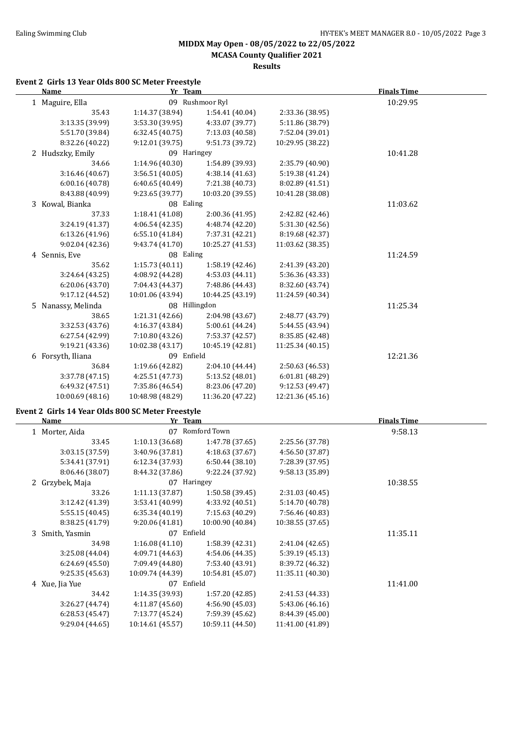**MCASA County Qualifier 2021**

#### **Results**

#### **Event 2 Girls 13 Year Olds 800 SC Meter Freestyle**

| <b>Name</b>                                                      | Yr Team          |                  |                  | <b>Finals Time</b> |  |
|------------------------------------------------------------------|------------------|------------------|------------------|--------------------|--|
| 1 Maguire, Ella                                                  |                  | 09 Rushmoor Ryl  |                  | 10:29.95           |  |
| 35.43                                                            | 1:14.37 (38.94)  | 1:54.41 (40.04)  | 2:33.36 (38.95)  |                    |  |
| 3:13.35 (39.99)                                                  | 3:53.30 (39.95)  | 4:33.07 (39.77)  | 5:11.86 (38.79)  |                    |  |
| 5:51.70 (39.84)                                                  | 6:32.45 (40.75)  | 7:13.03 (40.58)  | 7:52.04 (39.01)  |                    |  |
| 8:32.26 (40.22)                                                  | 9:12.01 (39.75)  | 9:51.73 (39.72)  | 10:29.95 (38.22) |                    |  |
| 2 Hudszky, Emily                                                 | 09 Haringey      |                  |                  | 10:41.28           |  |
| 34.66                                                            | 1:14.96 (40.30)  | 1:54.89 (39.93)  | 2:35.79 (40.90)  |                    |  |
| 3:16.46 (40.67)                                                  | 3:56.51 (40.05)  | 4:38.14 (41.63)  | 5:19.38 (41.24)  |                    |  |
| 6:00.16 (40.78)                                                  | 6:40.65(40.49)   | 7:21.38 (40.73)  | 8:02.89 (41.51)  |                    |  |
| 8:43.88 (40.99)                                                  | 9:23.65 (39.77)  | 10:03.20 (39.55) | 10:41.28 (38.08) |                    |  |
| 3 Kowal, Bianka                                                  | 08 Ealing        |                  |                  | 11:03.62           |  |
| 37.33                                                            | 1:18.41 (41.08)  | 2:00.36 (41.95)  | 2:42.82 (42.46)  |                    |  |
| 3:24.19 (41.37)                                                  | 4:06.54 (42.35)  | 4:48.74 (42.20)  | 5:31.30 (42.56)  |                    |  |
| 6:13.26 (41.96)                                                  | 6:55.10 (41.84)  | 7:37.31 (42.21)  | 8:19.68 (42.37)  |                    |  |
| 9:02.04 (42.36)                                                  | 9:43.74 (41.70)  | 10:25.27 (41.53) | 11:03.62 (38.35) |                    |  |
| 4 Sennis, Eve                                                    | 08 Ealing        |                  |                  | 11:24.59           |  |
| 35.62                                                            | 1:15.73(40.11)   | 1:58.19 (42.46)  | 2:41.39 (43.20)  |                    |  |
| 3:24.64 (43.25)                                                  | 4:08.92 (44.28)  | 4:53.03 (44.11)  | 5:36.36 (43.33)  |                    |  |
| 6:20.06 (43.70)                                                  | 7:04.43 (44.37)  | 7:48.86 (44.43)  | 8:32.60 (43.74)  |                    |  |
| 9:17.12 (44.52)                                                  | 10:01.06 (43.94) | 10:44.25 (43.19) | 11:24.59 (40.34) |                    |  |
| 5 Nanassy, Melinda                                               | 08 Hillingdon    |                  |                  | 11:25.34           |  |
| 38.65                                                            | 1:21.31 (42.66)  | 2:04.98 (43.67)  | 2:48.77 (43.79)  |                    |  |
| 3:32.53 (43.76)                                                  | 4:16.37 (43.84)  | 5:00.61 (44.24)  | 5:44.55 (43.94)  |                    |  |
| 6:27.54 (42.99)                                                  | 7:10.80 (43.26)  | 7:53.37 (42.57)  | 8:35.85 (42.48)  |                    |  |
| 9:19.21 (43.36)                                                  | 10:02.38 (43.17) | 10:45.19 (42.81) | 11:25.34 (40.15) |                    |  |
| 6 Forsyth, Iliana                                                | 09 Enfield       |                  |                  | 12:21.36           |  |
| 36.84                                                            | 1:19.66 (42.82)  | 2:04.10 (44.44)  | 2:50.63 (46.53)  |                    |  |
| 3:37.78 (47.15)                                                  | 4:25.51 (47.73)  | 5:13.52 (48.01)  | 6:01.81 (48.29)  |                    |  |
| 6:49.32 (47.51)                                                  | 7:35.86 (46.54)  | 8:23.06 (47.20)  | 9:12.53 (49.47)  |                    |  |
| 10:00.69 (48.16)                                                 | 10:48.98 (48.29) | 11:36.20 (47.22) | 12:21.36 (45.16) |                    |  |
|                                                                  |                  |                  |                  |                    |  |
| Event 2 Girls 14 Year Olds 800 SC Meter Freestyle<br><b>Name</b> | Yr Team          |                  |                  | <b>Finals Time</b> |  |
| 1 Morter, Aida                                                   |                  | 07 Romford Town  |                  | 9:58.13            |  |
| 33.45                                                            | 1:10.13(36.68)   | 1:47.78 (37.65)  | 2:25.56 (37.78)  |                    |  |
| 3:03.15 (37.59)                                                  | 3:40.96 (37.81)  | 4:18.63 (37.67)  | 4:56.50 (37.87)  |                    |  |
| 5:34.41 (37.91)                                                  | 6:12.34 (37.93)  | 6:50.44 (38.10)  | 7:28.39 (37.95)  |                    |  |
| 8:06.46 (38.07)                                                  | 8:44.32 (37.86)  | 9:22.24 (37.92)  | 9:58.13 (35.89)  |                    |  |
| 2 Grzybek, Maja                                                  | 07 Haringey      |                  |                  | 10:38.55           |  |
| 33.26                                                            | 1:11.13 (37.87)  | 1:50.58 (39.45)  | 2:31.03 (40.45)  |                    |  |
| 3:12.42 (41.39)                                                  | 3:53.41 (40.99)  | 4:33.92 (40.51)  | 5:14.70 (40.78)  |                    |  |
| 5:55.15 (40.45)                                                  | 6:35.34(40.19)   | 7:15.63 (40.29)  | 7:56.46 (40.83)  |                    |  |
| 8:38.25 (41.79)                                                  | 9:20.06 (41.81)  | 10:00.90 (40.84) | 10:38.55 (37.65) |                    |  |
| 3 Smith, Yasmin                                                  | 07 Enfield       |                  |                  | 11:35.11           |  |
| 34.98                                                            | 1:16.08(41.10)   | 1:58.39 (42.31)  | 2:41.04 (42.65)  |                    |  |
| 3:25.08 (44.04)                                                  | 4:09.71 (44.63)  | 4:54.06 (44.35)  | 5:39.19 (45.13)  |                    |  |
| 6:24.69 (45.50)                                                  | 7:09.49 (44.80)  | 7:53.40 (43.91)  | 8:39.72 (46.32)  |                    |  |
| 9:25.35(45.63)                                                   | 10:09.74 (44.39) | 10:54.81 (45.07) | 11:35.11 (40.30) |                    |  |
| 4 Xue, Jia Yue                                                   | 07 Enfield       |                  |                  | 11:41.00           |  |
| 34.42                                                            | 1:14.35 (39.93)  | 1:57.20 (42.85)  | 2:41.53 (44.33)  |                    |  |
| 3:26.27 (44.74)                                                  | 4:11.87 (45.60)  | 4:56.90 (45.03)  | 5:43.06 (46.16)  |                    |  |
| 6:28.53 (45.47)                                                  | 7:13.77 (45.24)  | 7:59.39 (45.62)  | 8:44.39 (45.00)  |                    |  |
| 9:29.04 (44.65)                                                  | 10:14.61 (45.57) | 10:59.11 (44.50) | 11:41.00 (41.89) |                    |  |
|                                                                  |                  |                  |                  |                    |  |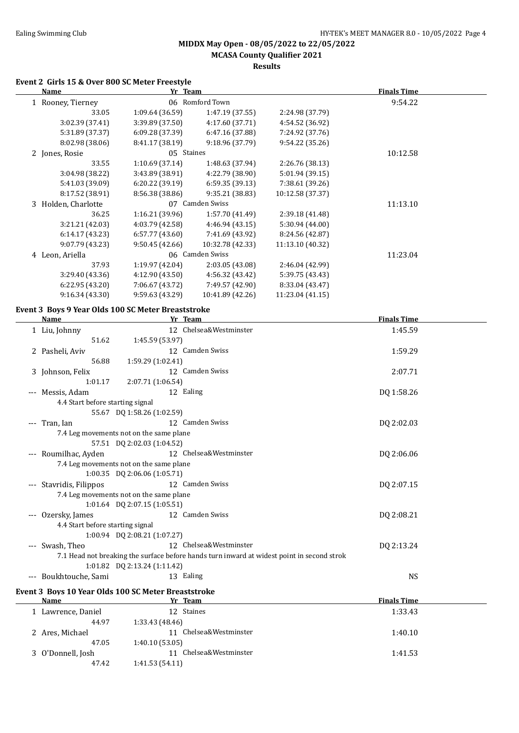#### **MIDDX May Open - 08/05/2022 to 22/05/2022 MCASA County Qualifier 2021**

### **Results**

#### **Event 2 Girls 15 & Over 800 SC Meter Freestyle**

|                 |                  |                                                                                | <b>Finals Time</b> |  |
|-----------------|------------------|--------------------------------------------------------------------------------|--------------------|--|
|                 |                  |                                                                                | 9:54.22            |  |
| 1:09.64(36.59)  | 1:47.19(37.55)   | 2:24.98 (37.79)                                                                |                    |  |
| 3:39.89(37.50)  | 4:17.60 (37.71)  | 4:54.52 (36.92)                                                                |                    |  |
| 6:09.28(37.39)  | 6:47.16 (37.88)  | 7:24.92 (37.76)                                                                |                    |  |
| 8:41.17 (38.19) | 9:18.96 (37.79)  | 9:54.22(35.26)                                                                 |                    |  |
|                 |                  |                                                                                | 10:12.58           |  |
| 1:10.69(37.14)  | 1:48.63 (37.94)  | 2:26.76 (38.13)                                                                |                    |  |
| 3:43.89 (38.91) | 4:22.79 (38.90)  | 5:01.94 (39.15)                                                                |                    |  |
| 6:20.22 (39.19) | 6:59.35 (39.13)  | 7:38.61 (39.26)                                                                |                    |  |
| 8:56.38(38.86)  | 9:35.21 (38.83)  | 10:12.58 (37.37)                                                               |                    |  |
|                 |                  |                                                                                | 11:13.10           |  |
| 1:16.21(39.96)  | 1:57.70 (41.49)  | 2:39.18 (41.48)                                                                |                    |  |
| 4:03.79 (42.58) | 4:46.94 (43.15)  | 5:30.94 (44.00)                                                                |                    |  |
| 6:57.77(43.60)  | 7:41.69 (43.92)  | 8:24.56 (42.87)                                                                |                    |  |
| 9:50.45(42.66)  | 10:32.78 (42.33) | 11:13.10 (40.32)                                                               |                    |  |
|                 |                  |                                                                                | 11:23.04           |  |
| 1:19.97(42.04)  | 2:03.05(43.08)   | 2:46.04 (42.99)                                                                |                    |  |
| 4:12.90(43.50)  | 4:56.32 (43.42)  | 5:39.75 (43.43)                                                                |                    |  |
| 7:06.67 (43.72) | 7:49.57 (42.90)  | 8:33.04 (43.47)                                                                |                    |  |
| 9:59.63(43.29)  | 10:41.89 (42.26) | 11:23.04 (41.15)                                                               |                    |  |
|                 |                  | Yr Team<br>06 Romford Town<br>05 Staines<br>07 Camden Swiss<br>06 Camden Swiss |                    |  |

#### **Event 3 Boys 9 Year Olds 100 SC Meter Breaststroke**

| <b>Name</b>                      | Yr Team                                                                                    | <b>Finals Time</b> |  |
|----------------------------------|--------------------------------------------------------------------------------------------|--------------------|--|
| 1 Liu, Johnny                    | 12 Chelsea&Westminster                                                                     | 1:45.59            |  |
| 51.62                            | 1:45.59 (53.97)                                                                            |                    |  |
| 2 Pasheli, Aviv                  | 12 Camden Swiss                                                                            | 1:59.29            |  |
| 56.88                            | 1:59.29 (1:02.41)                                                                          |                    |  |
| 3 Johnson, Felix                 | 12 Camden Swiss                                                                            | 2:07.71            |  |
| 1:01.17                          | 2:07.71 (1:06.54)                                                                          |                    |  |
| --- Messis, Adam                 | 12 Ealing                                                                                  | DQ 1:58.26         |  |
| 4.4 Start before starting signal |                                                                                            |                    |  |
|                                  | 55.67 DQ 1:58.26 (1:02.59)                                                                 |                    |  |
| --- Tran, Ian                    | 12 Camden Swiss                                                                            | DQ 2:02.03         |  |
|                                  | 7.4 Leg movements not on the same plane                                                    |                    |  |
|                                  | 57.51 DQ 2:02.03 (1:04.52)                                                                 |                    |  |
| --- Roumilhac, Ayden             | 12 Chelsea&Westminster                                                                     | DQ 2:06.06         |  |
|                                  | 7.4 Leg movements not on the same plane                                                    |                    |  |
|                                  | 1:00.35 DQ 2:06.06 (1:05.71)                                                               |                    |  |
| --- Stavridis, Filippos          | 12 Camden Swiss                                                                            | DQ 2:07.15         |  |
|                                  | 7.4 Leg movements not on the same plane                                                    |                    |  |
|                                  | 1:01.64 DQ 2:07.15 (1:05.51)                                                               |                    |  |
| Ozersky, James                   | 12 Camden Swiss                                                                            | DQ 2:08.21         |  |
| 4.4 Start before starting signal |                                                                                            |                    |  |
|                                  | 1:00.94 DQ 2:08.21 (1:07.27)                                                               |                    |  |
| --- Swash, Theo                  | 12 Chelsea&Westminster                                                                     | DQ 2:13.24         |  |
|                                  | 7.1 Head not breaking the surface before hands turn inward at widest point in second strok |                    |  |
|                                  | 1:01.82 DQ 2:13.24 (1:11.42)                                                               |                    |  |
| --- Boukhtouche, Sami            | 13 Ealing                                                                                  | <b>NS</b>          |  |
|                                  | Event 3 Boys 10 Year Olds 100 SC Meter Breaststroke                                        |                    |  |
| <b>Name</b>                      | Yr Team                                                                                    | <b>Finals Time</b> |  |
| 1 Lawrence, Daniel               | 12 Staines                                                                                 | 1:33.43            |  |
| 44.97                            | 1:33.43 (48.46)                                                                            |                    |  |
| 2 Ares, Michael                  | 11 Chelsea&Westminster                                                                     | 1:40.10            |  |
| 47.05                            | 1:40.10(53.05)                                                                             |                    |  |
| 3 O'Donnell, Josh                | 11 Chelsea&Westminster                                                                     | 1:41.53            |  |
| 47.42                            | 1:41.53(54.11)                                                                             |                    |  |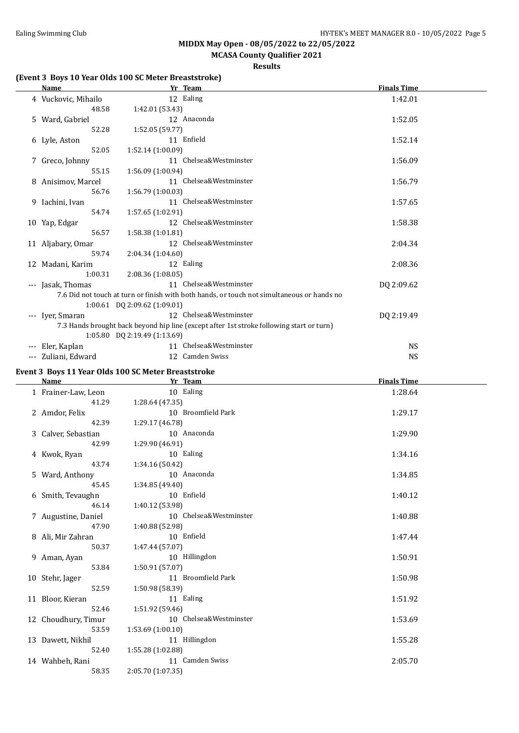### **MCASA County Qualifier 2021**

#### **Results**

### **(Event 3 Boys 10 Year Olds 100 SC Meter Breaststroke)**

| <b>Name</b>         |                                | Yr Team                                                                                    | <b>Finals Time</b> |  |
|---------------------|--------------------------------|--------------------------------------------------------------------------------------------|--------------------|--|
| 4 Vuckovic, Mihailo |                                | 12 Ealing                                                                                  | 1:42.01            |  |
| 48.58               | 1:42.01 (53.43)                |                                                                                            |                    |  |
| 5 Ward, Gabriel     |                                | 12 Anaconda                                                                                | 1:52.05            |  |
| 52.28               | 1:52.05(59.77)                 |                                                                                            |                    |  |
| 6 Lyle, Aston       |                                | 11 Enfield                                                                                 | 1:52.14            |  |
| 52.05               | 1:52.14(1:00.09)               |                                                                                            |                    |  |
| 7 Greco, Johnny     |                                | 11 Chelsea&Westminster                                                                     | 1:56.09            |  |
| 55.15               | 1:56.09 (1:00.94)              |                                                                                            |                    |  |
| 8 Anisimov, Marcel  |                                | 11 Chelsea&Westminster                                                                     | 1:56.79            |  |
| 56.76               | 1:56.79(1:00.03)               |                                                                                            |                    |  |
| 9 Iachini, Ivan     |                                | 11 Chelsea&Westminster                                                                     | 1:57.65            |  |
| 54.74               | 1:57.65(1:02.91)               |                                                                                            |                    |  |
| 10 Yap, Edgar       |                                | 12 Chelsea&Westminster                                                                     | 1:58.38            |  |
| 56.57               | 1:58.38(1:01.81)               |                                                                                            |                    |  |
| 11 Aljabary, Omar   |                                | 12 Chelsea&Westminster                                                                     | 2:04.34            |  |
| 59.74               | 2:04.34(1:04.60)               |                                                                                            |                    |  |
| 12 Madani, Karim    |                                | 12 Ealing                                                                                  | 2:08.36            |  |
| 1:00.31             | 2:08.36(1:08.05)               |                                                                                            |                    |  |
| --- Jasak, Thomas   |                                | 11 Chelsea&Westminster                                                                     | DQ 2:09.62         |  |
|                     |                                | 7.6 Did not touch at turn or finish with both hands, or touch not simultaneous or hands no |                    |  |
|                     | $1:00.61$ DQ 2:09.62 (1:09.01) |                                                                                            |                    |  |
| --- Iver, Smaran    |                                | 12 Chelsea&Westminster                                                                     | DQ 2:19.49         |  |
|                     |                                | 7.3 Hands brought back beyond hip line (except after 1st stroke following start or turn)   |                    |  |
|                     | 1:05.80 DQ 2:19.49 (1:13.69)   |                                                                                            |                    |  |
| Eler, Kaplan        |                                | 11 Chelsea&Westminster                                                                     | <b>NS</b>          |  |
| --- Zuliani, Edward |                                | 12 Camden Swiss                                                                            | <b>NS</b>          |  |

#### **Event 3 Boys 11 Year Olds 100 SC Meter Breaststroke**

| Name                | Yr Team                | <b>Finals Time</b> |
|---------------------|------------------------|--------------------|
| 1 Frainer-Law, Leon | 10 Ealing              | 1:28.64            |
| 41.29               | 1:28.64(47.35)         |                    |
| 2 Amdor, Felix      | 10 Broomfield Park     | 1:29.17            |
| 42.39               | 1:29.17 (46.78)        |                    |
| 3 Calver, Sebastian | 10 Anaconda            | 1:29.90            |
| 42.99               | 1:29.90 (46.91)        |                    |
| 4 Kwok, Ryan        | 10 Ealing              | 1:34.16            |
| 43.74               | 1:34.16(50.42)         |                    |
| 5 Ward, Anthony     | 10 Anaconda            | 1:34.85            |
| 45.45               | 1:34.85 (49.40)        |                    |
| 6 Smith, Tevaughn   | 10 Enfield             | 1:40.12            |
| 46.14               | 1:40.12 (53.98)        |                    |
| 7 Augustine, Daniel | 10 Chelsea&Westminster | 1:40.88            |
| 47.90               | 1:40.88 (52.98)        |                    |
| 8 Ali, Mir Zahran   | 10 Enfield             | 1:47.44            |
| 50.37               | 1:47.44(57.07)         |                    |
| 9 Aman, Ayan        | 10 Hillingdon          | 1:50.91            |
| 53.84               | 1:50.91 (57.07)        |                    |
| 10 Stehr, Jager     | 11 Broomfield Park     | 1:50.98            |
| 52.59               | 1:50.98 (58.39)        |                    |
| 11 Bloor, Kieran    | 11 Ealing              | 1:51.92            |
| 52.46               | 1:51.92(59.46)         |                    |
| 12 Choudhury, Timur | 10 Chelsea&Westminster | 1:53.69            |
| 53.59               | 1:53.69(1:00.10)       |                    |
| 13 Dawett, Nikhil   | 11 Hillingdon          | 1:55.28            |
| 52.40               | 1:55.28 (1:02.88)      |                    |
| 14 Wahbeh, Rani     | 11 Camden Swiss        | 2:05.70            |
| 58.35               | 2:05.70 (1:07.35)      |                    |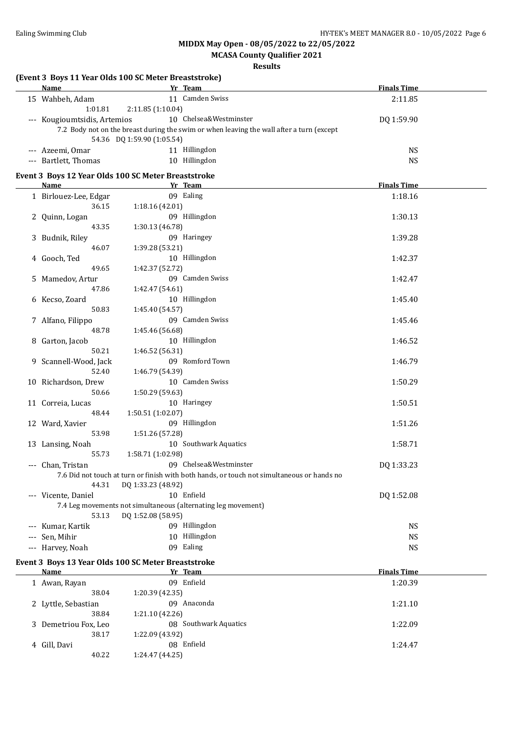### **MCASA County Qualifier 2021**

| <b>Name</b>                  | (Event 3 Boys 11 Year Olds 100 SC Meter Breaststroke)<br>Yr Team                           | <b>Finals Time</b> |  |
|------------------------------|--------------------------------------------------------------------------------------------|--------------------|--|
| 15 Wahbeh, Adam              | 11 Camden Swiss                                                                            |                    |  |
|                              |                                                                                            | 2:11.85            |  |
| 1:01.81                      | 2:11.85 (1:10.04)                                                                          |                    |  |
| --- Kougioumtsidis, Artemios | 10 Chelsea&Westminster                                                                     | DQ 1:59.90         |  |
|                              | 7.2 Body not on the breast during the swim or when leaving the wall after a turn (except   |                    |  |
|                              | 54.36 DQ 1:59.90 (1:05.54)                                                                 |                    |  |
| --- Azeemi, Omar             | 11 Hillingdon                                                                              | <b>NS</b>          |  |
| --- Bartlett, Thomas         | 10 Hillingdon                                                                              | <b>NS</b>          |  |
|                              | Event 3 Boys 12 Year Olds 100 SC Meter Breaststroke                                        |                    |  |
| Name                         | Yr Team                                                                                    | <b>Finals Time</b> |  |
| 1 Birlouez-Lee, Edgar        | 09 Ealing                                                                                  | 1:18.16            |  |
| 36.15                        | 1:18.16 (42.01)                                                                            |                    |  |
| 2 Quinn, Logan               | 09 Hillingdon                                                                              | 1:30.13            |  |
| 43.35                        | 1:30.13 (46.78)                                                                            |                    |  |
| 3 Budnik, Riley              | 09 Haringey                                                                                | 1:39.28            |  |
| 46.07                        | 1:39.28 (53.21)                                                                            |                    |  |
|                              | 10 Hillingdon                                                                              |                    |  |
| 4 Gooch, Ted                 |                                                                                            | 1:42.37            |  |
| 49.65                        | 1:42.37 (52.72)                                                                            |                    |  |
| 5 Mamedov, Artur             | 09 Camden Swiss                                                                            | 1:42.47            |  |
| 47.86                        | 1:42.47 (54.61)                                                                            |                    |  |
| 6 Kecso, Zoard               | 10 Hillingdon                                                                              | 1:45.40            |  |
| 50.83                        | 1:45.40 (54.57)                                                                            |                    |  |
| 7 Alfano, Filippo            | 09 Camden Swiss                                                                            | 1:45.46            |  |
| 48.78                        | 1:45.46 (56.68)                                                                            |                    |  |
| 8 Garton, Jacob              | 10 Hillingdon                                                                              | 1:46.52            |  |
| 50.21                        | 1:46.52 (56.31)                                                                            |                    |  |
| 9 Scannell-Wood, Jack        | 09 Romford Town                                                                            | 1:46.79            |  |
| 52.40                        | 1:46.79 (54.39)                                                                            |                    |  |
| 10 Richardson, Drew          | 10 Camden Swiss                                                                            | 1:50.29            |  |
| 50.66                        | 1:50.29 (59.63)                                                                            |                    |  |
| 11 Correia, Lucas            | 10 Haringey                                                                                | 1:50.51            |  |
| 48.44                        | 1:50.51 (1:02.07)                                                                          |                    |  |
| 12 Ward, Xavier              | 09 Hillingdon                                                                              | 1:51.26            |  |
| 53.98                        | 1:51.26 (57.28)                                                                            |                    |  |
| 13 Lansing, Noah             | 10 Southwark Aquatics                                                                      | 1:58.71            |  |
| 55.73                        | 1:58.71 (1:02.98)                                                                          |                    |  |
| --- Chan, Tristan            | 09 Chelsea&Westminster                                                                     | DQ 1:33.23         |  |
|                              | 7.6 Did not touch at turn or finish with both hands, or touch not simultaneous or hands no |                    |  |
| 44.31                        | DQ 1:33.23 (48.92)                                                                         |                    |  |
|                              | 10 Enfield                                                                                 |                    |  |
| --- Vicente, Daniel          |                                                                                            | DQ 1:52.08         |  |
|                              | 7.4 Leg movements not simultaneous (alternating leg movement)                              |                    |  |
| 53.13                        | DQ 1:52.08 (58.95)                                                                         |                    |  |
| --- Kumar, Kartik            | 09 Hillingdon                                                                              | <b>NS</b>          |  |
| --- Sen, Mihir               | 10 Hillingdon                                                                              | <b>NS</b>          |  |
| --- Harvey, Noah             | 09 Ealing                                                                                  | <b>NS</b>          |  |
|                              | Event 3 Boys 13 Year Olds 100 SC Meter Breaststroke                                        |                    |  |
| <b>Name</b>                  | Yr Team                                                                                    | <b>Finals Time</b> |  |
| 1 Awan, Rayan                | 09 Enfield                                                                                 | 1:20.39            |  |
| 38.04                        | 1:20.39 (42.35)                                                                            |                    |  |
| 2 Lyttle, Sebastian          | 09 Anaconda                                                                                | 1:21.10            |  |
| 38.84                        | 1:21.10 (42.26)                                                                            |                    |  |
| 3 Demetriou Fox, Leo         | 08 Southwark Aquatics                                                                      | 1:22.09            |  |
| 38.17                        |                                                                                            |                    |  |
|                              | 1:22.09 (43.92)                                                                            |                    |  |
| 4 Gill, Davi                 | 08 Enfield                                                                                 | 1:24.47            |  |
| 40.22                        | 1:24.47 (44.25)                                                                            |                    |  |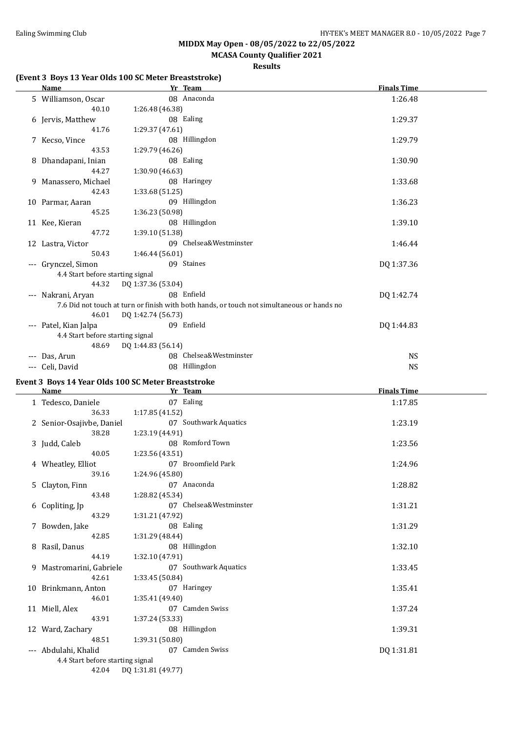**MCASA County Qualifier 2021**

**Results**

#### **(Event 3 Boys 13 Year Olds 100 SC Meter Breaststroke)**

| <u>Name</u>                                         |                    | Yr Team                                                                                    | <b>Finals Time</b> |  |
|-----------------------------------------------------|--------------------|--------------------------------------------------------------------------------------------|--------------------|--|
| 5 Williamson, Oscar                                 |                    | 08 Anaconda                                                                                | 1:26.48            |  |
| 40.10                                               | 1:26.48 (46.38)    |                                                                                            |                    |  |
| 6 Jervis, Matthew                                   |                    | 08 Ealing                                                                                  | 1:29.37            |  |
| 41.76                                               | 1:29.37(47.61)     |                                                                                            |                    |  |
| 7 Kecso, Vince                                      |                    | 08 Hillingdon                                                                              | 1:29.79            |  |
| 43.53                                               | 1:29.79 (46.26)    |                                                                                            |                    |  |
| 8 Dhandapani, Inian                                 |                    | 08 Ealing                                                                                  | 1:30.90            |  |
| 44.27                                               | 1:30.90 (46.63)    |                                                                                            |                    |  |
| 9 Manassero, Michael                                |                    | 08 Haringey                                                                                | 1:33.68            |  |
| 42.43                                               | 1:33.68 (51.25)    |                                                                                            |                    |  |
| 10 Parmar, Aaran                                    |                    | 09 Hillingdon                                                                              | 1:36.23            |  |
| 45.25                                               | 1:36.23 (50.98)    |                                                                                            |                    |  |
| 11 Kee, Kieran                                      |                    | 08 Hillingdon                                                                              | 1:39.10            |  |
| 47.72                                               | 1:39.10 (51.38)    |                                                                                            |                    |  |
| 12 Lastra, Victor                                   |                    | 09 Chelsea&Westminster                                                                     | 1:46.44            |  |
| 50.43                                               | 1:46.44(56.01)     |                                                                                            |                    |  |
| --- Grynczel, Simon                                 |                    | 09 Staines                                                                                 | DQ 1:37.36         |  |
| 4.4 Start before starting signal                    |                    |                                                                                            |                    |  |
| 44.32                                               | DQ 1:37.36 (53.04) |                                                                                            |                    |  |
| --- Nakrani, Aryan                                  |                    | 08 Enfield                                                                                 | DQ 1:42.74         |  |
|                                                     |                    | 7.6 Did not touch at turn or finish with both hands, or touch not simultaneous or hands no |                    |  |
| 46.01                                               | DQ 1:42.74 (56.73) |                                                                                            |                    |  |
| --- Patel, Kian Jalpa                               |                    | 09 Enfield                                                                                 | DQ 1:44.83         |  |
| 4.4 Start before starting signal                    |                    |                                                                                            |                    |  |
| 48.69                                               | DQ 1:44.83 (56.14) |                                                                                            |                    |  |
| --- Das, Arun                                       |                    | 08 Chelsea&Westminster                                                                     | <b>NS</b>          |  |
| --- Celi, David                                     |                    | 08 Hillingdon                                                                              | <b>NS</b>          |  |
|                                                     |                    |                                                                                            |                    |  |
| Event 3 Boys 14 Year Olds 100 SC Meter Breaststroke |                    |                                                                                            |                    |  |
| Name                                                |                    | Yr Team                                                                                    | <b>Finals Time</b> |  |
| 1 Tedesco, Daniele                                  |                    | 07 Ealing                                                                                  | 1:17.85            |  |
| 36.33                                               | 1:17.85 (41.52)    |                                                                                            |                    |  |
| 2 Senior-Osajivbe, Daniel                           |                    | 07 Southwark Aquatics                                                                      | 1:23.19            |  |
| 38.28                                               | 1:23.19 (44.91)    |                                                                                            |                    |  |
| 3 Judd, Caleb                                       |                    | 08 Romford Town                                                                            | 1:23.56            |  |
| 40.05                                               | 1:23.56 (43.51)    |                                                                                            |                    |  |
| 4 Wheatley, Elliot                                  |                    | 07 Broomfield Park                                                                         | 1:24.96            |  |
| 39.16                                               | 1:24.96 (45.80)    |                                                                                            |                    |  |
| 5 Clayton, Finn                                     |                    | 07 Anaconda                                                                                | 1:28.82            |  |
| 43.48                                               | 1:28.82 (45.34)    |                                                                                            |                    |  |
| 6 Copliting, Jp                                     |                    | 07 Chelsea&Westminster                                                                     | 1:31.21            |  |
| 43.29                                               | 1:31.21 (47.92)    |                                                                                            |                    |  |
| 7 Bowden, Jake                                      |                    | 08 Ealing                                                                                  | 1:31.29            |  |
| 42.85                                               | 1:31.29 (48.44)    |                                                                                            |                    |  |
| 8 Rasil, Danus                                      |                    | 08 Hillingdon                                                                              | 1:32.10            |  |
| 44.19                                               | 1:32.10 (47.91)    |                                                                                            |                    |  |
| 9 Mastromarini, Gabriele                            |                    | 07 Southwark Aquatics                                                                      | 1:33.45            |  |
| 42.61                                               | 1:33.45 (50.84)    |                                                                                            |                    |  |
| 10 Brinkmann, Anton                                 |                    | 07 Haringey                                                                                | 1:35.41            |  |
| 46.01                                               | 1:35.41 (49.40)    |                                                                                            |                    |  |
| 11 Miell, Alex                                      |                    | 07 Camden Swiss                                                                            | 1:37.24            |  |
| 43.91                                               | 1:37.24 (53.33)    |                                                                                            |                    |  |
| 12 Ward, Zachary                                    |                    | 08 Hillingdon                                                                              | 1:39.31            |  |
| 48.51                                               | 1:39.31 (50.80)    |                                                                                            |                    |  |

--- Abdulahi, Khalid 07 Camden Swiss DQ 1:31.81

4.4 Start before starting signal

42.04 DQ 1:31.81 (49.77)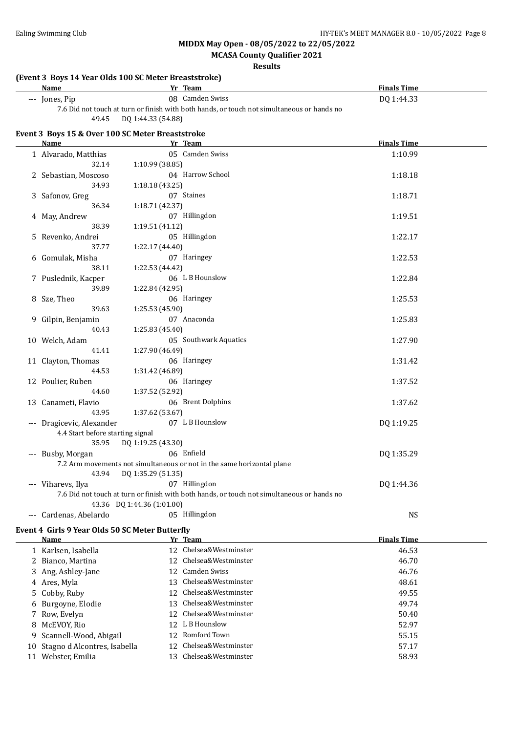**MCASA County Qualifier 2021**

**Results**

#### **(Event 3 Boys 14 Year Olds 100 SC Meter Breaststroke)**

| Name                                                                                       | Team            | <b>Finals Time</b> |  |  |
|--------------------------------------------------------------------------------------------|-----------------|--------------------|--|--|
| --- Jones, Pip                                                                             | 08 Camden Swiss | DO 1:44.33         |  |  |
| 7.6 Did not touch at turn or finish with both hands, or touch not simultaneous or hands no |                 |                    |  |  |

49.45 DQ 1:44.33 (54.88)

#### **Event 3 Boys 15 & Over 100 SC Meter Breaststroke**

| <b>Name</b>                      | Yr Team                                                                                                                  | <b>Finals Time</b> |  |
|----------------------------------|--------------------------------------------------------------------------------------------------------------------------|--------------------|--|
| 1 Alvarado, Matthias             | 05 Camden Swiss                                                                                                          | 1:10.99            |  |
| 32.14                            | 1:10.99 (38.85)                                                                                                          |                    |  |
| 2 Sebastian, Moscoso             | 04 Harrow School                                                                                                         | 1:18.18            |  |
| 34.93                            | 1:18.18 (43.25)                                                                                                          |                    |  |
| 3 Safonov, Greg                  | 07 Staines                                                                                                               | 1:18.71            |  |
| 36.34                            | 1:18.71 (42.37)                                                                                                          |                    |  |
| 4 May, Andrew                    | 07 Hillingdon                                                                                                            | 1:19.51            |  |
| 38.39                            | 1:19.51 (41.12)                                                                                                          |                    |  |
| 5 Revenko, Andrei                | 05 Hillingdon                                                                                                            | 1:22.17            |  |
| 37.77                            | 1:22.17 (44.40)                                                                                                          |                    |  |
| 6 Gomulak, Misha                 | 07 Haringey                                                                                                              | 1:22.53            |  |
| 38.11                            | 1:22.53 (44.42)                                                                                                          |                    |  |
| 7 Puslednik, Kacper              | 06 L B Hounslow                                                                                                          | 1:22.84            |  |
| 39.89                            | 1:22.84 (42.95)                                                                                                          |                    |  |
| 8 Sze, Theo                      | 06 Haringey                                                                                                              | 1:25.53            |  |
| 39.63                            | 1:25.53 (45.90)                                                                                                          |                    |  |
| 9 Gilpin, Benjamin               | 07 Anaconda                                                                                                              | 1:25.83            |  |
| 40.43                            | 1:25.83 (45.40)                                                                                                          |                    |  |
| 10 Welch, Adam                   | 05 Southwark Aquatics                                                                                                    | 1:27.90            |  |
| 41.41                            | 1:27.90 (46.49)                                                                                                          |                    |  |
| 11 Clayton, Thomas               | 06 Haringey                                                                                                              | 1:31.42            |  |
| 44.53                            | 1:31.42 (46.89)                                                                                                          |                    |  |
| 12 Poulier, Ruben                | 06 Haringey                                                                                                              | 1:37.52            |  |
| 44.60                            | 1:37.52 (52.92)                                                                                                          |                    |  |
| 13 Canameti, Flavio              | 06 Brent Dolphins                                                                                                        | 1:37.62            |  |
| 43.95                            | 1:37.62 (53.67)                                                                                                          |                    |  |
| --- Dragicevic, Alexander        | 07 L B Hounslow                                                                                                          | DQ 1:19.25         |  |
| 4.4 Start before starting signal |                                                                                                                          |                    |  |
| 35.95                            | DQ 1:19.25 (43.30)                                                                                                       |                    |  |
| --- Busby, Morgan                | 06 Enfield                                                                                                               | DQ 1:35.29         |  |
|                                  | 7.2 Arm movements not simultaneous or not in the same horizontal plane                                                   |                    |  |
| 43.94                            | DQ 1:35.29 (51.35)                                                                                                       |                    |  |
| --- Viharevs, Ilya               | 07 Hillingdon                                                                                                            | DQ 1:44.36         |  |
|                                  | 7.6 Did not touch at turn or finish with both hands, or touch not simultaneous or hands no<br>43.36 DQ 1:44.36 (1:01.00) |                    |  |
|                                  | 05 Hillingdon                                                                                                            |                    |  |
| --- Cardenas, Abelardo           |                                                                                                                          | <b>NS</b>          |  |
|                                  | Event 4 Girls 9 Year Olds 50 SC Meter Butterfly                                                                          |                    |  |

| Name                            |     | Yr Team                | <b>Finals Time</b> |
|---------------------------------|-----|------------------------|--------------------|
| 1 Karlsen, Isabella             |     | 12 Chelsea&Westminster | 46.53              |
| 2 Bianco, Martina               |     | 12 Chelsea&Westminster | 46.70              |
| 3 Ang, Ashley-Jane              |     | 12 Camden Swiss        | 46.76              |
| 4 Ares, Myla                    | 13  | Chelsea&Westminster    | 48.61              |
| 5 Cobby, Ruby                   | 12. | Chelsea&Westminster    | 49.55              |
| 6 Burgoyne, Elodie              | 13  | Chelsea&Westminster    | 49.74              |
| 7 Row, Evelyn                   |     | 12 Chelsea&Westminster | 50.40              |
| 8 McEVOY, Rio                   |     | 12 L B Hounslow        | 52.97              |
| 9 Scannell-Wood, Abigail        |     | 12 Romford Town        | 55.15              |
| 10 Stagno d Alcontres, Isabella | 12  | Chelsea&Westminster    | 57.17              |
| 11 Webster, Emilia              | 13. | Chelsea&Westminster    | 58.93              |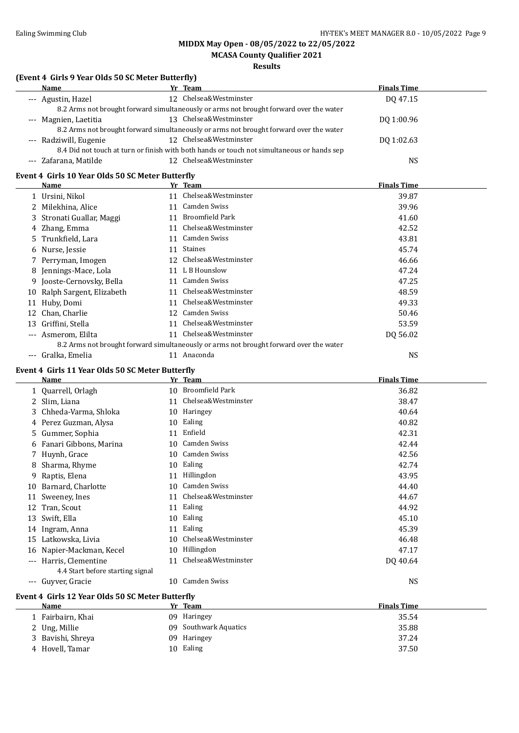### **MCASA County Qualifier 2021**

#### **Results**

#### **(Event 4 Girls 9 Year Olds 50 SC Meter Butterfly)**

| Name                   | Yr Team                                                                                    | <b>Finals Time</b> |
|------------------------|--------------------------------------------------------------------------------------------|--------------------|
| --- Agustin, Hazel     | 12 Chelsea&Westminster                                                                     | DO 47.15           |
|                        | 8.2 Arms not brought forward simultaneously or arms not brought forward over the water     |                    |
| --- Magnien, Laetitia  | 13 Chelsea&Westminster                                                                     | DO 1:00.96         |
|                        | 8.2 Arms not brought forward simultaneously or arms not brought forward over the water     |                    |
| --- Radziwill, Eugenie | 12 Chelsea&Westminster                                                                     | DQ 1:02.63         |
|                        | 8.4 Did not touch at turn or finish with both hands or touch not simultaneous or hands sep |                    |
| --- Zafarana, Matilde  | 12 Chelsea&Westminster                                                                     | NS                 |

#### **Event 4 Girls 10 Year Olds 50 SC Meter Butterfly**

|       | Name                        |     | Yr_Team                                                                                | <b>Finals Time</b> |
|-------|-----------------------------|-----|----------------------------------------------------------------------------------------|--------------------|
|       | 1 Ursini, Nikol             | 11  | Chelsea&Westminster                                                                    | 39.87              |
|       | 2 Milekhina, Alice          | 11  | Camden Swiss                                                                           | 39.96              |
|       | 3 Stronati Guallar, Maggi   | 11  | Broomfield Park                                                                        | 41.60              |
|       | 4 Zhang, Emma               | 11  | Chelsea&Westminster                                                                    | 42.52              |
|       | 5 Trunkfield, Lara          | 11  | Camden Swiss                                                                           | 43.81              |
|       | 6 Nurse, Jessie             | 11  | <b>Staines</b>                                                                         | 45.74              |
|       | 7 Perryman, Imogen          | 12. | Chelsea&Westminster                                                                    | 46.66              |
|       | 8 Jennings-Mace, Lola       | 11  | L B Hounslow                                                                           | 47.24              |
|       | 9 Jooste-Cernovsky, Bella   | 11  | Camden Swiss                                                                           | 47.25              |
|       | 10 Ralph Sargent, Elizabeth | 11  | Chelsea&Westminster                                                                    | 48.59              |
| 11    | Huby, Domi                  | 11  | Chelsea&Westminster                                                                    | 49.33              |
|       | 12 Chan, Charlie            | 12  | Camden Swiss                                                                           | 50.46              |
| 13    | Griffini, Stella            | 11  | Chelsea&Westminster                                                                    | 53.59              |
| $---$ | Asmerom, Elilta             | 11  | Chelsea&Westminster                                                                    | DO 56.02           |
|       |                             |     | 8.2 Arms not brought forward simultaneously or arms not brought forward over the water |                    |
| $---$ | Gralka, Emelia              | 11  | Anaconda                                                                               | NS                 |

#### **Event 4 Girls 11 Year Olds 50 SC Meter Butterfly**

|     | <b>Name</b>                                      |    | Yr Team                | <b>Finals Time</b> |  |
|-----|--------------------------------------------------|----|------------------------|--------------------|--|
|     | 1 Quarrell, Orlagh                               | 10 | <b>Broomfield Park</b> | 36.82              |  |
|     | 2 Slim, Liana                                    | 11 | Chelsea&Westminster    | 38.47              |  |
| 3.  | Chheda-Varma, Shloka                             | 10 | Haringey               | 40.64              |  |
|     | 4 Perez Guzman, Alysa                            | 10 | Ealing                 | 40.82              |  |
| 5   | Gummer, Sophia                                   | 11 | Enfield                | 42.31              |  |
|     | 6 Fanari Gibbons, Marina                         | 10 | Camden Swiss           | 42.44              |  |
|     | 7 Huynh, Grace                                   | 10 | Camden Swiss           | 42.56              |  |
| 8   | Sharma, Rhyme                                    | 10 | Ealing                 | 42.74              |  |
| 9   | Raptis, Elena                                    | 11 | Hillingdon             | 43.95              |  |
| 10  | Barnard, Charlotte                               | 10 | Camden Swiss           | 44.40              |  |
| 11  | Sweeney, Ines                                    | 11 | Chelsea&Westminster    | 44.67              |  |
| 12  | Tran, Scout                                      | 11 | Ealing                 | 44.92              |  |
| 13  | Swift, Ella                                      | 10 | Ealing                 | 45.10              |  |
| 14  | Ingram, Anna                                     | 11 | Ealing                 | 45.39              |  |
| 15  | Latkowska, Livia                                 | 10 | Chelsea&Westminster    | 46.48              |  |
| 16  | Napier-Mackman, Kecel                            | 10 | Hillingdon             | 47.17              |  |
| --- | Harris, Clementine                               | 11 | Chelsea&Westminster    | DQ 40.64           |  |
|     | 4.4 Start before starting signal                 |    |                        |                    |  |
| --- | Guyver, Gracie                                   | 10 | Camden Swiss           | <b>NS</b>          |  |
|     | Event 4 Girls 12 Year Olds 50 SC Meter Butterfly |    |                        |                    |  |
|     | Name                                             |    | Yr Team                | <b>Finals Time</b> |  |

| name              | . . |                       | .     |
|-------------------|-----|-----------------------|-------|
| 1 Fairbairn, Khai |     | 09 Haringey           | 35.54 |
| 2 Ung, Millie     |     | 09 Southwark Aquatics | 35.88 |
| 3 Bavishi, Shreya |     | 09 Haringey           | 37.24 |
| 4 Hovell, Tamar   |     | 10 Ealing             | 37.50 |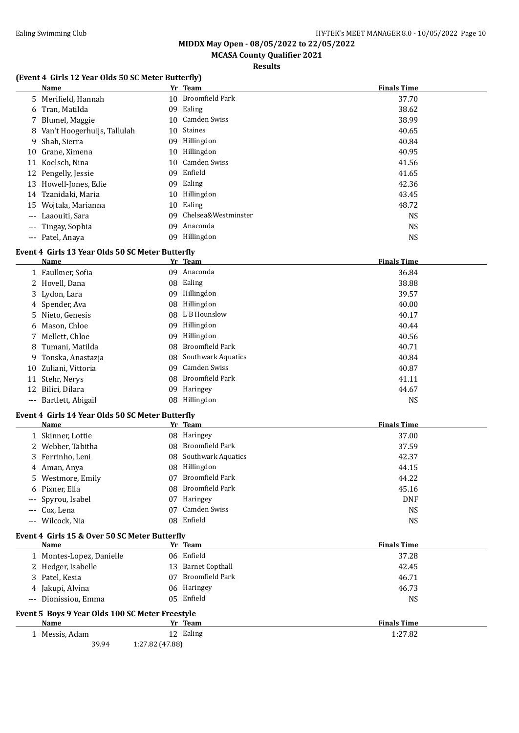**MCASA County Qualifier 2021**

**Results**

#### **(Event 4 Girls 12 Year Olds 50 SC Meter Butterfly)**

|       | Name                          |    | Yr Team             | <b>Finals Time</b> |  |
|-------|-------------------------------|----|---------------------|--------------------|--|
|       | 5 Merifield, Hannah           |    | 10 Broomfield Park  | 37.70              |  |
|       | 6 Tran, Matilda               | 09 | Ealing              | 38.62              |  |
|       | 7 Blumel, Maggie              |    | 10 Camden Swiss     | 38.99              |  |
|       | 8 Van't Hoogerhuijs, Tallulah | 10 | <b>Staines</b>      | 40.65              |  |
|       | 9 Shah, Sierra                | 09 | Hillingdon          | 40.84              |  |
|       | 10 Grane, Ximena              | 10 | Hillingdon          | 40.95              |  |
|       | 11 Koelsch, Nina              |    | 10 Camden Swiss     | 41.56              |  |
|       | 12 Pengelly, Jessie           | 09 | Enfield             | 41.65              |  |
| 13    | Howell-Jones, Edie            | 09 | Ealing              | 42.36              |  |
|       | 14 Tzanidaki, Maria           | 10 | Hillingdon          | 43.45              |  |
| 15    | Wojtala, Marianna             | 10 | Ealing              | 48.72              |  |
| $---$ | Laaouiti, Sara                | 09 | Chelsea&Westminster | <b>NS</b>          |  |
|       | --- Tingay, Sophia            | 09 | Anaconda            | <b>NS</b>          |  |
|       | --- Patel, Anava              | 09 | Hillingdon          | <b>NS</b>          |  |

#### **Event 4 Girls 13 Year Olds 50 SC Meter Butterfly**

|    | Name                  |    | Yr Team               | <b>Finals Time</b> |
|----|-----------------------|----|-----------------------|--------------------|
|    | 1 Faulkner, Sofia     | 09 | Anaconda              | 36.84              |
|    | 2 Hovell, Dana        | 08 | Ealing                | 38.88              |
|    | 3 Lydon, Lara         | 09 | Hillingdon            | 39.57              |
|    | 4 Spender, Ava        | 08 | Hillingdon            | 40.00              |
|    | 5 Nieto, Genesis      |    | 08 L B Hounslow       | 40.17              |
|    | 6 Mason, Chloe        | 09 | Hillingdon            | 40.44              |
|    | 7 Mellett, Chloe      | 09 | Hillingdon            | 40.56              |
|    | 8 Tumani, Matilda     | 08 | Broomfield Park       | 40.71              |
|    | 9 Tonska, Anastazja   |    | 08 Southwark Aquatics | 40.84              |
|    | 10 Zuliani, Vittoria  | 09 | Camden Swiss          | 40.87              |
| 11 | Stehr, Nerys          | 08 | Broomfield Park       | 41.11              |
| 12 | Bilici, Dilara        | 09 | Haringey              | 44.67              |
|    | --- Bartlett, Abigail |    | 08 Hillingdon         | <b>NS</b>          |

#### **Event 4 Girls 14 Year Olds 50 SC Meter Butterfly**

| Name               |     | Yr Team               | <b>Finals Time</b> |  |
|--------------------|-----|-----------------------|--------------------|--|
| 1 Skinner, Lottie  |     | 08 Haringey           | 37.00              |  |
| 2 Webber, Tabitha  |     | 08 Broomfield Park    | 37.59              |  |
| 3 Ferrinho, Leni   |     | 08 Southwark Aquatics | 42.37              |  |
| 4 Aman, Anya       | 08. | Hillingdon            | 44.15              |  |
| 5 Westmore, Emily  | 07  | Broomfield Park       | 44.22              |  |
| 6 Pixner, Ella     |     | 08 Broomfield Park    | 45.16              |  |
| --- Spyrou, Isabel | 07  | Haringey              | <b>DNF</b>         |  |
| --- Cox, Lena      | 07  | Camden Swiss          | <b>NS</b>          |  |
| --- Wilcock, Nia   |     | 08 Enfield            | <b>NS</b>          |  |

#### **Event 4 Girls 15 & Over 50 SC Meter Butterfly**

| Name                                            | Yr Team               | <b>Finals Time</b> |
|-------------------------------------------------|-----------------------|--------------------|
| 1 Montes-Lopez, Danielle                        | 06 Enfield            | 37.28              |
| 2 Hedger, Isabelle                              | 13 Barnet Copthall    | 42.45              |
| 3 Patel, Kesia                                  | Broomfield Park<br>07 | 46.71              |
| 4 Jakupi, Alvina                                | 06 Haringey           | 46.73              |
| --- Dionissiou, Emma                            | 05 Enfield            | <b>NS</b>          |
| Event 5 Boys 9 Year Olds 100 SC Meter Freestyle |                       |                    |
| Name                                            | Yr Team               | <b>Finals Time</b> |
| 1 Messis, Adam                                  | 12 Ealing             | 1:27.82            |
| 39.94                                           | 1:27.82 (47.88)       |                    |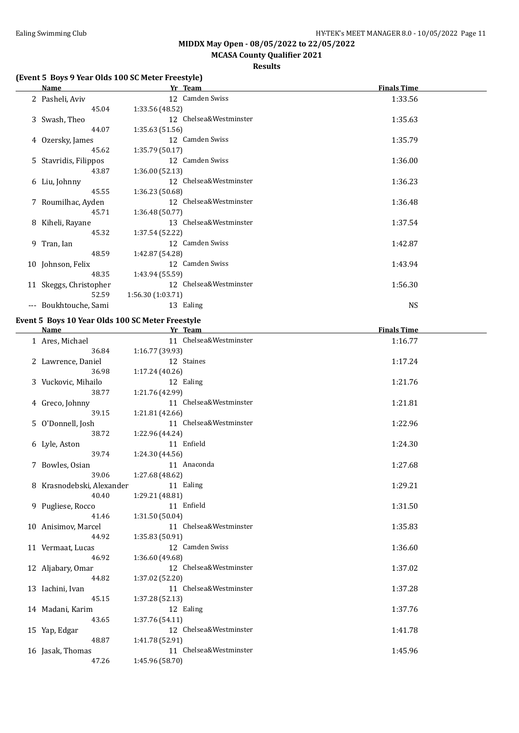### **MCASA County Qualifier 2021**

#### **Results**

#### **(Event 5 Boys 9 Year Olds 100 SC Meter Freestyle)**

| Name                   | Yr_Team                   | <b>Finals Time</b> |
|------------------------|---------------------------|--------------------|
| 2 Pasheli, Aviv        | 12 Camden Swiss           | 1:33.56            |
| 45.04                  | 1:33.56 (48.52)           |                    |
| 3 Swash, Theo          | 12 Chelsea&Westminster    | 1:35.63            |
| 44.07                  | 1:35.63(51.56)            |                    |
| 4 Ozersky, James       | 12 Camden Swiss           | 1:35.79            |
| 45.62                  | 1:35.79(50.17)            |                    |
| 5 Stavridis, Filippos  | 12 Camden Swiss           | 1:36.00            |
| 43.87                  | 1:36.00(52.13)            |                    |
| 6 Liu, Johnny          | 12 Chelsea&Westminster    | 1:36.23            |
| 45.55                  | 1:36.23(50.68)            |                    |
| 7 Roumilhac, Ayden     | 12 Chelsea&Westminster    | 1:36.48            |
| 45.71                  | 1:36.48(50.77)            |                    |
| 8 Kiheli, Rayane       | 13 Chelsea&Westminster    | 1:37.54            |
| 45.32                  | 1:37.54 (52.22)           |                    |
| 9 Tran, Ian            | 12 Camden Swiss           | 1:42.87            |
| 48.59                  | 1:42.87 (54.28)           |                    |
| 10 Johnson, Felix      | 12 Camden Swiss           | 1:43.94            |
| 48.35                  | 1:43.94 (55.59)           |                    |
| 11 Skeggs, Christopher | Chelsea&Westminster<br>12 | 1:56.30            |
| 52.59                  | 1:56.30(1:03.71)          |                    |
| --- Boukhtouche, Sami  | 13 Ealing                 | <b>NS</b>          |

#### **Event 5 Boys 10 Year Olds 100 SC Meter Freestyle**

| <b>Name</b>               | Yr Team                | <b>Finals Time</b> |
|---------------------------|------------------------|--------------------|
| 1 Ares, Michael           | 11 Chelsea&Westminster | 1:16.77            |
| 36.84                     | 1:16.77(39.93)         |                    |
| 2 Lawrence, Daniel        | 12 Staines             | 1:17.24            |
| 36.98                     | 1:17.24 (40.26)        |                    |
| 3 Vuckovic, Mihailo       | 12 Ealing              | 1:21.76            |
| 38.77                     | 1:21.76 (42.99)        |                    |
| 4 Greco, Johnny           | 11 Chelsea&Westminster | 1:21.81            |
| 39.15                     | 1:21.81 (42.66)        |                    |
| 5 O'Donnell, Josh         | 11 Chelsea&Westminster | 1:22.96            |
| 38.72                     | 1:22.96 (44.24)        |                    |
| 6 Lyle, Aston             | 11 Enfield             | 1:24.30            |
| 39.74                     | 1:24.30(44.56)         |                    |
| 7 Bowles, Osian           | 11 Anaconda            | 1:27.68            |
| 39.06                     | 1:27.68 (48.62)        |                    |
| 8 Krasnodebski, Alexander | 11 Ealing              | 1:29.21            |
| 40.40                     | 1:29.21 (48.81)        |                    |
| 9 Pugliese, Rocco         | 11 Enfield             | 1:31.50            |
| 41.46                     | 1:31.50(50.04)         |                    |
| 10 Anisimov, Marcel       | 11 Chelsea&Westminster | 1:35.83            |
| 44.92                     | 1:35.83 (50.91)        |                    |
| 11 Vermaat, Lucas         | 12 Camden Swiss        | 1:36.60            |
| 46.92                     | 1:36.60 (49.68)        |                    |
| 12 Aljabary, Omar         | 12 Chelsea&Westminster | 1:37.02            |
| 44.82                     | 1:37.02 (52.20)        |                    |
| 13 Iachini, Ivan          | 11 Chelsea&Westminster | 1:37.28            |
| 45.15                     | 1:37.28 (52.13)        |                    |
| 14 Madani, Karim          | 12 Ealing              | 1:37.76            |
| 43.65                     | 1:37.76(54.11)         |                    |
| 15 Yap, Edgar             | 12 Chelsea&Westminster | 1:41.78            |
| 48.87                     | 1:41.78 (52.91)        |                    |
| 16 Jasak, Thomas          | 11 Chelsea&Westminster | 1:45.96            |
| 47.26                     | 1:45.96 (58.70)        |                    |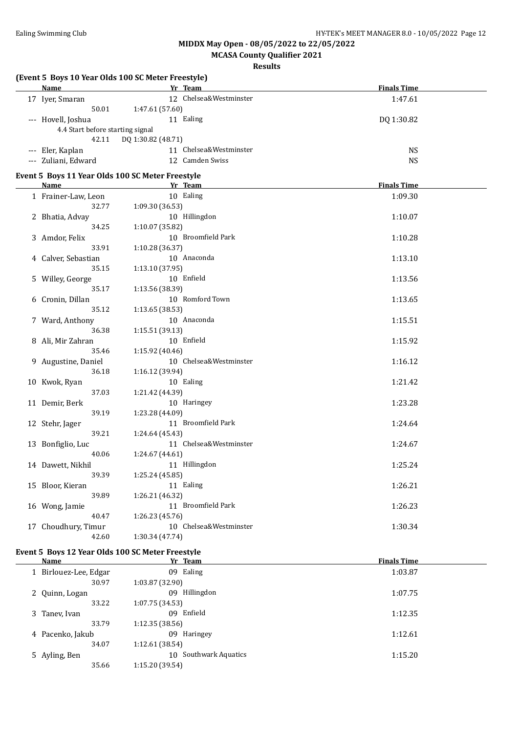### **MCASA County Qualifier 2021**

#### **Results**

|                                  | (Event 5 Boys 10 Year Olds 100 SC Meter Freestyle) |                    |  |
|----------------------------------|----------------------------------------------------|--------------------|--|
| Name                             | Yr Team                                            | <b>Finals Time</b> |  |
| 17 Iyer, Smaran                  | 12 Chelsea&Westminster                             | 1:47.61            |  |
| 50.01                            | 1:47.61 (57.60)                                    |                    |  |
| --- Hovell, Joshua               | 11 Ealing                                          | DQ 1:30.82         |  |
| 4.4 Start before starting signal |                                                    |                    |  |
| 42.11                            | DQ 1:30.82 (48.71)                                 |                    |  |
| --- Eler, Kaplan                 | 11 Chelsea&Westminster                             | <b>NS</b>          |  |
| --- Zuliani, Edward              | 12 Camden Swiss                                    | <b>NS</b>          |  |
|                                  | Event 5 Boys 11 Year Olds 100 SC Meter Freestyle   |                    |  |
| Name                             | Yr Team                                            | <b>Finals Time</b> |  |
| 1 Frainer-Law, Leon              | 10 Ealing                                          | 1:09.30            |  |
| 32.77                            | 1:09.30 (36.53)                                    |                    |  |
| 2 Bhatia, Advay                  | 10 Hillingdon                                      | 1:10.07            |  |
| 34.25                            | 1:10.07 (35.82)                                    |                    |  |
| 3 Amdor, Felix                   | 10 Broomfield Park                                 | 1:10.28            |  |
| 33.91                            | 1:10.28 (36.37)                                    |                    |  |
| 4 Calver, Sebastian              | 10 Anaconda                                        | 1:13.10            |  |
| 35.15                            | 1:13.10 (37.95)                                    |                    |  |
| 5 Willey, George                 | 10 Enfield                                         | 1:13.56            |  |
| 35.17                            | 1:13.56 (38.39)                                    |                    |  |
| 6 Cronin, Dillan                 | 10 Romford Town                                    | 1:13.65            |  |
| 35.12                            | 1:13.65 (38.53)                                    |                    |  |
| 7 Ward, Anthony                  | 10 Anaconda                                        | 1:15.51            |  |
| 36.38                            | 1:15.51 (39.13)                                    |                    |  |
| 8 Ali, Mir Zahran                | 10 Enfield                                         | 1:15.92            |  |
| 35.46                            | 1:15.92 (40.46)                                    |                    |  |
| 9 Augustine, Daniel              | 10 Chelsea&Westminster                             | 1:16.12            |  |
| 36.18                            | 1:16.12 (39.94)                                    |                    |  |
| 10 Kwok, Ryan                    | 10 Ealing                                          | 1:21.42            |  |
| 37.03                            | 1:21.42 (44.39)                                    |                    |  |
| 11 Demir, Berk                   | 10 Haringey                                        | 1:23.28            |  |
| 39.19                            | 1:23.28 (44.09)                                    |                    |  |
| 12 Stehr, Jager                  | 11 Broomfield Park                                 | 1:24.64            |  |
| 39.21                            | 1:24.64 (45.43)                                    |                    |  |
| 13 Bonfiglio, Luc                | 11 Chelsea&Westminster                             | 1:24.67            |  |
| 40.06                            | 1:24.67 (44.61)                                    |                    |  |
| 14 Dawett, Nikhil                | 11 Hillingdon                                      | 1:25.24            |  |
| 39.39                            | 1:25.24 (45.85)                                    |                    |  |
| 15 Bloor, Kieran                 | 11 Ealing                                          | 1:26.21            |  |
| 39.89                            | 1:26.21 (46.32)                                    |                    |  |
| 16 Wong, Jamie                   | 11 Broomfield Park                                 | 1:26.23            |  |
| 40.47                            | 1:26.23 (45.76)                                    |                    |  |
| 17 Choudhury, Timur              | 10 Chelsea&Westminster                             | 1:30.34            |  |
| 42.60                            | 1:30.34 (47.74)                                    |                    |  |

#### **Event 5 Boys 12 Year Olds 100 SC Meter Freestyle**

|                          | <b>Finals Time</b>                                                                                  |
|--------------------------|-----------------------------------------------------------------------------------------------------|
| 09 Ealing                | 1:03.87                                                                                             |
|                          |                                                                                                     |
| Hillingdon<br>09         | 1:07.75                                                                                             |
|                          |                                                                                                     |
| Enfield<br>09            | 1:12.35                                                                                             |
|                          |                                                                                                     |
| Haringey<br>09           | 1:12.61                                                                                             |
|                          |                                                                                                     |
| Southwark Aquatics<br>10 | 1:15.20                                                                                             |
|                          |                                                                                                     |
|                          | Yr Team<br>1:03.87 (32.90)<br>1:07.75(34.53)<br>1:12.35(38.56)<br>1:12.61(38.54)<br>1:15.20 (39.54) |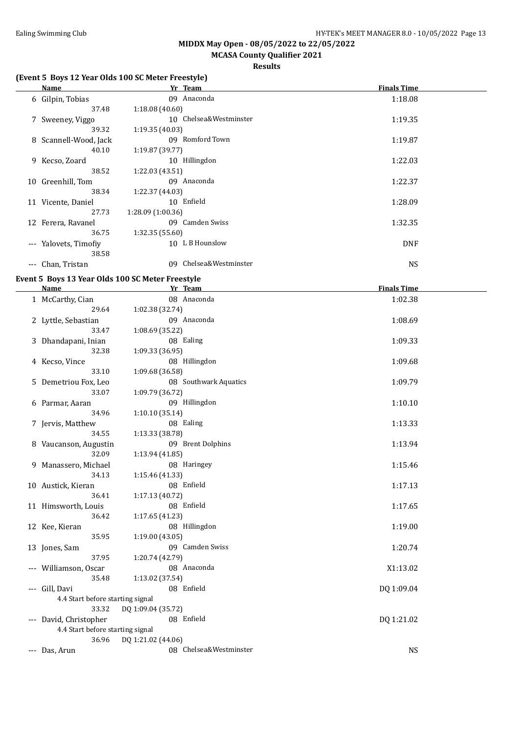### **MCASA County Qualifier 2021**

#### **Results**

#### **(Event 5 Boys 12 Year Olds 100 SC Meter Freestyle)**

|          | Name                  |                  | Yr Team                | <b>Finals Time</b> |  |
|----------|-----------------------|------------------|------------------------|--------------------|--|
|          | 6 Gilpin, Tobias      | 09.              | Anaconda               | 1:18.08            |  |
|          | 37.48                 | 1:18.08(40.60)   |                        |                    |  |
|          | 7 Sweeney, Viggo      |                  | 10 Chelsea&Westminster | 1:19.35            |  |
|          | 39.32                 | 1:19.35(40.03)   |                        |                    |  |
|          | 8 Scannell-Wood, Jack | 09               | Romford Town           | 1:19.87            |  |
|          | 40.10                 | 1:19.87(39.77)   |                        |                    |  |
|          | 9 Kecso, Zoard        |                  | 10 Hillingdon          | 1:22.03            |  |
|          | 38.52                 | 1:22.03(43.51)   |                        |                    |  |
| 10       | Greenhill, Tom        | 09               | Anaconda               | 1:22.37            |  |
|          | 38.34                 | 1:22.37 (44.03)  |                        |                    |  |
|          | 11 Vicente, Daniel    |                  | 10 Enfield             | 1:28.09            |  |
|          | 27.73                 | 1:28.09(1:00.36) |                        |                    |  |
|          | 12 Ferera, Ravanel    |                  | 09 Camden Swiss        | 1:32.35            |  |
|          | 36.75                 | 1:32.35(55.60)   |                        |                    |  |
| $\cdots$ | Yalovets, Timofiy     |                  | 10 L B Hounslow        | <b>DNF</b>         |  |
|          | 38.58                 |                  |                        |                    |  |
| $---$    | Chan, Tristan         | 09               | Chelsea&Westminster    | <b>NS</b>          |  |
|          |                       |                  |                        |                    |  |

#### **Event 5 Boys 13 Year Olds 100 SC Meter Freestyle**

| <b>Name</b>                      | Yr Team                | <b>Finals Time</b> |  |
|----------------------------------|------------------------|--------------------|--|
| 1 McCarthy, Cian                 | 08 Anaconda            | 1:02.38            |  |
| 29.64                            | 1:02.38 (32.74)        |                    |  |
| 2 Lyttle, Sebastian              | 09 Anaconda            | 1:08.69            |  |
| 33.47                            | 1:08.69 (35.22)        |                    |  |
| 3 Dhandapani, Inian              | 08 Ealing              | 1:09.33            |  |
| 32.38                            | 1:09.33 (36.95)        |                    |  |
| 4 Kecso, Vince                   | 08 Hillingdon          | 1:09.68            |  |
| 33.10                            | 1:09.68 (36.58)        |                    |  |
| 5 Demetriou Fox, Leo             | 08 Southwark Aquatics  | 1:09.79            |  |
| 33.07                            | 1:09.79 (36.72)        |                    |  |
| 6 Parmar, Aaran                  | 09 Hillingdon          | 1:10.10            |  |
| 34.96                            | 1:10.10(35.14)         |                    |  |
| 7 Jervis, Matthew                | 08 Ealing              | 1:13.33            |  |
| 34.55                            | 1:13.33 (38.78)        |                    |  |
| 8 Vaucanson, Augustin            | 09 Brent Dolphins      | 1:13.94            |  |
| 32.09                            | 1:13.94 (41.85)        |                    |  |
| 9 Manassero, Michael             | 08 Haringey            | 1:15.46            |  |
| 34.13                            | 1:15.46 (41.33)        |                    |  |
| 10 Austick, Kieran               | 08 Enfield             | 1:17.13            |  |
| 36.41                            | 1:17.13 (40.72)        |                    |  |
| 11 Himsworth, Louis              | 08 Enfield             | 1:17.65            |  |
| 36.42                            | 1:17.65(41.23)         |                    |  |
| 12 Kee, Kieran                   | 08 Hillingdon          | 1:19.00            |  |
| 35.95                            | 1:19.00(43.05)         |                    |  |
| 13 Jones, Sam                    | 09 Camden Swiss        | 1:20.74            |  |
| 37.95                            | 1:20.74 (42.79)        |                    |  |
| --- Williamson, Oscar            | 08 Anaconda            | X1:13.02           |  |
| 35.48                            | 1:13.02 (37.54)        |                    |  |
| --- Gill, Davi                   | 08 Enfield             | DQ 1:09.04         |  |
| 4.4 Start before starting signal |                        |                    |  |
| 33.32                            | DQ 1:09.04 (35.72)     |                    |  |
| --- David, Christopher           | 08 Enfield             | DQ 1:21.02         |  |
| 4.4 Start before starting signal |                        |                    |  |
| 36.96                            | DQ 1:21.02 (44.06)     |                    |  |
| --- Das, Arun                    | 08 Chelsea&Westminster | <b>NS</b>          |  |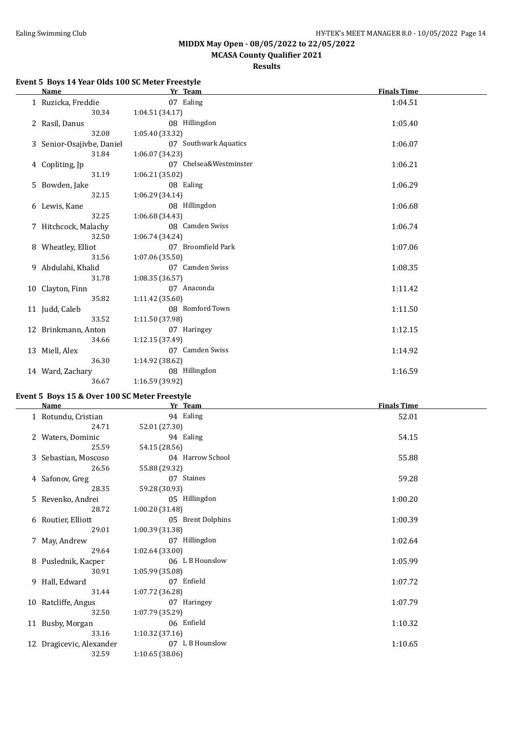**MCASA County Qualifier 2021**

**Results**

#### **Event 5 Boys 14 Year Olds 100 SC Meter Freestyle**

| <b>Name</b>               |                 | Yr Team                | <b>Finals Time</b> |
|---------------------------|-----------------|------------------------|--------------------|
| 1 Ruzicka, Freddie        |                 | 07 Ealing              | 1:04.51            |
| 30.34                     | 1:04.51(34.17)  |                        |                    |
| 2 Rasil, Danus            |                 | 08 Hillingdon          | 1:05.40            |
| 32.08                     | 1:05.40 (33.32) |                        |                    |
| 3 Senior-Osajivbe, Daniel |                 | 07 Southwark Aquatics  | 1:06.07            |
| 31.84                     | 1:06.07(34.23)  |                        |                    |
| 4 Copliting, Jp           |                 | 07 Chelsea&Westminster | 1:06.21            |
| 31.19                     | 1:06.21(35.02)  |                        |                    |
| 5 Bowden, Jake            |                 | 08 Ealing              | 1:06.29            |
| 32.15                     | 1:06.29(34.14)  |                        |                    |
| 6 Lewis, Kane             |                 | 08 Hillingdon          | 1:06.68            |
| 32.25                     | 1:06.68(34.43)  |                        |                    |
| 7 Hitchcock, Malachy      |                 | 08 Camden Swiss        | 1:06.74            |
| 32.50                     | 1:06.74(34.24)  |                        |                    |
| 8 Wheatley, Elliot        |                 | 07 Broomfield Park     | 1:07.06            |
| 31.56                     | 1:07.06(35.50)  |                        |                    |
| 9 Abdulahi, Khalid        |                 | 07 Camden Swiss        | 1:08.35            |
| 31.78                     | 1:08.35(36.57)  |                        |                    |
| 10 Clayton, Finn          |                 | 07 Anaconda            | 1:11.42            |
| 35.82                     | 1:11.42 (35.60) |                        |                    |
| 11 Judd, Caleb            |                 | 08 Romford Town        | 1:11.50            |
| 33.52                     | 1:11.50 (37.98) |                        |                    |
| 12 Brinkmann, Anton       |                 | 07 Haringey            | 1:12.15            |
| 34.66                     | 1:12.15 (37.49) |                        |                    |
| 13 Miell, Alex            |                 | 07 Camden Swiss        | 1:14.92            |
| 36.30                     | 1:14.92 (38.62) |                        |                    |
| 14 Ward, Zachary          |                 | 08 Hillingdon          | 1:16.59            |
| 36.67                     | 1:16.59 (39.92) |                        |                    |

#### **Event 5 Boys 15 & Over 100 SC Meter Freestyle**

|                          | Yr Team           | <b>Finals Time</b> |
|--------------------------|-------------------|--------------------|
| 1 Rotundu, Cristian      | 94 Ealing         | 52.01              |
| 24.71                    | 52.01 (27.30)     |                    |
| 2 Waters, Dominic        | 94 Ealing         | 54.15              |
| 25.59                    | 54.15 (28.56)     |                    |
| 3 Sebastian, Moscoso     | 04 Harrow School  | 55.88              |
| 26.56                    | 55.88 (29.32)     |                    |
| 4 Safonov, Greg          | 07 Staines        | 59.28              |
| 28.35                    | 59.28 (30.93)     |                    |
| 5 Revenko, Andrei        | 05 Hillingdon     | 1:00.20            |
| 28.72                    | 1:00.20 (31.48)   |                    |
| 6 Routier, Elliott       | 05 Brent Dolphins | 1:00.39            |
| 29.01                    | 1:00.39 (31.38)   |                    |
| 7 May, Andrew            | 07 Hillingdon     | 1:02.64            |
| 29.64                    | 1:02.64(33.00)    |                    |
| 8 Puslednik, Kacper      | 06 L B Hounslow   | 1:05.99            |
| 30.91                    | 1:05.99 (35.08)   |                    |
| 9 Hall, Edward           | 07 Enfield        | 1:07.72            |
| 31.44                    | 1:07.72 (36.28)   |                    |
| 10 Ratcliffe, Angus      | 07 Haringey       | 1:07.79            |
| 32.50                    | 1:07.79 (35.29)   |                    |
| 11 Busby, Morgan         | 06 Enfield        | 1:10.32            |
| 33.16                    | 1:10.32(37.16)    |                    |
| 12 Dragicevic, Alexander | 07 L B Hounslow   | 1:10.65            |
| 32.59                    | 1:10.65(38.06)    |                    |
|                          | Name              |                    |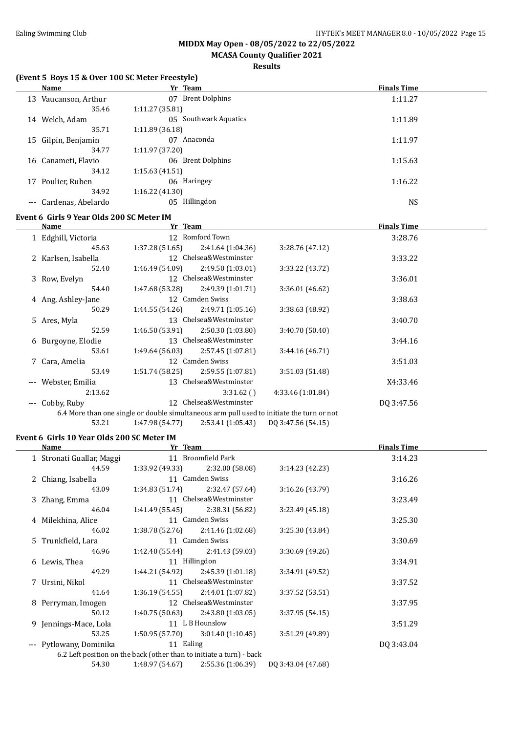**MCASA County Qualifier 2021**

#### **Results**

#### **(Event 5 Boys 15 & Over 100 SC Meter Freestyle)**

| Name                                      | Yr Team                     | <b>Finals Time</b> |  |  |  |  |
|-------------------------------------------|-----------------------------|--------------------|--|--|--|--|
| Vaucanson, Arthur<br>13                   | <b>Brent Dolphins</b><br>07 | 1:11.27            |  |  |  |  |
| 35.46                                     | 1:11.27(35.81)              |                    |  |  |  |  |
| Welch, Adam<br>14                         | Southwark Aquatics<br>05    | 1:11.89            |  |  |  |  |
| 35.71                                     | 1:11.89(36.18)              |                    |  |  |  |  |
| 15 Gilpin, Benjamin                       | Anaconda<br>07              | 1:11.97            |  |  |  |  |
| 34.77                                     | 1:11.97 (37.20)             |                    |  |  |  |  |
| 16 Canameti, Flavio                       | 06 Brent Dolphins           | 1:15.63            |  |  |  |  |
| 34.12                                     | 1:15.63(41.51)              |                    |  |  |  |  |
| Poulier, Ruben<br>17                      | 06 Haringey                 | 1:16.22            |  |  |  |  |
| 34.92                                     | 1:16.22(41.30)              |                    |  |  |  |  |
| Cardenas, Abelardo<br>$\qquad \qquad - -$ | Hillingdon<br>05            | <b>NS</b>          |  |  |  |  |
| Event 6 Girls 9 Year Olds 200 SC Meter IM |                             |                    |  |  |  |  |

|       | Name                | Yr Team         |                        |                                                                                           | <b>Finals Time</b> |  |
|-------|---------------------|-----------------|------------------------|-------------------------------------------------------------------------------------------|--------------------|--|
|       | 1 Edghill, Victoria |                 | 12 Romford Town        |                                                                                           | 3:28.76            |  |
|       | 45.63               | 1:37.28(51.65)  | 2:41.64(1:04.36)       | 3:28.76(47.12)                                                                            |                    |  |
|       | 2 Karlsen, Isabella |                 | 12 Chelsea&Westminster |                                                                                           | 3:33.22            |  |
|       | 52.40               | 1:46.49 (54.09) | 2:49.50(1:03.01)       | 3:33.22 (43.72)                                                                           |                    |  |
| 3     | Row, Evelyn         |                 | 12 Chelsea&Westminster |                                                                                           | 3:36.01            |  |
|       | 54.40               | 1:47.68 (53.28) | 2:49.39(1:01.71)       | 3:36.01(46.62)                                                                            |                    |  |
|       | 4 Ang, Ashley-Jane  |                 | 12 Camden Swiss        |                                                                                           | 3:38.63            |  |
|       | 50.29               | 1:44.55(54.26)  | 2:49.71(1:05.16)       | 3:38.63 (48.92)                                                                           |                    |  |
|       | 5 Ares, Myla        |                 | 13 Chelsea&Westminster |                                                                                           | 3:40.70            |  |
|       | 52.59               | 1:46.50(53.91)  | 2:50.30 (1:03.80)      | 3:40.70 (50.40)                                                                           |                    |  |
|       | 6 Burgoyne, Elodie  | 13              | Chelsea&Westminster    |                                                                                           | 3:44.16            |  |
|       | 53.61               | 1:49.64(56.03)  | 2:57.45 (1:07.81)      | 3:44.16(46.71)                                                                            |                    |  |
|       | 7 Cara, Amelia      |                 | 12 Camden Swiss        |                                                                                           | 3:51.03            |  |
|       | 53.49               | 1:51.74(58.25)  | 2:59.55(1:07.81)       | 3:51.03 (51.48)                                                                           |                    |  |
|       | Webster, Emilia     | 13              | Chelsea&Westminster    |                                                                                           | X4:33.46           |  |
|       | 2:13.62             |                 | 3:31.62()              | 4:33.46 (1:01.84)                                                                         |                    |  |
| $---$ | Cobby, Ruby         |                 | 12 Chelsea&Westminster |                                                                                           | DO 3:47.56         |  |
|       |                     |                 |                        | 6.4 More than one single or double simultaneous arm pull used to initiate the turn or not |                    |  |
|       | 53.21               | 1:47.98 (54.77) | 2:53.41(1:05.43)       | DQ 3:47.56 (54.15)                                                                        |                    |  |

#### **Event 6 Girls 10 Year Olds 200 SC Meter IM**

| Name                      |                 |                   |                                                                                                                                                                                                                                                                                 | <b>Finals Time</b>                                                   |  |
|---------------------------|-----------------|-------------------|---------------------------------------------------------------------------------------------------------------------------------------------------------------------------------------------------------------------------------------------------------------------------------|----------------------------------------------------------------------|--|
| 1 Stronati Guallar, Maggi |                 |                   |                                                                                                                                                                                                                                                                                 | 3:14.23                                                              |  |
| 44.59                     | 1:33.92 (49.33) | 2:32.00 (58.08)   | 3:14.23(42.23)                                                                                                                                                                                                                                                                  |                                                                      |  |
| 2 Chiang, Isabella        |                 |                   |                                                                                                                                                                                                                                                                                 | 3:16.26                                                              |  |
| 43.09                     | 1:34.83(51.74)  | 2:32.47 (57.64)   | 3:16.26(43.79)                                                                                                                                                                                                                                                                  |                                                                      |  |
| 3 Zhang, Emma             |                 |                   |                                                                                                                                                                                                                                                                                 | 3:23.49                                                              |  |
| 46.04                     |                 | 2:38.31 (56.82)   | 3:23.49(45.18)                                                                                                                                                                                                                                                                  |                                                                      |  |
| 4 Milekhina, Alice        |                 |                   |                                                                                                                                                                                                                                                                                 | 3:25.30                                                              |  |
| 46.02                     |                 |                   | 3:25.30(43.84)                                                                                                                                                                                                                                                                  |                                                                      |  |
| 5 Trunkfield, Lara        |                 |                   |                                                                                                                                                                                                                                                                                 | 3:30.69                                                              |  |
| 46.96                     | 1:42.40 (55.44) | 2:41.43 (59.03)   | 3:30.69(49.26)                                                                                                                                                                                                                                                                  |                                                                      |  |
| 6 Lewis, Thea             |                 |                   |                                                                                                                                                                                                                                                                                 | 3:34.91                                                              |  |
| 49.29                     | 1:44.21 (54.92) | 2:45.39 (1:01.18) | 3:34.91(49.52)                                                                                                                                                                                                                                                                  |                                                                      |  |
| 7 Ursini, Nikol           |                 |                   |                                                                                                                                                                                                                                                                                 | 3:37.52                                                              |  |
| 41.64                     | 1:36.19(54.55)  | 2:44.01 (1:07.82) | 3:37.52(53.51)                                                                                                                                                                                                                                                                  |                                                                      |  |
| 8 Perryman, Imogen        |                 |                   |                                                                                                                                                                                                                                                                                 | 3:37.95                                                              |  |
| 50.12                     | 1:40.75(50.63)  | 2:43.80(1:03.05)  | 3:37.95(54.15)                                                                                                                                                                                                                                                                  |                                                                      |  |
| 9 Jennings-Mace, Lola     |                 |                   |                                                                                                                                                                                                                                                                                 | 3:51.29                                                              |  |
| 53.25                     | 1:50.95(57.70)  | 3:01.40(1:10.45)  | 3:51.29 (49.89)                                                                                                                                                                                                                                                                 |                                                                      |  |
| --- Pytlowany, Dominika   |                 |                   |                                                                                                                                                                                                                                                                                 | DQ 3:43.04                                                           |  |
|                           |                 |                   |                                                                                                                                                                                                                                                                                 |                                                                      |  |
| 54.30                     | 1:48.97 (54.67) | 2:55.36(1:06.39)  | DO 3:43.04 (47.68)                                                                                                                                                                                                                                                              |                                                                      |  |
|                           |                 |                   | Yr Team<br>11 Broomfield Park<br>11 Camden Swiss<br>11 Chelsea&Westminster<br>1:41.49 (55.45)<br>11 Camden Swiss<br>$1:38.78(52.76)$ $2:41.46(1:02.68)$<br>11 Camden Swiss<br>11 Hillingdon<br>11 Chelsea&Westminster<br>12 Chelsea&Westminster<br>11 L B Hounslow<br>11 Ealing | 6.2 Left position on the back (other than to initiate a turn) - back |  |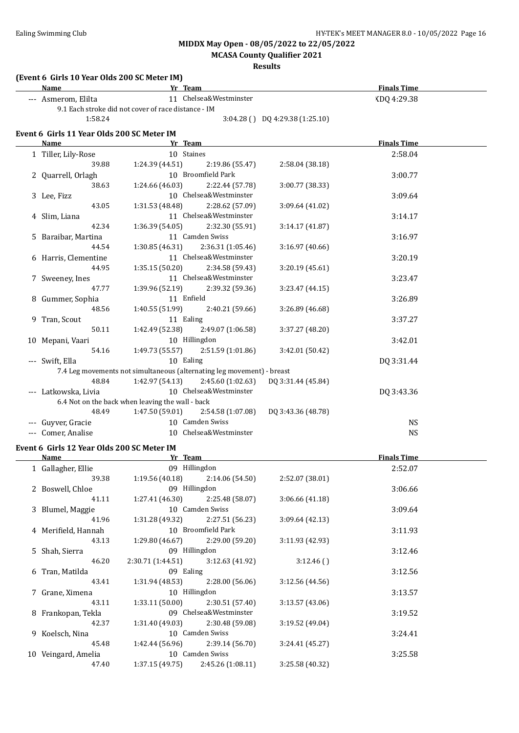**(Event 6 Girls 10 Year Olds 200 SC Meter IM)**

**MIDDX May Open - 08/05/2022 to 22/05/2022**

**MCASA County Qualifier 2021**

| Name                                                |                  | Yr Team                                                                |                                 | <b>Finals Time</b> |  |
|-----------------------------------------------------|------------------|------------------------------------------------------------------------|---------------------------------|--------------------|--|
| --- Asmerom, Elilta                                 |                  | 11 Chelsea&Westminster                                                 |                                 | XDQ 4:29.38        |  |
| 9.1 Each stroke did not cover of race distance - IM |                  |                                                                        |                                 |                    |  |
| 1:58.24                                             |                  |                                                                        | 3:04.28 () DQ 4:29.38 (1:25.10) |                    |  |
| Event 6 Girls 11 Year Olds 200 SC Meter IM          |                  |                                                                        |                                 |                    |  |
| Name                                                |                  | Yr Team                                                                |                                 | <b>Finals Time</b> |  |
| 1 Tiller, Lily-Rose                                 |                  | 10 Staines                                                             |                                 | 2:58.04            |  |
| 39.88                                               | 1:24.39 (44.51)  | 2:19.86 (55.47)                                                        | 2:58.04 (38.18)                 |                    |  |
| 2 Quarrell, Orlagh                                  |                  | 10 Broomfield Park                                                     |                                 | 3:00.77            |  |
| 38.63                                               | 1:24.66 (46.03)  | 2:22.44 (57.78)                                                        | 3:00.77 (38.33)                 |                    |  |
| 3 Lee, Fizz                                         |                  | 10 Chelsea&Westminster                                                 |                                 | 3:09.64            |  |
| 43.05                                               | 1:31.53 (48.48)  | 2:28.62 (57.09)                                                        | 3:09.64 (41.02)                 |                    |  |
| 4 Slim, Liana                                       |                  | 11 Chelsea&Westminster                                                 |                                 | 3:14.17            |  |
| 42.34                                               | 1:36.39 (54.05)  | 2:32.30 (55.91)                                                        | 3:14.17 (41.87)                 |                    |  |
| 5 Baraibar, Martina                                 |                  | 11 Camden Swiss                                                        |                                 | 3:16.97            |  |
| 44.54                                               | 1:30.85 (46.31)  | 2:36.31 (1:05.46)                                                      | 3:16.97 (40.66)                 |                    |  |
| 6 Harris, Clementine                                |                  | 11 Chelsea&Westminster                                                 |                                 | 3:20.19            |  |
| 44.95                                               | 1:35.15 (50.20)  | 2:34.58 (59.43)                                                        | 3:20.19 (45.61)                 |                    |  |
| 7 Sweeney, Ines                                     |                  | 11 Chelsea&Westminster                                                 |                                 | 3:23.47            |  |
| 47.77                                               | 1:39.96 (52.19)  | 2:39.32 (59.36)                                                        | 3:23.47 (44.15)                 |                    |  |
| 8 Gummer, Sophia                                    |                  | 11 Enfield                                                             |                                 | 3:26.89            |  |
| 48.56                                               | 1:40.55 (51.99)  | 2:40.21 (59.66)                                                        | 3:26.89 (46.68)                 |                    |  |
| 9 Tran, Scout                                       |                  | 11 Ealing                                                              |                                 | 3:37.27            |  |
| 50.11                                               | 1:42.49 (52.38)  | 2:49.07 (1:06.58)                                                      | 3:37.27 (48.20)                 |                    |  |
| 10 Mepani, Vaari                                    |                  | 10 Hillingdon                                                          |                                 | 3:42.01            |  |
| 54.16                                               | 1:49.73 (55.57)  | 2:51.59 (1:01.86)                                                      | 3:42.01 (50.42)                 |                    |  |
| --- Swift, Ella                                     |                  | 10 Ealing                                                              |                                 | DQ 3:31.44         |  |
|                                                     |                  | 7.4 Leg movements not simultaneous (alternating leg movement) - breast |                                 |                    |  |
| 48.84                                               | 1:42.97 (54.13)  | 2:45.60(1:02.63)                                                       | DQ 3:31.44 (45.84)              |                    |  |
| --- Latkowska, Livia                                |                  | 10 Chelsea&Westminster                                                 |                                 | DQ 3:43.36         |  |
| 6.4 Not on the back when leaving the wall - back    |                  |                                                                        |                                 |                    |  |
| 48.49                                               | 1:47.50 (59.01)  | 2:54.58 (1:07.08)                                                      | DQ 3:43.36 (48.78)              |                    |  |
| --- Guyver, Gracie                                  |                  | 10 Camden Swiss                                                        |                                 | <b>NS</b>          |  |
| --- Comer, Analise                                  |                  | 10 Chelsea&Westminster                                                 |                                 | <b>NS</b>          |  |
| Event 6 Girls 12 Year Olds 200 SC Meter IM          |                  |                                                                        |                                 |                    |  |
| Name                                                |                  | Yr Team                                                                |                                 | <b>Finals Time</b> |  |
| 1 Gallagher, Ellie                                  |                  | 09 Hillingdon                                                          |                                 | 2:52.07            |  |
| 39.38                                               | 1:19.56(40.18)   | 2:14.06 (54.50)                                                        | 2:52.07 (38.01)                 |                    |  |
| 2 Boswell, Chloe                                    |                  | 09 Hillingdon                                                          |                                 | 3:06.66            |  |
| 41.11                                               | 1:27.41 (46.30)  | 2:25.48 (58.07)                                                        | 3:06.66 (41.18)                 |                    |  |
| 3 Blumel, Maggie                                    |                  | 10 Camden Swiss                                                        |                                 | 3:09.64            |  |
| 41.96                                               | 1:31.28 (49.32)  | 2:27.51 (56.23)                                                        | 3:09.64 (42.13)                 |                    |  |
| 4 Merifield, Hannah                                 |                  | 10 Broomfield Park                                                     |                                 | 3:11.93            |  |
| 43.13                                               | 1:29.80 (46.67)  | 2:29.00 (59.20)                                                        | 3:11.93 (42.93)                 |                    |  |
| 5 Shah, Sierra                                      |                  | 09 Hillingdon                                                          |                                 | 3:12.46            |  |
| 46.20                                               | 2:30.71(1:44.51) | 3:12.63 (41.92)                                                        | 3:12.46()                       |                    |  |
| 6 Tran, Matilda                                     |                  | 09 Ealing                                                              |                                 | 3:12.56            |  |
| 43.41                                               | 1:31.94 (48.53)  | 2:28.00 (56.06)                                                        | 3:12.56 (44.56)                 |                    |  |
| 7 Grane, Ximena                                     |                  | 10 Hillingdon                                                          |                                 | 3:13.57            |  |
| 43.11                                               | 1:33.11(50.00)   | 2:30.51 (57.40)                                                        | 3:13.57 (43.06)                 |                    |  |
| 8 Frankopan, Tekla                                  |                  | 09 Chelsea&Westminster                                                 |                                 | 3:19.52            |  |
| 42.37                                               | 1:31.40 (49.03)  | 2:30.48 (59.08)                                                        | 3:19.52 (49.04)                 |                    |  |
| 9 Koelsch, Nina                                     |                  | 10 Camden Swiss                                                        |                                 | 3:24.41            |  |
| 45.48                                               | 1:42.44(56.96)   | 2:39.14 (56.70)                                                        | 3:24.41 (45.27)                 |                    |  |
| 10 Veingard, Amelia                                 |                  | 10 Camden Swiss                                                        |                                 | 3:25.58            |  |
| 47.40                                               | 1:37.15 (49.75)  | 2:45.26 (1:08.11)                                                      | 3:25.58 (40.32)                 |                    |  |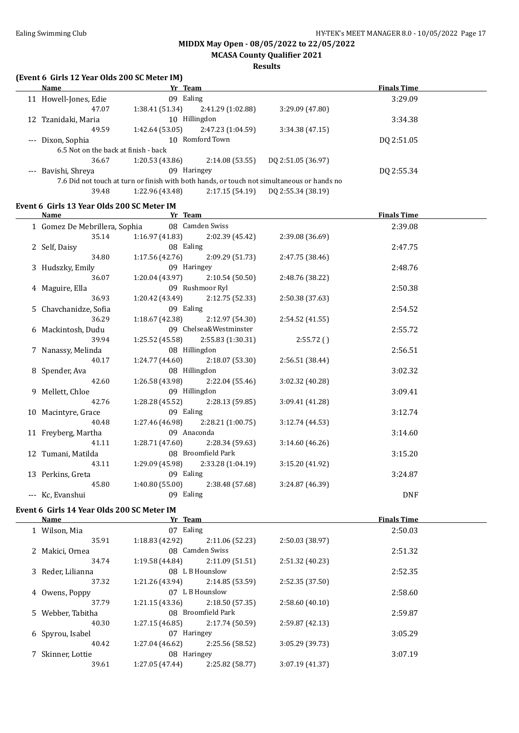#### **MIDDX May Open - 08/05/2022 to 22/05/2022 MCASA County Qualifier 2021**

**Results**

#### **(Event 6 Girls 12 Year Olds 200 SC Meter IM)**

| <b>Name</b>                          | Yr Team            |                   |                                                                                            | <b>Finals Time</b> |  |
|--------------------------------------|--------------------|-------------------|--------------------------------------------------------------------------------------------|--------------------|--|
|                                      |                    |                   |                                                                                            |                    |  |
| 11 Howell-Jones, Edie                | 09 Ealing          |                   |                                                                                            | 3:29.09            |  |
| 47.07                                | 1:38.41(51.34)     | 2:41.29 (1:02.88) | 3:29.09 (47.80)                                                                            |                    |  |
| 12 Tzanidaki, Maria                  | 10                 | Hillingdon        |                                                                                            | 3:34.38            |  |
| 49.59                                | 1:42.64 (53.05)    | 2:47.23 (1:04.59) | 3:34.38(47.15)                                                                             |                    |  |
| --- Dixon, Sophia                    | Romford Town<br>10 |                   |                                                                                            | DQ 2:51.05         |  |
| 6.5 Not on the back at finish - back |                    |                   |                                                                                            |                    |  |
| 36.67                                | 1:20.53(43.86)     | 2:14.08(53.55)    | DO 2:51.05 (36.97)                                                                         |                    |  |
| --- Bavishi, Shreya                  | 09                 | Haringey          |                                                                                            | DQ 2:55.34         |  |
|                                      |                    |                   | 7.6 Did not touch at turn or finish with both hands, or touch not simultaneous or hands no |                    |  |
| 39.48                                | 1:22.96 (43.48)    | 2:17.15(54.19)    | DO 2:55.34 (38.19)                                                                         |                    |  |

#### **Event 6 Girls 13 Year Olds 200 SC Meter IM**

| Name                          | Yr Team            |                                       |                 | <b>Finals Time</b> |  |
|-------------------------------|--------------------|---------------------------------------|-----------------|--------------------|--|
| 1 Gomez De Mebrillera, Sophia |                    | 08 Camden Swiss                       |                 | 2:39.08            |  |
| 35.14                         |                    | $1:16.97(41.83)$ $2:02.39(45.42)$     | 2:39.08 (36.69) |                    |  |
| 2 Self, Daisy                 | 08 Ealing          |                                       |                 | 2:47.75            |  |
| 34.80                         |                    | $1:17.56(42.76)$ $2:09.29(51.73)$     | 2:47.75 (38.46) |                    |  |
| 3 Hudszky, Emily              | 09 Haringey        |                                       |                 | 2:48.76            |  |
| 36.07                         |                    | $1:20.04(43.97)$ $2:10.54(50.50)$     | 2:48.76 (38.22) |                    |  |
| 4 Maguire, Ella               |                    | 09 Rushmoor Ryl                       |                 | 2:50.38            |  |
| 36.93                         |                    | $1:20.42(43.49)$ $2:12.75(52.33)$     | 2:50.38 (37.63) |                    |  |
| 5 Chavchanidze, Sofia         | 09 Ealing          |                                       |                 | 2:54.52            |  |
| 36.29                         |                    | $1:18.67(42.38)$ $2:12.97(54.30)$     | 2:54.52 (41.55) |                    |  |
| 6 Mackintosh, Dudu            |                    | 09 Chelsea&Westminster                |                 | 2:55.72            |  |
| 39.94                         |                    | $1:25.52$ (45.58) $2:55.83$ (1:30.31) | 2:55.72(        |                    |  |
| 7 Nanassy, Melinda            | 08 Hillingdon      |                                       |                 | 2:56.51            |  |
| 40.17                         |                    | $1:24.77(44.60)$ $2:18.07(53.30)$     | 2:56.51 (38.44) |                    |  |
| 8 Spender, Ava                |                    | 08 Hillingdon                         |                 | 3:02.32            |  |
| 42.60                         |                    | $1:26.58(43.98)$ $2:22.04(55.46)$     | 3:02.32 (40.28) |                    |  |
| 9 Mellett, Chloe              | 09 Hillingdon      |                                       |                 | 3:09.41            |  |
| 42.76                         |                    | $1:28.28(45.52)$ $2:28.13(59.85)$     | 3:09.41(41.28)  |                    |  |
| 10 Macintyre, Grace           | 09 Ealing          |                                       |                 | 3:12.74            |  |
| 40.48                         |                    | $1:27.46(46.98)$ $2:28.21(1:00.75)$   | 3:12.74(44.53)  |                    |  |
| 11 Freyberg, Martha           | 09 Anaconda        |                                       |                 | 3:14.60            |  |
| 41.11                         |                    | $1:28.71(47.60)$ $2:28.34(59.63)$     | 3:14.60(46.26)  |                    |  |
| 12 Tumani, Matilda            | 08 Broomfield Park |                                       |                 | 3:15.20            |  |
| 43.11                         |                    | $1:29.09(45.98)$ $2:33.28(1:04.19)$   | 3:15.20(41.92)  |                    |  |
| 13 Perkins, Greta             | 09 Ealing          |                                       |                 | 3:24.87            |  |
| 45.80                         |                    | $1:40.80(55.00)$ $2:38.48(57.68)$     | 3:24.87 (46.39) |                    |  |
| --- Kc, Evanshui              | 09 Ealing          |                                       |                 | <b>DNF</b>         |  |

#### **Event 6 Girls 14 Year Olds 200 SC Meter IM**

| Name              | Yr Team         |                    |                 | <b>Finals Time</b> |  |
|-------------------|-----------------|--------------------|-----------------|--------------------|--|
| 1 Wilson, Mia     | Ealing<br>07    |                    |                 | 2:50.03            |  |
| 35.91             | 1:18.83 (42.92) | 2:11.06(52.23)     | 2:50.03 (38.97) |                    |  |
| 2 Makici, Ornea   |                 | 08 Camden Swiss    |                 | 2:51.32            |  |
| 34.74             | 1:19.58(44.84)  | 2:11.09(51.51)     | 2:51.32 (40.23) |                    |  |
| 3 Reder, Lilianna |                 | 08 L B Hounslow    |                 | 2:52.35            |  |
| 37.32             | 1:21.26 (43.94) | 2:14.85(53.59)     | 2:52.35(37.50)  |                    |  |
| 4 Owens, Poppy    |                 | 07 L B Hounslow    |                 | 2:58.60            |  |
| 37.79             | 1:21.15(43.36)  | 2:18.50(57.35)     | 2:58.60(40.10)  |                    |  |
| 5 Webber, Tabitha |                 | 08 Broomfield Park |                 | 2:59.87            |  |
| 40.30             | 1:27.15(46.85)  | 2:17.74 (50.59)    | 2:59.87(42.13)  |                    |  |
| 6 Spyrou, Isabel  | 07 Haringey     |                    |                 | 3:05.29            |  |
| 40.42             | 1:27.04 (46.62) | 2:25.56 (58.52)    | 3:05.29 (39.73) |                    |  |
| 7 Skinner, Lottie | 08 Haringey     |                    |                 | 3:07.19            |  |
| 39.61             | 1:27.05(47.44)  | 2:25.82 (58.77)    | 3:07.19 (41.37) |                    |  |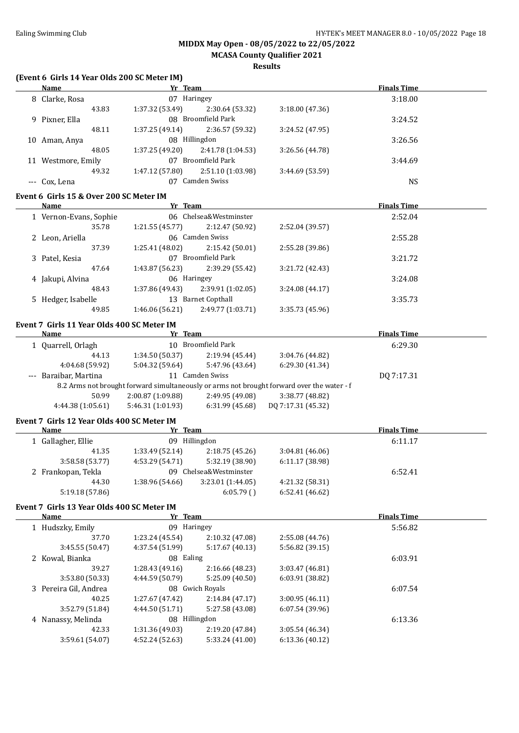#### **MIDDX May Open - 08/05/2022 to 22/05/2022 MCASA County Qualifier 2021**

| (Event 6 Girls 14 Year Olds 200 SC Meter IM)              |                   |                                   |                                                                                            |                    |  |
|-----------------------------------------------------------|-------------------|-----------------------------------|--------------------------------------------------------------------------------------------|--------------------|--|
| <b>Name</b>                                               | Yr Team           |                                   |                                                                                            | <b>Finals Time</b> |  |
| 8 Clarke, Rosa                                            | 07 Haringey       |                                   |                                                                                            | 3:18.00            |  |
| 43.83                                                     | 1:37.32 (53.49)   | 2:30.64 (53.32)                   | 3:18.00 (47.36)                                                                            |                    |  |
| 9 Pixner, Ella                                            |                   | 08 Broomfield Park                |                                                                                            | 3:24.52            |  |
| 48.11                                                     | 1:37.25(49.14)    | 2:36.57 (59.32)                   | 3:24.52 (47.95)                                                                            |                    |  |
| 10 Aman, Anya                                             |                   | 08 Hillingdon                     |                                                                                            | 3:26.56            |  |
| 48.05                                                     | 1:37.25(49.20)    | 2:41.78 (1:04.53)                 | 3:26.56 (44.78)                                                                            |                    |  |
| 11 Westmore, Emily                                        |                   | 07 Broomfield Park                |                                                                                            | 3:44.69            |  |
| 49.32                                                     | 1:47.12(57.80)    | 2:51.10 (1:03.98)                 | 3:44.69 (53.59)                                                                            |                    |  |
| --- Cox, Lena                                             |                   | 07 Camden Swiss                   |                                                                                            | <b>NS</b>          |  |
| Event 6 Girls 15 & Over 200 SC Meter IM                   |                   |                                   |                                                                                            |                    |  |
| Name                                                      | Yr Team           |                                   |                                                                                            | <b>Finals Time</b> |  |
| 1 Vernon-Evans, Sophie                                    |                   | 06 Chelsea&Westminster            |                                                                                            | 2:52.04            |  |
| 35.78                                                     | 1:21.55(45.77)    | 2:12.47 (50.92)                   | 2:52.04 (39.57)                                                                            |                    |  |
| 2 Leon, Ariella                                           |                   | 06 Camden Swiss                   |                                                                                            | 2:55.28            |  |
| 37.39                                                     | 1:25.41 (48.02)   | 2:15.42 (50.01)                   | 2:55.28 (39.86)                                                                            |                    |  |
| 3 Patel, Kesia                                            |                   | 07 Broomfield Park                |                                                                                            | 3:21.72            |  |
| 47.64                                                     | 1:43.87 (56.23)   | 2:39.29 (55.42)                   | 3:21.72 (42.43)                                                                            |                    |  |
| 4 Jakupi, Alvina                                          | 06 Haringey       |                                   |                                                                                            | 3:24.08            |  |
| 48.43                                                     | 1:37.86 (49.43)   | 2:39.91 (1:02.05)                 | 3:24.08 (44.17)                                                                            |                    |  |
| 5 Hedger, Isabelle                                        |                   | 13 Barnet Copthall                |                                                                                            | 3:35.73            |  |
| 49.85                                                     | 1:46.06(56.21)    | 2:49.77 (1:03.71)                 | 3:35.73 (45.96)                                                                            |                    |  |
| Event 7 Girls 11 Year Olds 400 SC Meter IM                |                   |                                   |                                                                                            |                    |  |
| Name                                                      | Yr Team           |                                   |                                                                                            | <b>Finals Time</b> |  |
| 1 Quarrell, Orlagh                                        |                   | 10 Broomfield Park                |                                                                                            | 6:29.30            |  |
| 44.13                                                     |                   | $1:34.50(50.37)$ $2:19.94(45.44)$ | 3:04.76 (44.82)                                                                            |                    |  |
| 4:04.68 (59.92)                                           | 5:04.32 (59.64)   | 5:47.96 (43.64)                   | 6:29.30 (41.34)                                                                            |                    |  |
| --- Baraibar, Martina                                     |                   | 11 Camden Swiss                   |                                                                                            | DQ 7:17.31         |  |
|                                                           |                   |                                   | 8.2 Arms not brought forward simultaneously or arms not brought forward over the water - f |                    |  |
| 50.99                                                     | 2:00.87 (1:09.88) | 2:49.95 (49.08)                   | 3:38.77 (48.82)                                                                            |                    |  |
| 4:44.38 (1:05.61)                                         | 5:46.31(1:01.93)  | 6:31.99 (45.68)                   | DQ 7:17.31 (45.32)                                                                         |                    |  |
| Event 7 Girls 12 Year Olds 400 SC Meter IM                |                   |                                   |                                                                                            |                    |  |
| Name                                                      | Yr Team           |                                   |                                                                                            | <b>Finals Time</b> |  |
| 1 Gallagher, Ellie                                        |                   | 09 Hillingdon                     |                                                                                            | 6:11.17            |  |
| 41.35                                                     | 1:33.49 (52.14)   | 2:18.75 (45.26)                   | 3:04.81 (46.06)                                                                            |                    |  |
| 3:58.58 (53.77)                                           |                   | 4:53.29 (54.71) 5:32.19 (38.90)   | 6:11.17 (38.98)                                                                            |                    |  |
| 2 Frankopan, Tekla                                        |                   | 09 Chelsea&Westminster            |                                                                                            | 6:52.41            |  |
| 44.30                                                     | 1:38.96 (54.66)   | 3:23.01 (1:44.05)                 | 4:21.32 (58.31)                                                                            |                    |  |
| 5:19.18 (57.86)                                           |                   | 6:05.79()                         | 6:52.41 (46.62)                                                                            |                    |  |
|                                                           |                   |                                   |                                                                                            |                    |  |
| Event 7 Girls 13 Year Olds 400 SC Meter IM<br><b>Name</b> | Yr Team           |                                   |                                                                                            | <b>Finals Time</b> |  |
| 1 Hudszky, Emily                                          | 09 Haringey       |                                   |                                                                                            | 5:56.82            |  |
| 37.70                                                     | 1:23.24 (45.54)   | 2:10.32 (47.08)                   | 2:55.08 (44.76)                                                                            |                    |  |
| 3:45.55 (50.47)                                           | 4:37.54 (51.99)   | 5:17.67 (40.13)                   | 5:56.82 (39.15)                                                                            |                    |  |
| 2 Kowal, Bianka                                           | 08 Ealing         |                                   |                                                                                            | 6:03.91            |  |
| 39.27                                                     | 1:28.43 (49.16)   | 2:16.66 (48.23)                   | 3:03.47 (46.81)                                                                            |                    |  |
| 3:53.80 (50.33)                                           | 4:44.59 (50.79)   | 5:25.09 (40.50)                   | 6:03.91 (38.82)                                                                            |                    |  |
| 3 Pereira Gil, Andrea                                     |                   | 08 Gwich Royals                   |                                                                                            | 6:07.54            |  |
| 40.25                                                     | 1:27.67 (47.42)   | 2:14.84 (47.17)                   | 3:00.95 (46.11)                                                                            |                    |  |
| 3:52.79 (51.84)                                           | 4:44.50 (51.71)   | 5:27.58 (43.08)                   | 6:07.54 (39.96)                                                                            |                    |  |
| 4 Nanassy, Melinda                                        |                   | 08 Hillingdon                     |                                                                                            | 6:13.36            |  |
| 42.33                                                     | 1:31.36 (49.03)   |                                   |                                                                                            |                    |  |
|                                                           |                   | 2:19.20 (47.84)                   | 3:05.54 (46.34)                                                                            |                    |  |
| 3:59.61 (54.07)                                           | 4:52.24 (52.63)   | 5:33.24 (41.00)                   | 6:13.36 (40.12)                                                                            |                    |  |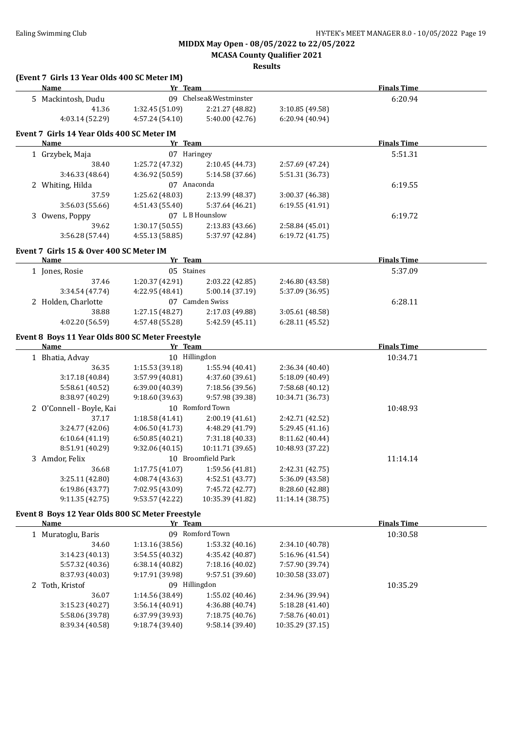**MCASA County Qualifier 2021**

| (Event 7 Girls 13 Year Olds 400 SC Meter IM)<br><b>Name</b> | Yr Team                            |                                    |                                    | <b>Finals Time</b>            |  |
|-------------------------------------------------------------|------------------------------------|------------------------------------|------------------------------------|-------------------------------|--|
| 5 Mackintosh, Dudu                                          |                                    | 09 Chelsea&Westminster             |                                    | 6:20.94                       |  |
| 41.36                                                       | 1:32.45 (51.09)                    | 2:21.27 (48.82)                    | 3:10.85 (49.58)                    |                               |  |
| 4:03.14 (52.29)                                             | 4:57.24 (54.10)                    | 5:40.00 (42.76)                    | 6:20.94 (40.94)                    |                               |  |
|                                                             |                                    |                                    |                                    |                               |  |
| Event 7 Girls 14 Year Olds 400 SC Meter IM                  |                                    |                                    |                                    |                               |  |
| Name                                                        | Yr Team<br>07 Haringey             |                                    |                                    | <b>Finals Time</b><br>5:51.31 |  |
| 1 Grzybek, Maja<br>38.40                                    |                                    |                                    |                                    |                               |  |
| 3:46.33 (48.64)                                             | 1:25.72 (47.32)<br>4:36.92 (50.59) | 2:10.45 (44.73)<br>5:14.58 (37.66) | 2:57.69 (47.24)<br>5:51.31 (36.73) |                               |  |
|                                                             | 07 Anaconda                        |                                    |                                    | 6:19.55                       |  |
| 2 Whiting, Hilda<br>37.59                                   | 1:25.62(48.03)                     | 2:13.99 (48.37)                    | 3:00.37 (46.38)                    |                               |  |
| 3:56.03 (55.66)                                             | 4:51.43 (55.40)                    | 5:37.64 (46.21)                    | 6:19.55(41.91)                     |                               |  |
| 3 Owens, Poppy                                              |                                    | 07 L B Hounslow                    |                                    | 6:19.72                       |  |
| 39.62                                                       | 1:30.17 (50.55)                    | 2:13.83 (43.66)                    | 2:58.84 (45.01)                    |                               |  |
| 3:56.28 (57.44)                                             | 4:55.13 (58.85)                    | 5:37.97 (42.84)                    | 6:19.72 (41.75)                    |                               |  |
|                                                             |                                    |                                    |                                    |                               |  |
| Event 7 Girls 15 & Over 400 SC Meter IM                     |                                    |                                    |                                    |                               |  |
| Name                                                        | Yr Team                            |                                    |                                    | <b>Finals Time</b>            |  |
| 1 Jones, Rosie                                              | 05 Staines                         |                                    |                                    | 5:37.09                       |  |
| 37.46                                                       | 1:20.37 (42.91)                    | 2:03.22 (42.85)                    | 2:46.80 (43.58)                    |                               |  |
| 3:34.54 (47.74)                                             | 4:22.95 (48.41)                    | 5:00.14 (37.19)                    | 5:37.09 (36.95)                    |                               |  |
| 2 Holden, Charlotte                                         |                                    | 07 Camden Swiss                    |                                    | 6:28.11                       |  |
| 38.88                                                       | 1:27.15 (48.27)                    | 2:17.03 (49.88)                    | 3:05.61 (48.58)                    |                               |  |
| 4:02.20 (56.59)                                             | 4:57.48 (55.28)                    | 5:42.59 (45.11)                    | 6:28.11 (45.52)                    |                               |  |
| Event 8 Boys 11 Year Olds 800 SC Meter Freestyle            |                                    |                                    |                                    |                               |  |
| <b>Name</b>                                                 | Yr Team                            |                                    |                                    | <b>Finals Time</b>            |  |
| 1 Bhatia, Advay                                             |                                    | 10 Hillingdon                      |                                    | 10:34.71                      |  |
| 36.35                                                       | 1:15.53 (39.18)                    | 1:55.94 (40.41)                    | 2:36.34 (40.40)                    |                               |  |
| 3:17.18 (40.84)                                             | 3:57.99 (40.81)                    | 4:37.60 (39.61)                    | 5:18.09 (40.49)                    |                               |  |
| 5:58.61 (40.52)                                             | 6:39.00 (40.39)                    | 7:18.56 (39.56)                    | 7:58.68 (40.12)                    |                               |  |
| 8:38.97 (40.29)                                             | 9:18.60 (39.63)                    | 9:57.98 (39.38)                    | 10:34.71 (36.73)                   |                               |  |
| 2 O'Connell - Boyle, Kai                                    |                                    | 10 Romford Town                    |                                    | 10:48.93                      |  |
| 37.17                                                       | 1:18.58 (41.41)                    | 2:00.19 (41.61)<br>4:48.29 (41.79) | 2:42.71 (42.52)<br>5:29.45 (41.16) |                               |  |
| 3:24.77 (42.06)<br>6:10.64(41.19)                           | 4:06.50 (41.73)<br>6:50.85 (40.21) | 7:31.18 (40.33)                    | 8:11.62 (40.44)                    |                               |  |
| 8:51.91 (40.29)                                             | 9:32.06 (40.15)                    | 10:11.71 (39.65)                   | 10:48.93 (37.22)                   |                               |  |
| 3 Amdor, Felix                                              |                                    | 10 Broomfield Park                 |                                    | 11:14.14                      |  |
| 36.68                                                       | 1:17.75 (41.07)                    | 1:59.56 (41.81)                    | 2:42.31 (42.75)                    |                               |  |
| 3:25.11 (42.80)                                             | 4:08.74(43.63)                     | 4:52.51 (43.77)                    | 5:36.09 (43.58)                    |                               |  |
| 6:19.86 (43.77)                                             | 7:02.95 (43.09)                    | 7:45.72 (42.77)                    | 8:28.60 (42.88)                    |                               |  |
| 9:11.35 (42.75)                                             | 9:53.57 (42.22)                    | 10:35.39 (41.82)                   | 11:14.14 (38.75)                   |                               |  |
| Event 8 Boys 12 Year Olds 800 SC Meter Freestyle            |                                    |                                    |                                    |                               |  |
| <b>Name</b>                                                 | Yr Team                            |                                    |                                    | <b>Finals Time</b>            |  |
| 1 Muratoglu, Baris                                          |                                    | 09 Romford Town                    |                                    | 10:30.58                      |  |
| 34.60                                                       | 1:13.16 (38.56)                    | 1:53.32 (40.16)                    | 2:34.10 (40.78)                    |                               |  |
| 3:14.23 (40.13)                                             | 3:54.55 (40.32)                    | 4:35.42 (40.87)                    | 5:16.96 (41.54)                    |                               |  |
| 5:57.32 (40.36)                                             | 6:38.14 (40.82)                    | 7:18.16 (40.02)                    | 7:57.90 (39.74)                    |                               |  |
| 8:37.93 (40.03)                                             | 9:17.91 (39.98)                    | 9:57.51 (39.60)                    | 10:30.58 (33.07)                   |                               |  |
| 2 Toth, Kristof                                             |                                    | 09 Hillingdon                      |                                    | 10:35.29                      |  |
| 36.07                                                       | 1:14.56 (38.49)                    | 1:55.02 (40.46)                    | 2:34.96 (39.94)                    |                               |  |
| 3:15.23 (40.27)                                             | 3:56.14 (40.91)                    | 4:36.88 (40.74)                    | 5:18.28 (41.40)                    |                               |  |
| 5:58.06 (39.78)                                             | 6:37.99 (39.93)                    | 7:18.75 (40.76)                    | 7:58.76 (40.01)                    |                               |  |
| 8:39.34 (40.58)                                             | 9:18.74 (39.40)                    | 9:58.14 (39.40)                    | 10:35.29 (37.15)                   |                               |  |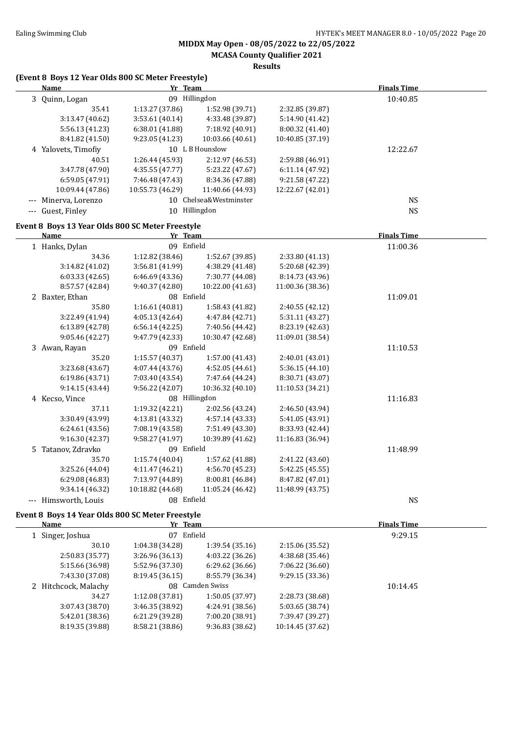**MCASA County Qualifier 2021**

| (Event 8 Boys 12 Year Olds 800 SC Meter Freestyle)<br><b>Name</b> | Yr Team          |                        |                  | <b>Finals Time</b> |
|-------------------------------------------------------------------|------------------|------------------------|------------------|--------------------|
| 3 Quinn, Logan                                                    |                  | 09 Hillingdon          |                  | 10:40.85           |
| 35.41                                                             | 1:13.27 (37.86)  | 1:52.98 (39.71)        | 2:32.85 (39.87)  |                    |
| 3:13.47 (40.62)                                                   | 3:53.61 (40.14)  | 4:33.48 (39.87)        | 5:14.90 (41.42)  |                    |
| 5:56.13 (41.23)                                                   | 6:38.01 (41.88)  | 7:18.92 (40.91)        | 8:00.32 (41.40)  |                    |
| 8:41.82 (41.50)                                                   | 9:23.05 (41.23)  | 10:03.66 (40.61)       | 10:40.85 (37.19) |                    |
| 4 Yalovets, Timofiy                                               |                  | 10 L B Hounslow        |                  | 12:22.67           |
| 40.51                                                             | 1:26.44 (45.93)  | 2:12.97 (46.53)        | 2:59.88 (46.91)  |                    |
| 3:47.78 (47.90)                                                   | 4:35.55 (47.77)  | 5:23.22 (47.67)        | 6:11.14 (47.92)  |                    |
| 6:59.05 (47.91)                                                   | 7:46.48 (47.43)  | 8:34.36 (47.88)        | 9:21.58 (47.22)  |                    |
| 10:09.44 (47.86)                                                  | 10:55.73 (46.29) | 11:40.66 (44.93)       | 12:22.67 (42.01) |                    |
| --- Minerva, Lorenzo                                              |                  | 10 Chelsea&Westminster |                  | <b>NS</b>          |
| --- Guest, Finley                                                 |                  | 10 Hillingdon          |                  | $_{\rm NS}$        |
| Event 8 Boys 13 Year Olds 800 SC Meter Freestyle                  |                  |                        |                  |                    |
| <b>Name</b>                                                       | Yr Team          |                        |                  | <b>Finals Time</b> |
| 1 Hanks, Dylan                                                    | 09 Enfield       |                        |                  | 11:00.36           |
| 34.36                                                             | 1:12.82 (38.46)  | 1:52.67 (39.85)        | 2:33.80 (41.13)  |                    |
| 3:14.82 (41.02)                                                   | 3:56.81 (41.99)  | 4:38.29 (41.48)        | 5:20.68 (42.39)  |                    |
| 6:03.33(42.65)                                                    | 6:46.69 (43.36)  | 7:30.77 (44.08)        | 8:14.73 (43.96)  |                    |
| 8:57.57 (42.84)                                                   | 9:40.37 (42.80)  | 10:22.00 (41.63)       | 11:00.36 (38.36) |                    |
| 2 Baxter, Ethan                                                   | 08 Enfield       |                        |                  | 11:09.01           |
| 35.80                                                             | 1:16.61(40.81)   | 1:58.43 (41.82)        | 2:40.55 (42.12)  |                    |
| 3:22.49 (41.94)                                                   | 4:05.13 (42.64)  | 4:47.84 (42.71)        | 5:31.11 (43.27)  |                    |
| 6:13.89 (42.78)                                                   | 6:56.14 (42.25)  | 7:40.56 (44.42)        | 8:23.19 (42.63)  |                    |
| 9:05.46 (42.27)                                                   | 9:47.79 (42.33)  | 10:30.47 (42.68)       | 11:09.01 (38.54) |                    |
| 3 Awan, Rayan                                                     | 09 Enfield       |                        |                  | 11:10.53           |
| 35.20                                                             | 1:15.57 (40.37)  | 1:57.00 (41.43)        | 2:40.01 (43.01)  |                    |
| 3:23.68 (43.67)                                                   | 4:07.44 (43.76)  | 4:52.05 (44.61)        | 5:36.15 (44.10)  |                    |
| 6:19.86 (43.71)                                                   | 7:03.40 (43.54)  | 7:47.64 (44.24)        | 8:30.71 (43.07)  |                    |
| 9:14.15 (43.44)                                                   | 9:56.22 (42.07)  | 10:36.32 (40.10)       | 11:10.53 (34.21) |                    |
| 4 Kecso, Vince                                                    |                  | 08 Hillingdon          |                  | 11:16.83           |
| 37.11                                                             | 1:19.32 (42.21)  | 2:02.56 (43.24)        | 2:46.50 (43.94)  |                    |
| 3:30.49 (43.99)                                                   | 4:13.81 (43.32)  | 4:57.14 (43.33)        | 5:41.05 (43.91)  |                    |
| 6:24.61(43.56)                                                    | 7:08.19 (43.58)  | 7:51.49 (43.30)        | 8:33.93 (42.44)  |                    |
| 9:16.30 (42.37)                                                   | 9:58.27 (41.97)  | 10:39.89 (41.62)       | 11:16.83 (36.94) |                    |
| 5 Tatanov, Zdravko                                                | 09 Enfield       |                        |                  | 11:48.99           |
| 35.70                                                             | 1:15.74 (40.04)  | 1:57.62 (41.88)        | 2:41.22 (43.60)  |                    |
| 3:25.26 (44.04)                                                   | 4:11.47 (46.21)  | 4:56.70 (45.23)        | 5:42.25 (45.55)  |                    |
| 6:29.08 (46.83)                                                   | 7:13.97 (44.89)  | 8:00.81 (46.84)        | 8:47.82 (47.01)  |                    |
| 9:34.14 (46.32)                                                   | 10:18.82 (44.68) | 11:05.24 (46.42)       | 11:48.99 (43.75) |                    |
| --- Himsworth, Louis                                              | 08 Enfield       |                        |                  | <b>NS</b>          |
| Event 8 Boys 14 Year Olds 800 SC Meter Freestyle                  |                  |                        |                  |                    |
| <b>Name</b>                                                       | Yr Team          |                        |                  | <b>Finals Time</b> |
| 1 Singer, Joshua                                                  | 07 Enfield       |                        |                  | 9:29.15            |
| 30.10                                                             | 1:04.38 (34.28)  | 1:39.54 (35.16)        | 2:15.06 (35.52)  |                    |

| 30.10                | 1:04.38 (34.28) | 1:39.54(35.16)  | 2:15.06 (35.52)  |          |
|----------------------|-----------------|-----------------|------------------|----------|
| 2:50.83(35.77)       | 3:26.96(36.13)  | 4:03.22(36.26)  | 4:38.68 (35.46)  |          |
| 5:15.66 (36.98)      | 5:52.96 (37.30) | 6:29.62(36.66)  | 7:06.22 (36.60)  |          |
| 7:43.30 (37.08)      | 8:19.45(36.15)  | 8:55.79 (36.34) | 9:29.15(33.36)   |          |
| 2 Hitchcock, Malachy |                 | 08 Camden Swiss |                  | 10:14.45 |
| 34.27                | 1:12.08(37.81)  | 1:50.05(37.97)  | 2:28.73 (38.68)  |          |
| 3:07.43(38.70)       | 3:46.35(38.92)  | 4:24.91 (38.56) | 5:03.65 (38.74)  |          |
| 5:42.01 (38.36)      | 6:21.29(39.28)  | 7:00.20 (38.91) | 7:39.47 (39.27)  |          |
| 8:19.35 (39.88)      | 8:58.21 (38.86) | 9:36.83 (38.62) | 10:14.45 (37.62) |          |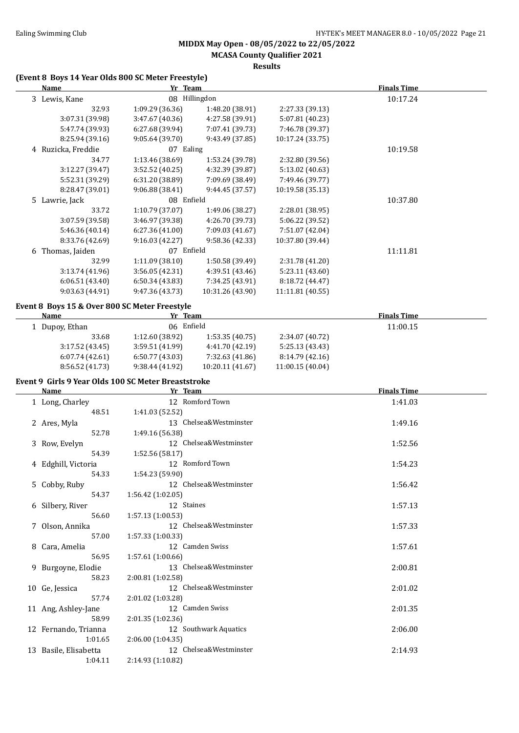**MCASA County Qualifier 2021**

**Results**

#### **(Event 8 Boys 14 Year Olds 800 SC Meter Freestyle)**

| <b>Name</b>                                   | Yr Team         |                  |                  | <b>Finals Time</b> |  |
|-----------------------------------------------|-----------------|------------------|------------------|--------------------|--|
| 3 Lewis, Kane                                 |                 | 08 Hillingdon    |                  | 10:17.24           |  |
| 32.93                                         | 1:09.29 (36.36) | 1:48.20 (38.91)  | 2:27.33 (39.13)  |                    |  |
| 3:07.31 (39.98)                               | 3:47.67 (40.36) | 4:27.58 (39.91)  | 5:07.81 (40.23)  |                    |  |
| 5:47.74 (39.93)                               | 6:27.68 (39.94) | 7:07.41 (39.73)  | 7:46.78 (39.37)  |                    |  |
| 8:25.94 (39.16)                               | 9:05.64 (39.70) | 9:43.49 (37.85)  | 10:17.24 (33.75) |                    |  |
| 4 Ruzicka, Freddie                            | 07 Ealing       |                  |                  | 10:19.58           |  |
| 34.77                                         | 1:13.46 (38.69) | 1:53.24 (39.78)  | 2:32.80 (39.56)  |                    |  |
| 3:12.27 (39.47)                               | 3:52.52(40.25)  | 4:32.39 (39.87)  | 5:13.02 (40.63)  |                    |  |
| 5:52.31 (39.29)                               | 6:31.20 (38.89) | 7:09.69 (38.49)  | 7:49.46 (39.77)  |                    |  |
| 8:28.47 (39.01)                               | 9:06.88(38.41)  | 9:44.45(37.57)   | 10:19.58 (35.13) |                    |  |
| 5 Lawrie, Jack                                | 08 Enfield      |                  |                  | 10:37.80           |  |
| 33.72                                         | 1:10.79 (37.07) | 1:49.06 (38.27)  | 2:28.01 (38.95)  |                    |  |
| 3:07.59 (39.58)                               | 3:46.97 (39.38) | 4:26.70 (39.73)  | 5:06.22 (39.52)  |                    |  |
| 5:46.36(40.14)                                | 6:27.36(41.00)  | 7:09.03 (41.67)  | 7:51.07 (42.04)  |                    |  |
| 8:33.76 (42.69)                               | 9:16.03(42.27)  | 9:58.36 (42.33)  | 10:37.80 (39.44) |                    |  |
| 6 Thomas, Jaiden                              | 07 Enfield      |                  |                  | 11:11.81           |  |
| 32.99                                         | 1:11.09(38.10)  | 1:50.58 (39.49)  | 2:31.78 (41.20)  |                    |  |
| 3:13.74(41.96)                                | 3:56.05(42.31)  | 4:39.51 (43.46)  | 5:23.11 (43.60)  |                    |  |
| 6:06.51 (43.40)                               | 6:50.34 (43.83) | 7:34.25 (43.91)  | 8:18.72 (44.47)  |                    |  |
| 9:03.63 (44.91)                               | 9:47.36 (43.73) | 10:31.26 (43.90) | 11:11.81 (40.55) |                    |  |
| Event 8 Boys 15 & Over 800 SC Meter Freestyle |                 |                  |                  |                    |  |
| Name                                          | Yr Team         |                  |                  | <b>Finals Time</b> |  |
| 1 Dupoy, Ethan                                | 06 Enfield      |                  |                  | 11:00.15           |  |
| 33.68                                         | 1:12.60 (38.92) | 1:53.35(40.75)   | 2:34.07 (40.72)  |                    |  |

3:17.52 (43.45) 3:59.51 (41.99) 4:41.70 (42.19) 5:25.13 (43.43) 6:07.74 (42.61) 6:50.77 (43.03) 7:32.63 (41.86) 8:14.79 (42.16) 8:56.52 (41.73) 9:38.44 (41.92) 10:20.11 (41.67) 11:00.15 (40.04)

|  |  |  | Event 9 Girls 9 Year Olds 100 SC Meter Breaststroke |  |
|--|--|--|-----------------------------------------------------|--|
|  |  |  |                                                     |  |

|   | Name                  | Yr_Team                | <b>Finals Time</b> |
|---|-----------------------|------------------------|--------------------|
|   | 1 Long, Charley       | 12 Romford Town        | 1:41.03            |
|   | 48.51                 | 1:41.03 (52.52)        |                    |
|   | 2 Ares, Myla          | 13 Chelsea&Westminster | 1:49.16            |
|   | 52.78                 | 1:49.16 (56.38)        |                    |
| 3 | Row, Evelyn           | 12 Chelsea&Westminster | 1:52.56            |
|   | 54.39                 | 1:52.56(58.17)         |                    |
|   | 4 Edghill, Victoria   | 12 Romford Town        | 1:54.23            |
|   | 54.33                 | 1:54.23 (59.90)        |                    |
|   | 5 Cobby, Ruby         | 12 Chelsea&Westminster | 1:56.42            |
|   | 54.37                 | 1:56.42(1:02.05)       |                    |
|   | 6 Silbery, River      | 12 Staines             | 1:57.13            |
|   | 56.60                 | 1:57.13(1:00.53)       |                    |
| 7 | Olson, Annika         | 12 Chelsea&Westminster | 1:57.33            |
|   | 57.00                 | 1:57.33(1:00.33)       |                    |
|   | 8 Cara, Amelia        | 12 Camden Swiss        | 1:57.61            |
|   | 56.95                 | 1:57.61(1:00.66)       |                    |
|   | 9 Burgoyne, Elodie    | 13 Chelsea&Westminster | 2:00.81            |
|   | 58.23                 | 2:00.81 (1:02.58)      |                    |
|   | 10 Ge, Jessica        | 12 Chelsea&Westminster | 2:01.02            |
|   | 57.74                 | $2:01.02$ (1:03.28)    |                    |
|   | 11 Ang, Ashley-Jane   | 12 Camden Swiss        | 2:01.35            |
|   | 58.99                 | 2:01.35(1:02.36)       |                    |
|   | 12 Fernando, Trianna  | 12 Southwark Aquatics  | 2:06.00            |
|   | 1:01.65               | 2:06.00 (1:04.35)      |                    |
|   | 13 Basile, Elisabetta | 12 Chelsea&Westminster | 2:14.93            |
|   | 1:04.11               | 2:14.93 (1:10.82)      |                    |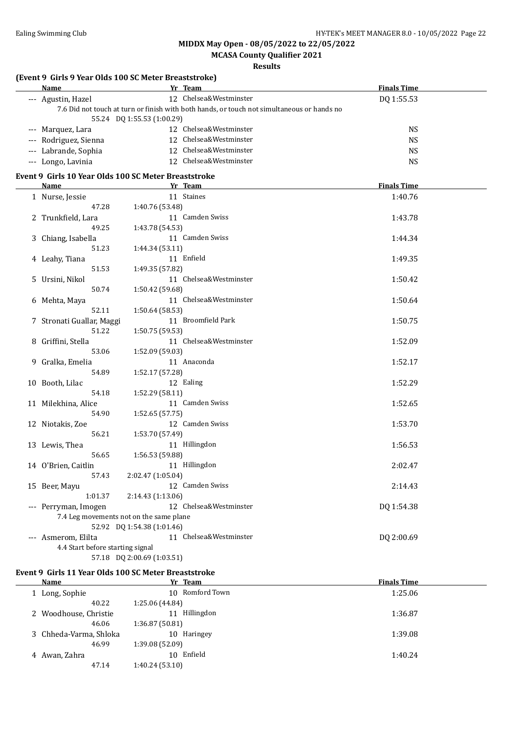**MCASA County Qualifier 2021**

**Results**

#### **(Event 9 Girls 9 Year Olds 100 SC Meter Breaststroke)**

| Name                  | Yr Team                                                                                    | <b>Finals Time</b> |  |  |  |  |
|-----------------------|--------------------------------------------------------------------------------------------|--------------------|--|--|--|--|
| --- Agustin, Hazel    | 12 Chelsea&Westminster                                                                     | DQ 1:55.53         |  |  |  |  |
|                       | 7.6 Did not touch at turn or finish with both hands, or touch not simultaneous or hands no |                    |  |  |  |  |
|                       | 55.24 DQ 1:55.53 (1:00.29)                                                                 |                    |  |  |  |  |
| --- Marquez, Lara     | 12 Chelsea&Westminster                                                                     | NS                 |  |  |  |  |
| --- Rodriguez, Sienna | 12 Chelsea&Westminster                                                                     | NS                 |  |  |  |  |
| --- Labrande, Sophia  | 12 Chelsea&Westminster                                                                     | NS                 |  |  |  |  |
| --- Longo, Lavinia    | 12 Chelsea&Westminster                                                                     | NS                 |  |  |  |  |

#### **Event 9 Girls 10 Year Olds 100 SC Meter Breaststroke**

| <b>Name</b>                      | Yr Team                                 | <b>Finals Time</b> |
|----------------------------------|-----------------------------------------|--------------------|
| 1 Nurse, Jessie                  | 11 Staines                              | 1:40.76            |
| 47.28                            | 1:40.76 (53.48)                         |                    |
| 2 Trunkfield, Lara               | 11 Camden Swiss                         | 1:43.78            |
| 49.25                            | 1:43.78 (54.53)                         |                    |
| 3 Chiang, Isabella               | 11 Camden Swiss                         | 1:44.34            |
| 51.23                            | 1:44.34 (53.11)                         |                    |
| 4 Leahy, Tiana                   | 11 Enfield                              | 1:49.35            |
| 51.53                            | 1:49.35 (57.82)                         |                    |
| 5 Ursini, Nikol                  | 11 Chelsea&Westminster                  | 1:50.42            |
| 50.74                            | 1:50.42 (59.68)                         |                    |
| 6 Mehta, Maya                    | 11 Chelsea&Westminster                  | 1:50.64            |
| 52.11                            | 1:50.64 (58.53)                         |                    |
| 7 Stronati Guallar, Maggi        | 11 Broomfield Park                      | 1:50.75            |
| 51.22                            | 1:50.75 (59.53)                         |                    |
| 8 Griffini, Stella               | 11 Chelsea&Westminster                  | 1:52.09            |
| 53.06                            | 1:52.09 (59.03)                         |                    |
| 9 Gralka, Emelia                 | 11 Anaconda                             | 1:52.17            |
| 54.89                            | 1:52.17 (57.28)                         |                    |
| 10 Booth, Lilac                  | 12 Ealing                               | 1:52.29            |
| 54.18                            | 1:52.29 (58.11)                         |                    |
| 11 Milekhina, Alice              | 11 Camden Swiss                         | 1:52.65            |
| 54.90                            | 1:52.65 (57.75)                         |                    |
| 12 Niotakis, Zoe                 | 12 Camden Swiss                         | 1:53.70            |
| 56.21                            | 1:53.70 (57.49)                         |                    |
| 13 Lewis, Thea                   | 11 Hillingdon                           | 1:56.53            |
| 56.65                            | 1:56.53 (59.88)                         |                    |
| 14 O'Brien, Caitlin              | 11 Hillingdon                           | 2:02.47            |
| 57.43                            | 2:02.47 (1:05.04)                       |                    |
| 15 Beer, Mayu                    | 12 Camden Swiss                         | 2:14.43            |
| 1:01.37                          | 2:14.43 (1:13.06)                       |                    |
| --- Perryman, Imogen             | 12 Chelsea&Westminster                  | DQ 1:54.38         |
|                                  | 7.4 Leg movements not on the same plane |                    |
|                                  | 52.92 DQ 1:54.38 (1:01.46)              |                    |
| --- Asmerom, Elilta              | 11 Chelsea&Westminster                  | DQ 2:00.69         |
| 4.4 Start before starting signal |                                         |                    |

57.18 DQ 2:00.69 (1:03.51)

#### **Event 9 Girls 11 Year Olds 100 SC Meter Breaststroke**

| Name                   | Yr Team         | <b>Finals Time</b> |
|------------------------|-----------------|--------------------|
| Long, Sophie           | 10 Romford Town | 1:25.06            |
| 40.22                  | 1:25.06 (44.84) |                    |
| 2 Woodhouse, Christie  | 11 Hillingdon   | 1:36.87            |
| 46.06                  | 1:36.87(50.81)  |                    |
| 3 Chheda-Varma, Shloka | 10 Haringey     | 1:39.08            |
| 46.99                  | 1:39.08(52.09)  |                    |
| 4 Awan, Zahra          | 10 Enfield      | 1:40.24            |
| 47.14                  | 1:40.24(53.10)  |                    |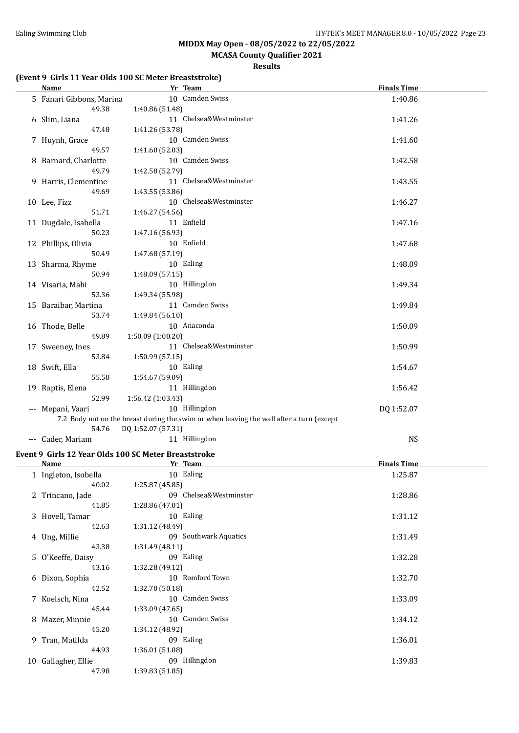### **MCASA County Qualifier 2021**

#### **Results**

#### **(Event 9 Girls 11 Year Olds 100 SC Meter Breaststroke)**

| <b>Name</b>              | Yr Team                                                                                  | <b>Finals Time</b> |  |
|--------------------------|------------------------------------------------------------------------------------------|--------------------|--|
| 5 Fanari Gibbons, Marina | 10 Camden Swiss                                                                          | 1:40.86            |  |
| 49.38                    | 1:40.86 (51.48)                                                                          |                    |  |
| 6 Slim, Liana            | 11 Chelsea&Westminster                                                                   | 1:41.26            |  |
| 47.48                    | 1:41.26 (53.78)                                                                          |                    |  |
| 7 Huynh, Grace           | 10 Camden Swiss                                                                          | 1:41.60            |  |
| 49.57                    | 1:41.60 (52.03)                                                                          |                    |  |
| 8 Barnard, Charlotte     | 10 Camden Swiss                                                                          | 1:42.58            |  |
| 49.79                    | 1:42.58 (52.79)                                                                          |                    |  |
| 9 Harris, Clementine     | 11 Chelsea&Westminster                                                                   | 1:43.55            |  |
| 49.69                    | 1:43.55 (53.86)                                                                          |                    |  |
| 10 Lee, Fizz             | 10 Chelsea&Westminster                                                                   | 1:46.27            |  |
| 51.71                    | 1:46.27 (54.56)                                                                          |                    |  |
| 11 Dugdale, Isabella     | 11 Enfield                                                                               | 1:47.16            |  |
| 50.23                    | 1:47.16 (56.93)                                                                          |                    |  |
| 12 Phillips, Olivia      | 10 Enfield                                                                               | 1:47.68            |  |
| 50.49                    | 1:47.68 (57.19)                                                                          |                    |  |
| 13 Sharma, Rhyme         | 10 Ealing                                                                                | 1:48.09            |  |
| 50.94                    | 1:48.09 (57.15)                                                                          |                    |  |
| 14 Visaria, Mahi         | 10 Hillingdon                                                                            | 1:49.34            |  |
| 53.36                    | 1:49.34 (55.98)                                                                          |                    |  |
| 15 Baraibar, Martina     | 11 Camden Swiss                                                                          | 1:49.84            |  |
| 53.74                    | 1:49.84 (56.10)                                                                          |                    |  |
| 16 Thode, Belle          | 10 Anaconda                                                                              | 1:50.09            |  |
| 49.89                    | 1:50.09 (1:00.20)                                                                        |                    |  |
| 17 Sweeney, Ines         | 11 Chelsea&Westminster                                                                   | 1:50.99            |  |
| 53.84                    | 1:50.99 (57.15)                                                                          |                    |  |
| 18 Swift, Ella           | 10 Ealing                                                                                | 1:54.67            |  |
| 55.58                    | 1:54.67 (59.09)                                                                          |                    |  |
| 19 Raptis, Elena         | 11 Hillingdon                                                                            | 1:56.42            |  |
| 52.99                    | 1:56.42 (1:03.43)                                                                        |                    |  |
| --- Mepani, Vaari        | 10 Hillingdon                                                                            | DQ 1:52.07         |  |
|                          | 7.2 Body not on the breast during the swim or when leaving the wall after a turn (except |                    |  |
| 54.76                    | DQ 1:52.07 (57.31)                                                                       |                    |  |
| --- Cader, Mariam        | 11 Hillingdon                                                                            | <b>NS</b>          |  |

#### **Event 9 Girls 12 Year Olds 100 SC Meter Breaststroke**

| Name                 | Yr Team                | <b>Finals Time</b> |
|----------------------|------------------------|--------------------|
| 1 Ingleton, Isobella | 10 Ealing              | 1:25.87            |
| 40.02                | 1:25.87(45.85)         |                    |
| 2 Trincano, Jade     | 09 Chelsea&Westminster | 1:28.86            |
| 41.85                | 1:28.86 (47.01)        |                    |
| 3 Hovell, Tamar      | 10 Ealing              | 1:31.12            |
| 42.63                | 1:31.12 (48.49)        |                    |
| 4 Ung, Millie        | 09 Southwark Aquatics  | 1:31.49            |
| 43.38                | 1:31.49(48.11)         |                    |
| 5 O'Keeffe, Daisy    | 09 Ealing              | 1:32.28            |
| 43.16                | 1:32.28 (49.12)        |                    |
| 6 Dixon, Sophia      | 10 Romford Town        | 1:32.70            |
| 42.52                | 1:32.70 (50.18)        |                    |
| 7 Koelsch, Nina      | 10 Camden Swiss        | 1:33.09            |
| 45.44                | 1:33.09(47.65)         |                    |
| 8 Mazer, Minnie      | 10 Camden Swiss        | 1:34.12            |
| 45.20                | 1:34.12 (48.92)        |                    |
| 9 Tran, Matilda      | 09 Ealing              | 1:36.01            |
| 44.93                | 1:36.01 (51.08)        |                    |
| 10 Gallagher, Ellie  | 09 Hillingdon          | 1:39.83            |
| 47.98                | 1:39.83(51.85)         |                    |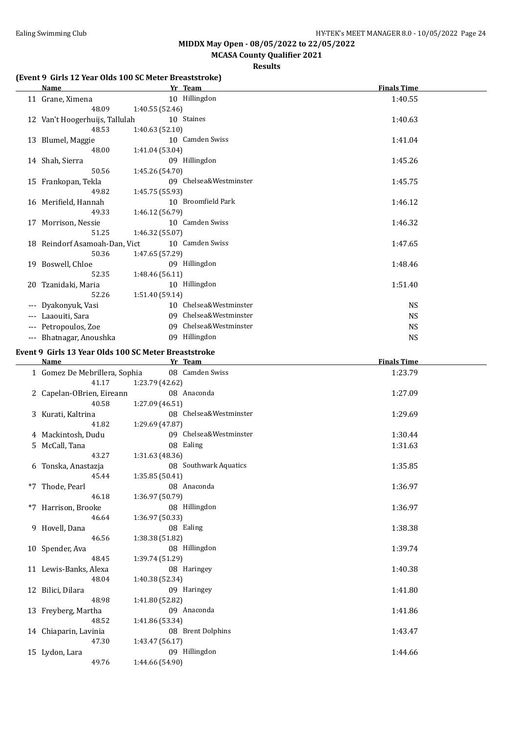### **MCASA County Qualifier 2021**

#### **Results**

#### **(Event 9 Girls 12 Year Olds 100 SC Meter Breaststroke)**

49.76 1:44.66 (54.90)

| <b>Name</b>                                          |                 | Yr Team                | <b>Finals Time</b> |  |
|------------------------------------------------------|-----------------|------------------------|--------------------|--|
| 11 Grane, Ximena                                     |                 | 10 Hillingdon          | 1:40.55            |  |
| 48.09                                                | 1:40.55 (52.46) |                        |                    |  |
| 12 Van't Hoogerhuijs, Tallulah<br>48.53              | 1:40.63 (52.10) | 10 Staines             | 1:40.63            |  |
| 13 Blumel, Maggie                                    |                 | 10 Camden Swiss        | 1:41.04            |  |
| 48.00                                                | 1:41.04 (53.04) |                        |                    |  |
| 14 Shah, Sierra                                      |                 | 09 Hillingdon          | 1:45.26            |  |
| 50.56                                                | 1:45.26 (54.70) |                        |                    |  |
| 15 Frankopan, Tekla                                  |                 | 09 Chelsea&Westminster | 1:45.75            |  |
| 49.82                                                | 1:45.75 (55.93) |                        |                    |  |
| 16 Merifield, Hannah                                 |                 | 10 Broomfield Park     | 1:46.12            |  |
| 49.33                                                | 1:46.12 (56.79) |                        |                    |  |
| 17 Morrison, Nessie                                  |                 | 10 Camden Swiss        | 1:46.32            |  |
|                                                      |                 |                        |                    |  |
| 51.25                                                | 1:46.32 (55.07) |                        |                    |  |
| 18 Reindorf Asamoah-Dan, Vict                        |                 | 10 Camden Swiss        | 1:47.65            |  |
| 50.36                                                | 1:47.65 (57.29) |                        |                    |  |
| 19 Boswell, Chloe                                    |                 | 09 Hillingdon          | 1:48.46            |  |
| 52.35                                                | 1:48.46 (56.11) |                        |                    |  |
| 20 Tzanidaki, Maria                                  |                 | 10 Hillingdon          | 1:51.40            |  |
| 52.26                                                | 1:51.40 (59.14) |                        |                    |  |
| --- Dyakonyuk, Vasi                                  |                 | 10 Chelsea&Westminster | <b>NS</b>          |  |
| --- Laaouiti, Sara                                   |                 | 09 Chelsea&Westminster | <b>NS</b>          |  |
| --- Petropoulos, Zoe                                 |                 | 09 Chelsea&Westminster | <b>NS</b>          |  |
|                                                      |                 | 09 Hillingdon          |                    |  |
| --- Bhatnagar, Anoushka                              |                 |                        | <b>NS</b>          |  |
| Event 9 Girls 13 Year Olds 100 SC Meter Breaststroke |                 |                        |                    |  |
| Name                                                 |                 | Yr Team                | <b>Finals Time</b> |  |
| 1 Gomez De Mebrillera, Sophia                        |                 | 08 Camden Swiss        | 1:23.79            |  |
| 41.17                                                | 1:23.79 (42.62) |                        |                    |  |
| 2 Capelan-OBrien, Eireann                            |                 | 08 Anaconda            | 1:27.09            |  |
| 40.58                                                | 1:27.09 (46.51) |                        |                    |  |
|                                                      |                 | 08 Chelsea&Westminster | 1:29.69            |  |
| 3 Kurati, Kaltrina                                   |                 |                        |                    |  |
| 41.82                                                | 1:29.69 (47.87) |                        |                    |  |
| 4 Mackintosh, Dudu                                   |                 | 09 Chelsea&Westminster | 1:30.44            |  |
| 5 McCall, Tana                                       |                 | 08 Ealing              | 1:31.63            |  |
| 43.27                                                | 1:31.63 (48.36) |                        |                    |  |
| 6 Tonska, Anastazja                                  |                 | 08 Southwark Aquatics  | 1:35.85            |  |
| 45.44                                                | 1:35.85 (50.41) |                        |                    |  |
| *7 Thode, Pearl                                      |                 | 08 Anaconda            | 1:36.97            |  |
| 46.18                                                | 1:36.97 (50.79) |                        |                    |  |
| *7 Harrison, Brooke                                  |                 | 08 Hillingdon          | 1:36.97            |  |
| 46.64                                                | 1:36.97 (50.33) |                        |                    |  |
| 9 Hovell, Dana                                       |                 | 08 Ealing              | 1:38.38            |  |
|                                                      |                 |                        |                    |  |
| 46.56                                                | 1:38.38 (51.82) |                        |                    |  |
| 10 Spender, Ava                                      |                 | 08 Hillingdon          | 1:39.74            |  |
| 48.45                                                | 1:39.74 (51.29) |                        |                    |  |
| 11 Lewis-Banks, Alexa                                |                 | 08 Haringey            | 1:40.38            |  |
| 48.04                                                | 1:40.38 (52.34) |                        |                    |  |
| 12 Bilici, Dilara                                    |                 | 09 Haringey            | 1:41.80            |  |
| 48.98                                                | 1:41.80 (52.82) |                        |                    |  |
| 13 Freyberg, Martha                                  |                 | 09 Anaconda            | 1:41.86            |  |
| 48.52                                                | 1:41.86 (53.34) |                        |                    |  |
|                                                      |                 | 08 Brent Dolphins      |                    |  |
| 14 Chiaparin, Lavinia                                |                 |                        | 1:43.47            |  |
| 47.30                                                | 1:43.47 (56.17) |                        |                    |  |
| 15 Lydon, Lara                                       |                 | 09 Hillingdon          | 1:44.66            |  |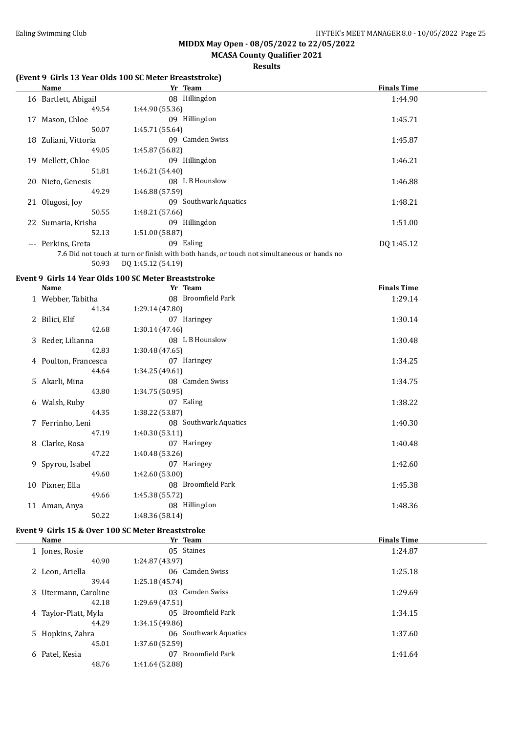### **MCASA County Qualifier 2021**

#### **Results**

#### **(Event 9 Girls 13 Year Olds 100 SC Meter Breaststroke)**

|       | Name                 | Yr Team                                                                                    | <b>Finals Time</b> |
|-------|----------------------|--------------------------------------------------------------------------------------------|--------------------|
|       | 16 Bartlett, Abigail | 08 Hillingdon                                                                              | 1:44.90            |
|       | 49.54                | 1:44.90 (55.36)                                                                            |                    |
| 17    | Mason, Chloe         | 09 Hillingdon                                                                              | 1:45.71            |
|       | 50.07                | 1:45.71 (55.64)                                                                            |                    |
| 18    | Zuliani, Vittoria    | 09 Camden Swiss                                                                            | 1:45.87            |
|       | 49.05                | 1:45.87 (56.82)                                                                            |                    |
| 19    | Mellett, Chloe       | Hillingdon<br>09                                                                           | 1:46.21            |
|       | 51.81                | 1:46.21 (54.40)                                                                            |                    |
| 20    | Nieto, Genesis       | L B Hounslow<br>08.                                                                        | 1:46.88            |
|       | 49.29                | 1:46.88 (57.59)                                                                            |                    |
|       | 21 Olugosi, Joy      | <b>Southwark Aquatics</b><br>09                                                            | 1:48.21            |
|       | 50.55                | 1:48.21 (57.66)                                                                            |                    |
|       | 22 Sumaria, Krisha   | Hillingdon<br>09                                                                           | 1:51.00            |
|       | 52.13                | 1:51.00 (58.87)                                                                            |                    |
| $---$ | Perkins, Greta       | 09 Ealing                                                                                  | DQ 1:45.12         |
|       |                      | 7.6 Did not touch at turn or finish with both hands, or touch not simultaneous or hands no |                    |
|       | 50.93                | DQ 1:45.12 (54.19)                                                                         |                    |

#### **Event 9 Girls 14 Year Olds 100 SC Meter Breaststroke**

| Name                 | Yr              | <b>Team</b>           | <b>Finals Time</b> |
|----------------------|-----------------|-----------------------|--------------------|
| 1 Webber, Tabitha    |                 | 08 Broomfield Park    | 1:29.14            |
| 41.34                | 1:29.14(47.80)  |                       |                    |
| 2 Bilici, Elif       |                 | 07 Haringey           | 1:30.14            |
| 42.68                | 1:30.14(47.46)  |                       |                    |
| 3 Reder, Lilianna    |                 | 08 L B Hounslow       | 1:30.48            |
| 42.83                | 1:30.48 (47.65) |                       |                    |
| 4 Poulton, Francesca |                 | 07 Haringey           | 1:34.25            |
| 44.64                | 1:34.25(49.61)  |                       |                    |
| 5 Akarli, Mina       |                 | 08 Camden Swiss       | 1:34.75            |
| 43.80                | 1:34.75(50.95)  |                       |                    |
| 6 Walsh, Ruby        |                 | 07 Ealing             | 1:38.22            |
| 44.35                | 1:38.22 (53.87) |                       |                    |
| 7 Ferrinho, Leni     |                 | 08 Southwark Aquatics | 1:40.30            |
| 47.19                | 1:40.30(53.11)  |                       |                    |
| 8 Clarke, Rosa       |                 | 07 Haringey           | 1:40.48            |
| 47.22                | 1:40.48(53.26)  |                       |                    |
| 9 Spyrou, Isabel     |                 | 07 Haringey           | 1:42.60            |
| 49.60                | 1:42.60(53.00)  |                       |                    |
| 10 Pixner, Ella      |                 | 08 Broomfield Park    | 1:45.38            |
| 49.66                | 1:45.38 (55.72) |                       |                    |
| 11 Aman, Anya        |                 | 08 Hillingdon         | 1:48.36            |
| 50.22                | 1:48.36 (58.14) |                       |                    |

#### **Event 9 Girls 15 & Over 100 SC Meter Breaststroke**

|   | Name                 |                 | Yr Team               | <b>Finals Time</b> |
|---|----------------------|-----------------|-----------------------|--------------------|
|   | 1 Jones, Rosie       |                 | 05 Staines            | 1:24.87            |
|   | 40.90                | 1:24.87 (43.97) |                       |                    |
|   | 2 Leon, Ariella      |                 | 06 Camden Swiss       | 1:25.18            |
|   | 39.44                | 1:25.18(45.74)  |                       |                    |
|   | 3 Utermann, Caroline | 03.             | Camden Swiss          | 1:29.69            |
|   | 42.18                | 1:29.69(47.51)  |                       |                    |
|   | 4 Taylor-Platt, Myla |                 | 05 Broomfield Park    | 1:34.15            |
|   | 44.29                | 1:34.15(49.86)  |                       |                    |
|   | 5 Hopkins, Zahra     |                 | 06 Southwark Aquatics | 1:37.60            |
|   | 45.01                | 1:37.60(52.59)  |                       |                    |
| 6 | Patel, Kesia         | 07              | Broomfield Park       | 1:41.64            |
|   | 48.76                | 1:41.64 (52.88) |                       |                    |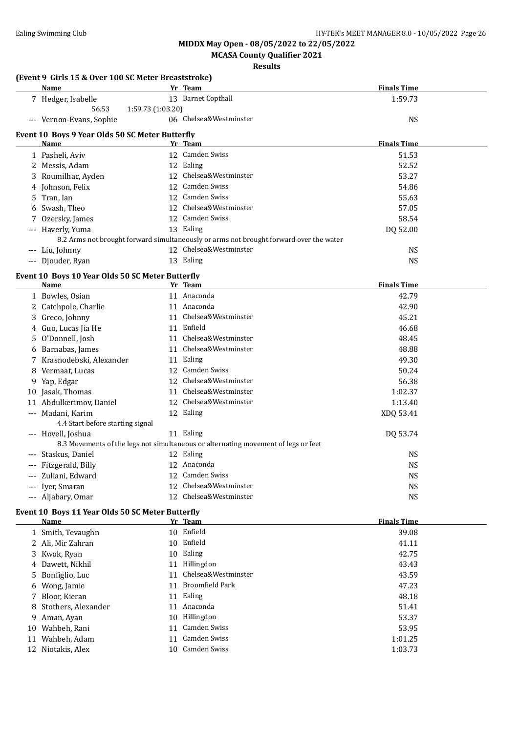**MCASA County Qualifier 2021**

#### **Results**

#### **(Event 9 Girls 15 & Over 100 SC Meter Breaststroke) Name Yr Team Finals Time** 7 Hedger, Isabelle 13 Barnet Copthall 1:59.73 56.53 1:59.73 (1:03.20) --- Vernon-Evans, Sophie 06 Chelsea&Westminster NS **Event 10 Boys 9 Year Olds 50 SC Meter Butterfly Name Solution Science <b>Propose Propose Propose Propose Propose Propose Propose Propose Propose Propose Propose Propose Propose Propose Propose Propose Propose Propose Propose Propos** 1 Pasheli, Aviv 12 Camden Swiss 51.53 2 Messis, Adam 12 Ealing 12 Early 12 Early 12 Early 12 Early 12 Early 12 Early 12 Early 12 Early 12 Early 12 Early 12 Early 12 Early 12 Early 12 Early 12 Early 12 Early 12 Early 12 Early 12 Early 12 Early 12 Early 12 Early 3 Roumilhac, Ayden 12 Chelsea&Westminster 53.27 4 Johnson, Felix 12 Camden Swiss 54.86 5 Tran, Ian 12 Camden Swiss 55.63 6 Swash, Theo 12 Chelsea&Westminster 57.05 7 Ozersky, James 12 Camden Swiss 58.54 --- Haverly, Yuma 13 Ealing 13 Allen and the DQ 52.00 8.2 Arms not brought forward simultaneously or arms not brought forward over the water --- Liu, Johnny 12 Chelsea&Westminster NS --- Djouder, Ryan 13 Ealing 13 Ealing 13 Ealing 13 Ealing 14 AMS **Event 10 Boys 10 Year Olds 50 SC Meter Butterfly Name Yr Team Finals Time** 1 Bowles, Osian 11 Anaconda 42.79 2 Catchpole, Charlie 11 Anaconda 42.90 3 Greco, Johnny 11 Chelsea&Westminster 45.21 4 Guo, Lucas Jia He 11 Enfield 46.68 5 O'Donnell, Josh 11 Chelsea&Westminster 48.45 6 Barnabas, James 11 Chelsea&Westminster 48.88 7 Krasnodebski, Alexander 11 Ealing 11 Early 10 12 Camden Swiss 49.30 49.30 8 Vermaat, Lucas 12 Camden Swiss 50.24 9 Yap, Edgar 12 Chelsea&Westminster 56.38 10 Jasak, Thomas 11 Chelsea&Westminster 1:02.37<br>11 Abdulkerimov, Daniel 12 Chelsea&Westminster 1:13.40 11 Abdulkerimov, Daniel 12 Chelsea&Westminster 1:13.40 --- Madani, Karim 12 Ealing 12 Ann an an Ann an Ann an Ann an Ann an Ann an Ann an Ann an Ann an Ann an Ann an A 4.4 Start before starting signal --- Hovell, Joshua 11 Ealing 11 Ealing 11 Ealing 100 53.74 8.3 Movements of the legs not simultaneous or alternating movement of legs or feet --- Staskus, Daniel 12 Ealing 12 Ealing 12 Ealing 12 Ealing 12 Ealing 19 The Staskus, 19 The NS --- Fitzgerald, Billy 12 Anaconda 12 Anaconda 12 Anaconda NS<br>--- Zuliani, Edward 12 Camden Swiss 12 NS --- Zuliani, Edward 12 Camden Swiss 1998 --- 2016 1999 NS --- Iver. Smaran 12 Chelsea&Westminster NS --- Aljabary, Omar 12 Chelsea&Westminster NS

#### **Event 10 Boys 11 Year Olds 50 SC Meter Butterfly**

| <b>Name</b>           | Yr Team                | <b>Finals Time</b> |
|-----------------------|------------------------|--------------------|
| 1 Smith, Tevaughn     | 10 Enfield             | 39.08              |
| 2 Ali. Mir Zahran     | 10 Enfield             | 41.11              |
| 3 Kwok, Ryan          | 10 Ealing              | 42.75              |
| 4 Dawett, Nikhil      | 11 Hillingdon          | 43.43              |
| 5 Bonfiglio, Luc      | 11 Chelsea&Westminster | 43.59              |
| 6 Wong, Jamie         | 11 Broomfield Park     | 47.23              |
| 7 Bloor, Kieran       | 11 Ealing              | 48.18              |
| 8 Stothers, Alexander | 11 Anaconda            | 51.41              |
| 9 Aman, Ayan          | 10 Hillingdon          | 53.37              |
| 10 Wahbeh, Rani       | 11 Camden Swiss        | 53.95              |
| 11 Wahbeh, Adam       | 11 Camden Swiss        | 1:01.25            |
| 12 Niotakis, Alex     | 10 Camden Swiss        | 1:03.73            |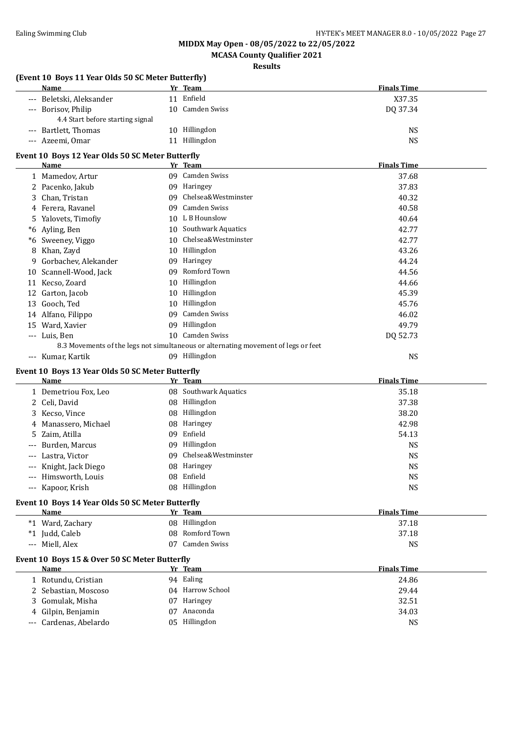**MCASA County Qualifier 2021**

|                     | (Event 10 Boys 11 Year Olds 50 SC Meter Butterfly)<br>Name | Yr Team                                                                            | <b>Finals Time</b> |
|---------------------|------------------------------------------------------------|------------------------------------------------------------------------------------|--------------------|
|                     | --- Beletski, Aleksander                                   | 11 Enfield                                                                         | X37.35             |
|                     | --- Borisov, Philip<br>4.4 Start before starting signal    | 10 Camden Swiss                                                                    | DQ 37.34           |
|                     | --- Bartlett, Thomas                                       | 10 Hillingdon                                                                      | <b>NS</b>          |
|                     | --- Azeemi, Omar                                           | 11 Hillingdon                                                                      | <b>NS</b>          |
|                     | Event 10 Boys 12 Year Olds 50 SC Meter Butterfly           |                                                                                    |                    |
|                     | Name                                                       | Yr Team                                                                            | <b>Finals Time</b> |
|                     | 1 Mamedov, Artur                                           | 09 Camden Swiss                                                                    | 37.68              |
|                     | 2 Pacenko, Jakub                                           | 09 Haringey                                                                        | 37.83              |
| 3                   | Chan, Tristan                                              | 09 Chelsea&Westminster                                                             | 40.32              |
|                     | 4 Ferera, Ravanel                                          | 09 Camden Swiss                                                                    | 40.58              |
| 5.                  | Yalovets, Timofiy                                          | 10 L B Hounslow                                                                    | 40.64              |
|                     | *6 Ayling, Ben                                             | 10 Southwark Aquatics                                                              | 42.77              |
|                     | *6 Sweeney, Viggo                                          | 10 Chelsea&Westminster                                                             | 42.77              |
| 8                   | Khan, Zayd                                                 | 10 Hillingdon                                                                      | 43.26              |
| 9                   | Gorbachev, Alekander                                       | 09 Haringey                                                                        | 44.24              |
|                     | 10 Scannell-Wood, Jack                                     | 09 Romford Town                                                                    | 44.56              |
|                     | 11 Kecso, Zoard                                            | 10 Hillingdon                                                                      | 44.66              |
|                     | 12 Garton, Jacob                                           | 10 Hillingdon                                                                      | 45.39              |
|                     | 13 Gooch, Ted                                              | 10 Hillingdon                                                                      | 45.76              |
|                     | 14 Alfano, Filippo                                         | 09 Camden Swiss                                                                    | 46.02              |
| 15                  | Ward, Xavier                                               | 09 Hillingdon                                                                      | 49.79              |
|                     | --- Luis, Ben                                              | 10 Camden Swiss                                                                    | DQ 52.73           |
|                     |                                                            | 8.3 Movements of the legs not simultaneous or alternating movement of legs or feet |                    |
|                     | --- Kumar, Kartik                                          | 09 Hillingdon                                                                      | <b>NS</b>          |
|                     | Event 10 Boys 13 Year Olds 50 SC Meter Butterfly           |                                                                                    |                    |
|                     | Name                                                       | Yr Team                                                                            | <b>Finals Time</b> |
|                     | 1 Demetriou Fox, Leo                                       | 08 Southwark Aquatics                                                              | 35.18              |
|                     |                                                            |                                                                                    |                    |
|                     | 2 Celi, David                                              | 08 Hillingdon                                                                      | 37.38              |
| 3                   | Kecso, Vince                                               | 08 Hillingdon                                                                      | 38.20              |
| 4                   | Manassero, Michael                                         | 08 Haringey                                                                        | 42.98              |
| 5.                  | Zaim, Atilla                                               | 09 Enfield                                                                         | 54.13              |
| $\qquad \qquad - -$ | Burden, Marcus                                             | 09 Hillingdon                                                                      | <b>NS</b>          |
| $\qquad \qquad - -$ | Lastra, Victor                                             | 09 Chelsea&Westminster                                                             | <b>NS</b>          |
|                     | --- Knight, Jack Diego                                     | 08 Haringey                                                                        | <b>NS</b>          |
|                     | Himsworth, Louis                                           | 08 Enfield                                                                         | <b>NS</b>          |
|                     | --- Kapoor, Krish                                          | 08 Hillingdon                                                                      | <b>NS</b>          |
|                     | Event 10 Boys 14 Year Olds 50 SC Meter Butterfly           |                                                                                    |                    |
|                     | <b>Name</b>                                                | Yr Team                                                                            | <b>Finals Time</b> |
|                     | *1 Ward, Zachary                                           | 08 Hillingdon                                                                      | 37.18              |
|                     | *1 Judd, Caleb                                             | 08 Romford Town                                                                    | 37.18              |
|                     | --- Miell, Alex                                            | 07 Camden Swiss                                                                    | <b>NS</b>          |
|                     | Event 10 Boys 15 & Over 50 SC Meter Butterfly              |                                                                                    |                    |
|                     | Name                                                       | Yr Team                                                                            | <b>Finals Time</b> |
|                     | 1 Rotundu, Cristian                                        | 94 Ealing                                                                          | 24.86              |
|                     | 2 Sebastian, Moscoso                                       | 04 Harrow School                                                                   | 29.44              |
| 3<br>4              | Gomulak, Misha<br>Gilpin, Benjamin                         | 07 Haringey<br>07 Anaconda                                                         | 32.51<br>34.03     |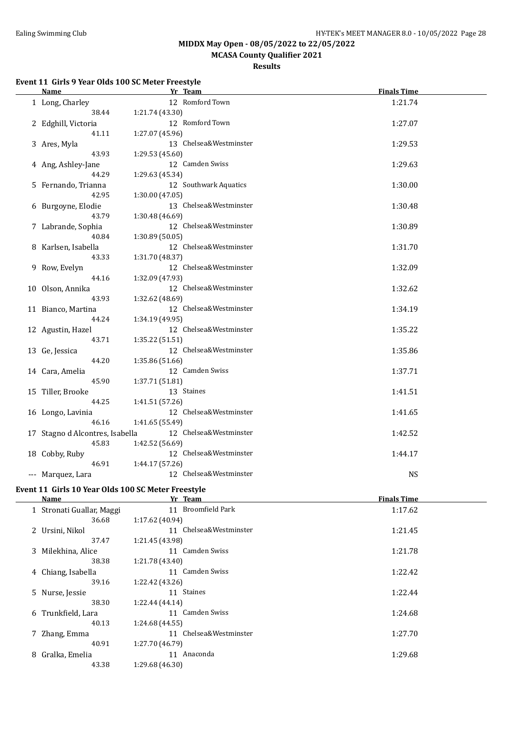**MCASA County Qualifier 2021**

**Results**

#### **Event 11 Girls 9 Year Olds 100 SC Meter Freestyle**

| <b>Name</b>                     | Yr Team                | <b>Finals Time</b> |
|---------------------------------|------------------------|--------------------|
| 1 Long, Charley                 | 12 Romford Town        | 1:21.74            |
| 38.44                           | 1:21.74 (43.30)        |                    |
| 2 Edghill, Victoria             | 12 Romford Town        | 1:27.07            |
| 41.11                           | 1:27.07 (45.96)        |                    |
| 3 Ares, Myla                    | 13 Chelsea&Westminster | 1:29.53            |
| 43.93                           | 1:29.53 (45.60)        |                    |
| 4 Ang, Ashley-Jane              | 12 Camden Swiss        | 1:29.63            |
| 44.29                           | 1:29.63 (45.34)        |                    |
| 5 Fernando, Trianna             | 12 Southwark Aquatics  | 1:30.00            |
| 42.95                           | 1:30.00 (47.05)        |                    |
| 6 Burgoyne, Elodie              | 13 Chelsea&Westminster | 1:30.48            |
| 43.79                           | 1:30.48 (46.69)        |                    |
| 7 Labrande, Sophia              | 12 Chelsea&Westminster | 1:30.89            |
| 40.84                           | 1:30.89 (50.05)        |                    |
| 8 Karlsen, Isabella             | 12 Chelsea&Westminster | 1:31.70            |
| 43.33                           | 1:31.70 (48.37)        |                    |
| 9 Row, Evelyn                   | 12 Chelsea&Westminster | 1:32.09            |
| 44.16                           | 1:32.09 (47.93)        |                    |
| 10 Olson, Annika                | 12 Chelsea&Westminster | 1:32.62            |
| 43.93                           | 1:32.62 (48.69)        |                    |
| 11 Bianco, Martina              | 12 Chelsea&Westminster | 1:34.19            |
| 44.24                           | 1:34.19 (49.95)        |                    |
| 12 Agustin, Hazel               | 12 Chelsea&Westminster | 1:35.22            |
| 43.71                           | 1:35.22 (51.51)        |                    |
| 13 Ge, Jessica                  | 12 Chelsea&Westminster | 1:35.86            |
| 44.20                           | 1:35.86 (51.66)        |                    |
| 14 Cara, Amelia                 | 12 Camden Swiss        | 1:37.71            |
| 45.90                           | 1:37.71 (51.81)        |                    |
| 15 Tiller, Brooke               | 13 Staines             | 1:41.51            |
| 44.25                           | 1:41.51 (57.26)        |                    |
| 16 Longo, Lavinia               | 12 Chelsea&Westminster | 1:41.65            |
| 46.16                           | 1:41.65 (55.49)        |                    |
| 17 Stagno d Alcontres, Isabella | 12 Chelsea&Westminster | 1:42.52            |
| 45.83                           | 1:42.52 (56.69)        |                    |
| 18 Cobby, Ruby                  | 12 Chelsea&Westminster | 1:44.17            |
| 46.91                           | 1:44.17(57.26)         |                    |
| --- Marquez, Lara               | 12 Chelsea&Westminster | <b>NS</b>          |
|                                 |                        |                    |

#### **Event 11 Girls 10 Year Olds 100 SC Meter Freestyle**

|                        | <b>Finals Time</b> |
|------------------------|--------------------|
| 11 Broomfield Park     | 1:17.62            |
| 1:17.62(40.94)         |                    |
| 11 Chelsea&Westminster | 1:21.45            |
| 1:21.45 (43.98)        |                    |
| 11 Camden Swiss        | 1:21.78            |
| 1:21.78 (43.40)        |                    |
| 11 Camden Swiss        | 1:22.42            |
| 1:22.42 (43.26)        |                    |
| 11 Staines             | 1:22.44            |
| 1:22.44 (44.14)        |                    |
| Camden Swiss<br>11     | 1:24.68            |
| 1:24.68 (44.55)        |                    |
| 11 Chelsea&Westminster | 1:27.70            |
| 1:27.70 (46.79)        |                    |
| Anaconda<br>11         | 1:29.68            |
| 1:29.68 (46.30)        |                    |
|                        | Yr Team            |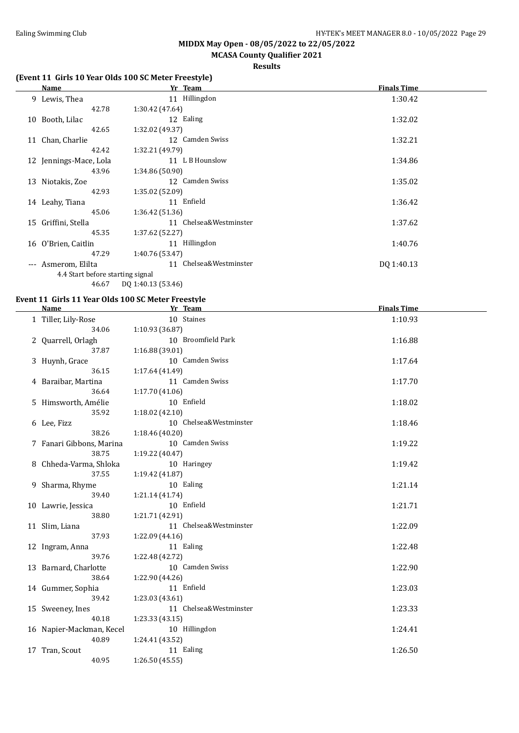### **MCASA County Qualifier 2021**

#### **Results**

#### **(Event 11 Girls 10 Year Olds 100 SC Meter Freestyle)**

|                     | Name                             | Yr Team                | <b>Finals Time</b> |
|---------------------|----------------------------------|------------------------|--------------------|
|                     | 9 Lewis, Thea                    | 11 Hillingdon          | 1:30.42            |
|                     | 42.78                            | 1:30.42(47.64)         |                    |
| 10                  | Booth, Lilac                     | 12 Ealing              | 1:32.02            |
|                     | 42.65                            | 1:32.02 (49.37)        |                    |
|                     | 11 Chan, Charlie                 | 12 Camden Swiss        | 1:32.21            |
|                     | 42.42                            | 1:32.21 (49.79)        |                    |
|                     | 12 Jennings-Mace, Lola           | 11 L B Hounslow        | 1:34.86            |
|                     | 43.96                            | 1:34.86(50.90)         |                    |
|                     | 13 Niotakis, Zoe                 | 12 Camden Swiss        | 1:35.02            |
|                     | 42.93                            | 1:35.02(52.09)         |                    |
|                     | 14 Leahy, Tiana                  | 11 Enfield             | 1:36.42            |
|                     | 45.06                            | 1:36.42(51.36)         |                    |
| 15                  | Griffini, Stella                 | 11 Chelsea&Westminster | 1:37.62            |
|                     | 45.35                            | 1:37.62(52.27)         |                    |
|                     | 16 O'Brien, Caitlin              | 11 Hillingdon          | 1:40.76            |
|                     | 47.29                            | 1:40.76 (53.47)        |                    |
| $\qquad \qquad - -$ | Asmerom, Elilta                  | 11 Chelsea&Westminster | DQ 1:40.13         |
|                     | 4.4 Start before starting signal |                        |                    |
|                     | 46.67                            | DQ 1:40.13 (53.46)     |                    |

# **Event 11 Girls 11 Year Olds 100 SC Meter Freestyle**<br>Name Vy Toam

| Name                      | Yr Team                                   | <b>Finals Time</b> |
|---------------------------|-------------------------------------------|--------------------|
| 1 Tiller, Lily-Rose       | 10 Staines                                | 1:10.93            |
| 34.06                     | 1:10.93 (36.87)                           |                    |
| 2 Quarrell, Orlagh        | 10 Broomfield Park                        | 1:16.88            |
| 37.87                     | 1:16.88 (39.01)                           |                    |
| 3 Huynh, Grace            | 10 Camden Swiss                           | 1:17.64            |
| 36.15                     | 1:17.64 (41.49)                           |                    |
| 4 Baraibar, Martina       | 11 Camden Swiss                           | 1:17.70            |
| 36.64                     | 1:17.70(41.06)                            |                    |
| 5 Himsworth, Amélie       | 10 Enfield                                | 1:18.02            |
| 35.92                     | 1:18.02(42.10)                            |                    |
| 6 Lee, Fizz               | 10 Chelsea&Westminster                    | 1:18.46            |
| 38.26                     | 1:18.46 (40.20)                           |                    |
| 7 Fanari Gibbons, Marina  | 10 Camden Swiss                           | 1:19.22            |
| 38.75                     | 1:19.22 (40.47)                           |                    |
| 8 Chheda-Varma, Shloka    | 10 Haringey                               | 1:19.42            |
| 37.55                     | 1:19.42 (41.87)                           |                    |
| 9 Sharma, Rhyme           | 10 Ealing                                 | 1:21.14            |
| 39.40                     | 1:21.14 (41.74)                           |                    |
| 10 Lawrie, Jessica        | 10 Enfield                                | 1:21.71            |
| 38.80                     | 1:21.71 (42.91)                           |                    |
| 11 Slim, Liana            | 11 Chelsea&Westminster                    | 1:22.09            |
| 37.93                     | 1:22.09 (44.16)                           |                    |
| 12 Ingram, Anna           | 11 Ealing                                 | 1:22.48            |
| 39.76                     | 1:22.48 (42.72)                           |                    |
| 13 Barnard, Charlotte     | 10 Camden Swiss                           | 1:22.90            |
| 38.64                     | 1:22.90 (44.26)                           |                    |
| 14 Gummer, Sophia         | 11 Enfield                                | 1:23.03            |
| 39.42                     | 1:23.03 (43.61)<br>11 Chelsea&Westminster |                    |
| 15 Sweeney, Ines<br>40.18 | 1:23.33 (43.15)                           | 1:23.33            |
| 16 Napier-Mackman, Kecel  | 10 Hillingdon                             | 1:24.41            |
| 40.89                     | 1:24.41 (43.52)                           |                    |
| 17 Tran, Scout            | 11 Ealing                                 | 1:26.50            |
| 40.95                     | 1:26.50 (45.55)                           |                    |
|                           |                                           |                    |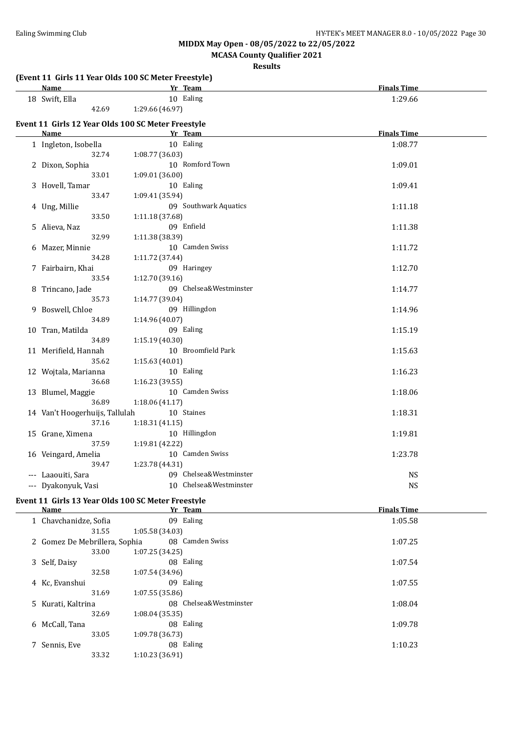**MCASA County Qualifier 2021**

| (Event 11 Girls 11 Year Olds 100 SC Meter Freestyle) |                 |                        |                    |
|------------------------------------------------------|-----------------|------------------------|--------------------|
| <b>Name</b>                                          |                 | Yr Team                | <b>Finals Time</b> |
| 18 Swift, Ella                                       |                 | 10 Ealing              | 1:29.66            |
| 42.69                                                | 1:29.66 (46.97) |                        |                    |
| Event 11 Girls 12 Year Olds 100 SC Meter Freestyle   |                 |                        |                    |
| <b>Name</b>                                          |                 | Yr Team                | <b>Finals Time</b> |
| 1 Ingleton, Isobella                                 |                 | 10 Ealing              | 1:08.77            |
| 32.74                                                | 1:08.77 (36.03) |                        |                    |
|                                                      |                 | 10 Romford Town        |                    |
| 2 Dixon, Sophia                                      |                 |                        | 1:09.01            |
| 33.01                                                | 1:09.01 (36.00) |                        |                    |
| 3 Hovell, Tamar                                      |                 | 10 Ealing              | 1:09.41            |
| 33.47                                                | 1:09.41 (35.94) |                        |                    |
| 4 Ung, Millie                                        |                 | 09 Southwark Aquatics  | 1:11.18            |
| 33.50                                                | 1:11.18 (37.68) |                        |                    |
| 5 Alieva, Naz                                        |                 | 09 Enfield             | 1:11.38            |
| 32.99                                                | 1:11.38 (38.39) |                        |                    |
| 6 Mazer, Minnie                                      |                 | 10 Camden Swiss        | 1:11.72            |
| 34.28                                                | 1:11.72 (37.44) |                        |                    |
| 7 Fairbairn, Khai                                    |                 | 09 Haringey            | 1:12.70            |
| 33.54                                                | 1:12.70 (39.16) |                        |                    |
| 8 Trincano, Jade                                     |                 | 09 Chelsea&Westminster | 1:14.77            |
| 35.73                                                | 1:14.77 (39.04) |                        |                    |
|                                                      |                 | 09 Hillingdon          |                    |
| 9 Boswell, Chloe                                     |                 |                        | 1:14.96            |
| 34.89                                                | 1:14.96 (40.07) |                        |                    |
| 10 Tran, Matilda                                     |                 | 09 Ealing              | 1:15.19            |
| 34.89                                                | 1:15.19 (40.30) |                        |                    |
| 11 Merifield, Hannah                                 |                 | 10 Broomfield Park     | 1:15.63            |
| 35.62                                                | 1:15.63(40.01)  |                        |                    |
| 12 Wojtala, Marianna                                 |                 | 10 Ealing              | 1:16.23            |
| 36.68                                                | 1:16.23 (39.55) |                        |                    |
| 13 Blumel, Maggie                                    |                 | 10 Camden Swiss        | 1:18.06            |
| 36.89                                                | 1:18.06(41.17)  |                        |                    |
| 14 Van't Hoogerhuijs, Tallulah                       |                 | 10 Staines             | 1:18.31            |
| 37.16                                                | 1:18.31(41.15)  |                        |                    |
| 15 Grane, Ximena                                     |                 | 10 Hillingdon          | 1:19.81            |
| 37.59                                                | 1:19.81 (42.22) |                        |                    |
| 16 Veingard, Amelia                                  |                 | 10 Camden Swiss        | 1:23.78            |
| 39.47                                                | 1:23.78 (44.31) |                        |                    |
|                                                      |                 | 09 Chelsea&Westminster | <b>NS</b>          |
| --- Laaouiti, Sara<br>--- Dyakonyuk, Vasi            |                 | 10 Chelsea&Westminster |                    |
|                                                      |                 |                        | <b>NS</b>          |
| Event 11 Girls 13 Year Olds 100 SC Meter Freestyle   |                 |                        |                    |
| Name                                                 |                 | Yr Team                | <b>Finals Time</b> |
| 1 Chavchanidze, Sofia                                |                 | 09 Ealing              | 1:05.58            |
| 31.55                                                | 1:05.58(34.03)  |                        |                    |
| 2 Gomez De Mebrillera, Sophia                        |                 | 08 Camden Swiss        | 1:07.25            |
| 33.00                                                | 1:07.25 (34.25) |                        |                    |
| 3 Self, Daisy                                        |                 | 08 Ealing              | 1:07.54            |
| 32.58                                                | 1:07.54 (34.96) |                        |                    |
| 4 Kc, Evanshui                                       |                 | 09 Ealing              | 1:07.55            |
| 31.69                                                | 1:07.55 (35.86) |                        |                    |
|                                                      |                 | 08 Chelsea&Westminster |                    |
| 5 Kurati, Kaltrina                                   |                 |                        | 1:08.04            |
| 32.69                                                | 1:08.04 (35.35) |                        |                    |
| 6 McCall, Tana                                       |                 | 08 Ealing              | 1:09.78            |
| 33.05                                                | 1:09.78 (36.73) |                        |                    |
| 7 Sennis, Eve                                        |                 | 08 Ealing              | 1:10.23            |
| 33.32                                                | 1:10.23 (36.91) |                        |                    |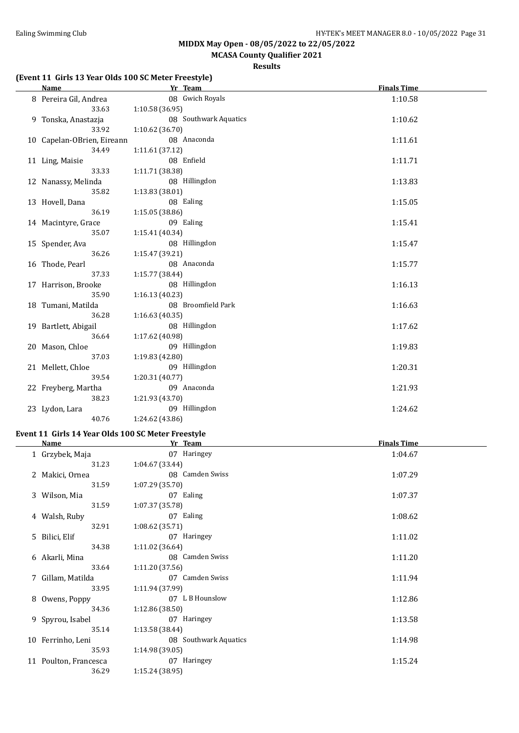### **MCASA County Qualifier 2021**

#### **Results**

#### **(Event 11 Girls 13 Year Olds 100 SC Meter Freestyle)**

| <b>Name</b>                | Yr Team               | <b>Finals Time</b> |
|----------------------------|-----------------------|--------------------|
| 8 Pereira Gil, Andrea      | 08 Gwich Royals       | 1:10.58            |
| 33.63                      | 1:10.58(36.95)        |                    |
| 9 Tonska, Anastazja        | 08 Southwark Aquatics | 1:10.62            |
| 33.92                      | 1:10.62 (36.70)       |                    |
| 10 Capelan-OBrien, Eireann | 08 Anaconda           | 1:11.61            |
| 34.49                      | 1:11.61 (37.12)       |                    |
| 11 Ling, Maisie            | 08 Enfield            | 1:11.71            |
| 33.33                      | 1:11.71 (38.38)       |                    |
| 12 Nanassy, Melinda        | 08 Hillingdon         | 1:13.83            |
| 35.82                      | 1:13.83(38.01)        |                    |
| 13 Hovell, Dana            | 08 Ealing             | 1:15.05            |
| 36.19                      | 1:15.05(38.86)        |                    |
| 14 Macintyre, Grace        | 09 Ealing             | 1:15.41            |
| 35.07                      | 1:15.41(40.34)        |                    |
| 15 Spender, Ava            | 08 Hillingdon         | 1:15.47            |
| 36.26                      | 1:15.47 (39.21)       |                    |
| 16 Thode, Pearl            | 08 Anaconda           | 1:15.77            |
| 37.33                      | 1:15.77 (38.44)       |                    |
| 17 Harrison, Brooke        | 08 Hillingdon         | 1:16.13            |
| 35.90                      | 1:16.13(40.23)        |                    |
| 18 Tumani, Matilda         | 08 Broomfield Park    | 1:16.63            |
| 36.28                      | 1:16.63(40.35)        |                    |
| 19 Bartlett, Abigail       | 08 Hillingdon         | 1:17.62            |
| 36.64                      | 1:17.62 (40.98)       |                    |
| 20 Mason, Chloe            | 09 Hillingdon         | 1:19.83            |
| 37.03                      | 1:19.83 (42.80)       |                    |
| 21 Mellett, Chloe          | 09 Hillingdon         | 1:20.31            |
| 39.54                      | 1:20.31 (40.77)       |                    |
| 22 Freyberg, Martha        | 09 Anaconda           | 1:21.93            |
| 38.23                      | 1:21.93 (43.70)       |                    |
| 23 Lydon, Lara             | 09 Hillingdon         | 1:24.62            |
| 40.76                      | 1:24.62 (43.86)       |                    |

#### **Event 11 Girls 14 Year Olds 100 SC Meter Freestyle**

| <b>Name</b>           | Yr Team               | <b>Finals Time</b> |
|-----------------------|-----------------------|--------------------|
| 1 Grzybek, Maja       | 07 Haringey           | 1:04.67            |
| 31.23                 | 1:04.67 (33.44)       |                    |
| 2 Makici, Ornea       | 08 Camden Swiss       | 1:07.29            |
| 31.59                 | 1:07.29(35.70)        |                    |
| 3 Wilson, Mia         | 07 Ealing             | 1:07.37            |
| 31.59                 | 1:07.37 (35.78)       |                    |
| 4 Walsh, Ruby         | 07 Ealing             | 1:08.62            |
| 32.91                 | 1:08.62(35.71)        |                    |
| 5 Bilici, Elif        | 07 Haringey           | 1:11.02            |
| 34.38                 | 1:11.02 (36.64)       |                    |
| 6 Akarli, Mina        | 08 Camden Swiss       | 1:11.20            |
| 33.64                 | 1:11.20 (37.56)       |                    |
| 7 Gillam, Matilda     | 07 Camden Swiss       | 1:11.94            |
| 33.95                 | 1:11.94 (37.99)       |                    |
| 8 Owens, Poppy        | 07 L B Hounslow       | 1:12.86            |
| 34.36                 | 1:12.86 (38.50)       |                    |
| 9 Spyrou, Isabel      | 07 Haringey           | 1:13.58            |
| 35.14                 | 1:13.58 (38.44)       |                    |
| 10 Ferrinho, Leni     | 08 Southwark Aquatics | 1:14.98            |
| 35.93                 | 1:14.98 (39.05)       |                    |
| 11 Poulton, Francesca | 07 Haringey           | 1:15.24            |
| 36.29                 | 1:15.24(38.95)        |                    |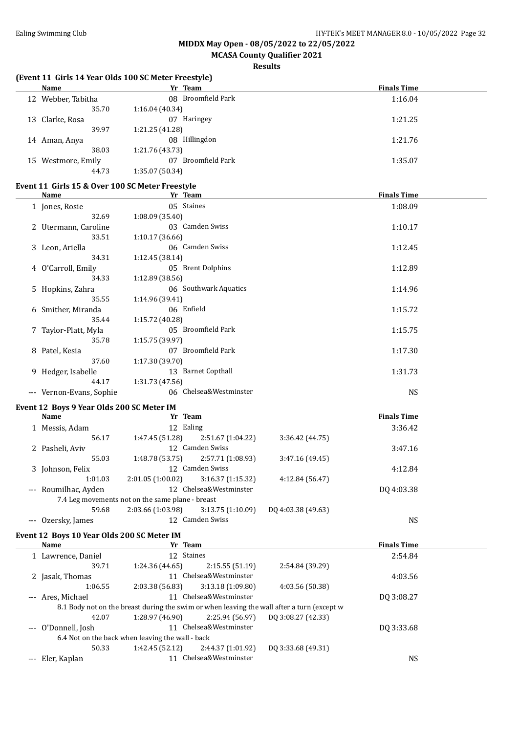### **MCASA County Qualifier 2021**

#### **Results**

#### **(Event 11 Girls 14 Year Olds 100 SC Meter Freestyle)**

| Name               | Yr Team               | <b>Finals Time</b> |
|--------------------|-----------------------|--------------------|
| 12 Webber, Tabitha | 08 Broomfield Park    | 1:16.04            |
| 35.70              | 1:16.04(40.34)        |                    |
| 13 Clarke, Rosa    | Haringey<br>07        | 1:21.25            |
| 39.97              | 1:21.25 (41.28)       |                    |
| 14 Aman, Anya      | 08 Hillingdon         | 1:21.76            |
| 38.03              | 1:21.76 (43.73)       |                    |
| 15 Westmore, Emily | Broomfield Park<br>07 | 1:35.07            |
| 44.73              | 1:35.07 (50.34)       |                    |

#### **Event 11 Girls 15 & Over 100 SC Meter Freestyle**

| Name                     | Yr Team                | <b>Finals Time</b> |
|--------------------------|------------------------|--------------------|
| 1 Jones, Rosie           | 05 Staines             | 1:08.09            |
| 32.69                    | 1:08.09(35.40)         |                    |
| 2 Utermann, Caroline     | 03 Camden Swiss        | 1:10.17            |
| 33.51                    | 1:10.17(36.66)         |                    |
| 3 Leon, Ariella          | 06 Camden Swiss        | 1:12.45            |
| 34.31                    | 1:12.45(38.14)         |                    |
| 4 O'Carroll, Emily       | 05 Brent Dolphins      | 1:12.89            |
| 34.33                    | 1:12.89 (38.56)        |                    |
| 5 Hopkins, Zahra         | 06 Southwark Aquatics  | 1:14.96            |
| 35.55                    | 1:14.96 (39.41)        |                    |
| 6 Smither, Miranda       | 06 Enfield             | 1:15.72            |
| 35.44                    | 1:15.72 (40.28)        |                    |
| 7 Taylor-Platt, Myla     | 05 Broomfield Park     | 1:15.75            |
| 35.78                    | 1:15.75(39.97)         |                    |
| 8 Patel, Kesia           | 07 Broomfield Park     | 1:17.30            |
| 37.60                    | 1:17.30 (39.70)        |                    |
| 9 Hedger, Isabelle       | 13 Barnet Copthall     | 1:31.73            |
| 44.17                    | 1:31.73 (47.56)        |                    |
| --- Vernon-Evans, Sophie | 06 Chelsea&Westminster | <b>NS</b>          |

#### **Event 12 Boys 9 Year Olds 200 SC Meter IM**

| Name                 | Yr Team                                          |                        |                    | <b>Finals Time</b> |  |
|----------------------|--------------------------------------------------|------------------------|--------------------|--------------------|--|
| 1 Messis, Adam       | 12 Ealing                                        |                        |                    | 3:36.42            |  |
| 56.17                | 1:47.45 (51.28)                                  | 2:51.67 (1:04.22)      | 3:36.42(44.75)     |                    |  |
| 2 Pasheli, Aviv      |                                                  | 12 Camden Swiss        |                    | 3:47.16            |  |
| 55.03                | 1:48.78(53.75)                                   | 2:57.71 (1:08.93)      | 3:47.16(49.45)     |                    |  |
| 3 Johnson, Felix     | 12                                               | Camden Swiss           |                    | 4:12.84            |  |
| 1:01.03              | 2:01.05(1:00.02)                                 | 3:16.37(1:15.32)       | 4:12.84(56.47)     |                    |  |
| --- Roumilhac, Ayden |                                                  | 12 Chelsea&Westminster |                    | DQ 4:03.38         |  |
|                      | 7.4 Leg movements not on the same plane - breast |                        |                    |                    |  |
| 59.68                | 2:03.66 (1:03.98)                                | 3:13.75(1:10.09)       | DQ 4:03.38 (49.63) |                    |  |
| Ozersky, James       | 12                                               | Camden Swiss           |                    | <b>NS</b>          |  |

#### **Event 12 Boys 10 Year Olds 200 SC Meter IM**

| <b>Name</b>         | Yr Team                                          |                     |                                                                                            | <b>Finals Time</b> |  |
|---------------------|--------------------------------------------------|---------------------|--------------------------------------------------------------------------------------------|--------------------|--|
| 1 Lawrence, Daniel  | 12 Staines                                       |                     |                                                                                            | 2:54.84            |  |
| 39.71               | 1:24.36 (44.65)                                  | 2:15.55(51.19)      | 2:54.84 (39.29)                                                                            |                    |  |
| 2 Jasak, Thomas     |                                                  | Chelsea&Westminster |                                                                                            | 4:03.56            |  |
| 1:06.55             | 2:03.38 (56.83)                                  | 3:13.18(1:09.80)    | 4:03.56(50.38)                                                                             |                    |  |
| --- Ares, Michael   |                                                  | Chelsea&Westminster |                                                                                            | DQ 3:08.27         |  |
|                     |                                                  |                     | 8.1 Body not on the breast during the swim or when leaving the wall after a turn (except w |                    |  |
| 42.07               | 1:28.97 (46.90)                                  | 2:25.94(56.97)      | DQ 3:08.27 (42.33)                                                                         |                    |  |
| --- O'Donnell, Josh |                                                  | Chelsea&Westminster |                                                                                            | DQ 3:33.68         |  |
|                     | 6.4 Not on the back when leaving the wall - back |                     |                                                                                            |                    |  |
| 50.33               | 1:42.45 (52.12)                                  | 2:44.37(1:01.92)    | DQ 3:33.68 (49.31)                                                                         |                    |  |
| --- Eler, Kaplan    |                                                  | Chelsea&Westminster |                                                                                            | NS                 |  |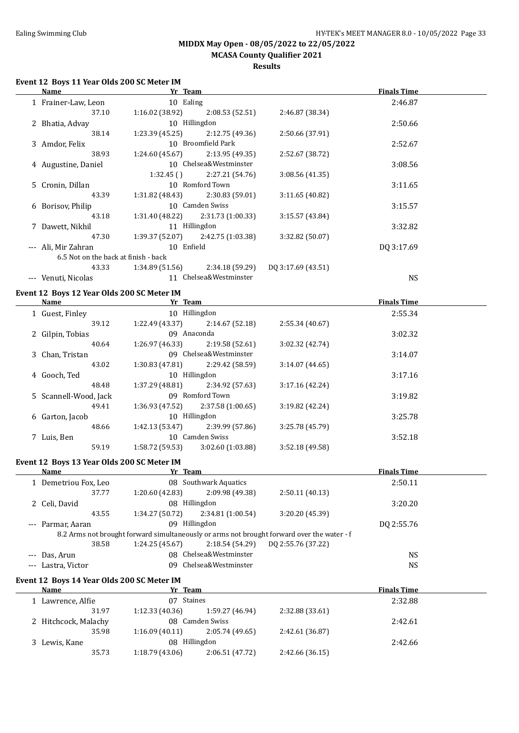#### **MIDDX May Open - 08/05/2022 to 22/05/2022 MCASA County Qualifier 2021**

### **Results**

#### **Event 12 Boys 11 Year Olds 200 SC Meter IM**

| Name                                 | Yr Team         |                        |                    | <b>Finals Time</b> |  |
|--------------------------------------|-----------------|------------------------|--------------------|--------------------|--|
| 1 Frainer-Law, Leon                  | 10 Ealing       |                        |                    | 2:46.87            |  |
| 37.10                                | 1:16.02(38.92)  | 2:08.53(52.51)         | 2:46.87 (38.34)    |                    |  |
| 2 Bhatia, Advay                      |                 | 10 Hillingdon          |                    | 2:50.66            |  |
| 38.14                                | 1:23.39(45.25)  | 2:12.75(49.36)         | 2:50.66 (37.91)    |                    |  |
| 3 Amdor, Felix                       |                 | 10 Broomfield Park     |                    | 2:52.67            |  |
| 38.93                                | 1:24.60(45.67)  | 2:13.95(49.35)         | 2:52.67 (38.72)    |                    |  |
| 4 Augustine, Daniel                  |                 | 10 Chelsea&Westminster |                    | 3:08.56            |  |
|                                      | 1:32.45()       | 2:27.21 (54.76)        | 3:08.56(41.35)     |                    |  |
| 5 Cronin, Dillan                     |                 | 10 Romford Town        |                    | 3:11.65            |  |
| 43.39                                | 1:31.82(48.43)  | 2:30.83(59.01)         | 3:11.65(40.82)     |                    |  |
| 6 Borisov, Philip                    |                 | 10 Camden Swiss        |                    | 3:15.57            |  |
| 43.18                                | 1:31.40 (48.22) | 2:31.73 (1:00.33)      | 3:15.57(43.84)     |                    |  |
| 7 Dawett, Nikhil                     |                 | 11 Hillingdon          |                    | 3:32.82            |  |
| 47.30                                | 1:39.37 (52.07) | 2:42.75 (1:03.38)      | 3:32.82 (50.07)    |                    |  |
| --- Ali, Mir Zahran                  | 10 Enfield      |                        |                    | DO 3:17.69         |  |
| 6.5 Not on the back at finish - back |                 |                        |                    |                    |  |
| 43.33                                | 1:34.89 (51.56) | 2:34.18 (59.29)        | DQ 3:17.69 (43.51) |                    |  |
| Venuti, Nicolas                      |                 | 11 Chelsea&Westminster |                    | <b>NS</b>          |  |
|                                      |                 |                        |                    |                    |  |

#### **Event 12 Boys 12 Year Olds 200 SC Meter IM**

| Name                  | Yr Team         |                        |                 | <b>Finals Time</b> |  |
|-----------------------|-----------------|------------------------|-----------------|--------------------|--|
| 1 Guest, Finley       |                 | 10 Hillingdon          |                 | 2:55.34            |  |
| 39.12                 | 1:22.49(43.37)  | 2:14.67(52.18)         | 2:55.34(40.67)  |                    |  |
| 2 Gilpin, Tobias      |                 | 09 Anaconda            |                 | 3:02.32            |  |
| 40.64                 | 1:26.97 (46.33) | 2:19.58(52.61)         | 3:02.32(42.74)  |                    |  |
| 3 Chan, Tristan       |                 | 09 Chelsea&Westminster |                 | 3:14.07            |  |
| 43.02                 | 1:30.83(47.81)  | 2:29.42 (58.59)        | 3:14.07(44.65)  |                    |  |
| 4 Gooch, Ted          |                 | 10 Hillingdon          |                 | 3:17.16            |  |
| 48.48                 | 1:37.29(48.81)  | 2:34.92 (57.63)        | 3:17.16(42.24)  |                    |  |
| 5 Scannell-Wood, Jack |                 | 09 Romford Town        |                 | 3:19.82            |  |
| 49.41                 | 1:36.93 (47.52) | 2:37.58(1:00.65)       | 3:19.82(42.24)  |                    |  |
| 6 Garton, Jacob       |                 | 10 Hillingdon          |                 | 3:25.78            |  |
| 48.66                 | 1:42.13(53.47)  | 2:39.99 (57.86)        | 3:25.78 (45.79) |                    |  |
| 7 Luis, Ben           |                 | 10 Camden Swiss        |                 | 3:52.18            |  |
| 59.19                 | 1:58.72(59.53)  | 3:02.60(1:03.88)       | 3:52.18 (49.58) |                    |  |

#### **Event 12 Boys 13 Year Olds 200 SC Meter IM**

| Name                                       | Yr Team         |                        |                                                                                            | <b>Finals Time</b> |  |
|--------------------------------------------|-----------------|------------------------|--------------------------------------------------------------------------------------------|--------------------|--|
| 1 Demetriou Fox, Leo                       |                 | 08 Southwark Aquatics  |                                                                                            | 2:50.11            |  |
| 37.77                                      | 1:20.60 (42.83) | 2:09.98 (49.38)        | 2:50.11(40.13)                                                                             |                    |  |
| 2 Celi, David                              | 08 Hillingdon   |                        |                                                                                            | 3:20.20            |  |
| 43.55                                      | 1:34.27(50.72)  | 2:34.81 (1:00.54)      | 3:20.20 (45.39)                                                                            |                    |  |
| --- Parmar, Aaran                          | 09              | Hillingdon             |                                                                                            | DO 2:55.76         |  |
|                                            |                 |                        | 8.2 Arms not brought forward simultaneously or arms not brought forward over the water - f |                    |  |
| 38.58                                      | 1:24.25(45.67)  | 2:18.54(54.29)         | DQ 2:55.76 (37.22)                                                                         |                    |  |
| --- Das, Arun                              |                 | 08 Chelsea&Westminster |                                                                                            | <b>NS</b>          |  |
| --- Lastra, Victor                         |                 | 09 Chelsea&Westminster |                                                                                            | <b>NS</b>          |  |
| Event 12 Boys 14 Year Olds 200 SC Meter IM |                 |                        |                                                                                            |                    |  |

| Name                 | Yr Team        |                 |                 | <b>Finals Time</b> |  |
|----------------------|----------------|-----------------|-----------------|--------------------|--|
| Lawrence, Alfie      | 07 Staines     |                 |                 | 2:32.88            |  |
| 31.97                | 1:12.33(40.36) | 1:59.27 (46.94) | 2:32.88 (33.61) |                    |  |
| 2 Hitchcock, Malachy |                | 08 Camden Swiss |                 | 2:42.61            |  |
| 35.98                | 1:16.09(40.11) | 2:05.74 (49.65) | 2:42.61 (36.87) |                    |  |
| 3 Lewis, Kane        | 08 Hillingdon  |                 |                 | 2:42.66            |  |
| 35.73                | 1:18.79(43.06) | 2:06.51(47.72)  | 2:42.66 (36.15) |                    |  |